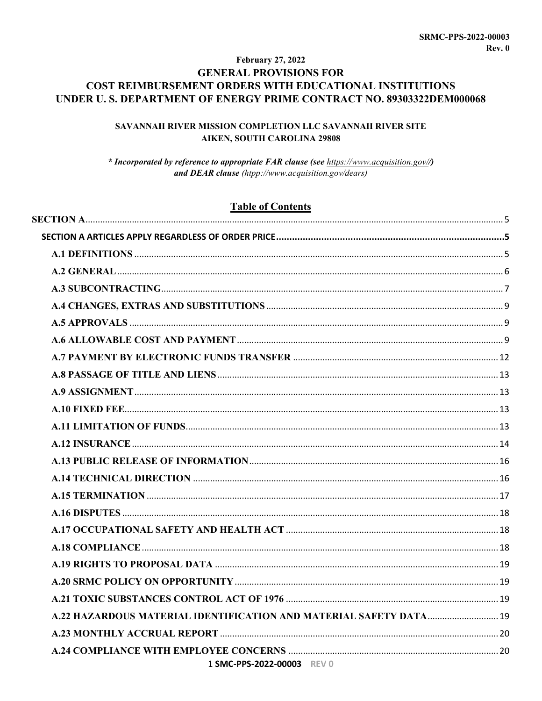# **February 27, 2022 GENERAL PROVISIONS FOR** COST REIMBURSEMENT ORDERS WITH EDUCATIONAL INSTITUTIONS UNDER U.S. DEPARTMENT OF ENERGY PRIME CONTRACT NO. 89303322DEM000068

# SAVANNAH RIVER MISSION COMPLETION LLC SAVANNAH RIVER SITE **AIKEN, SOUTH CAROLINA 29808**

\* Incorporated by reference to appropriate FAR clause (see https://www.acquisition.gov//) and DEAR clause (htpp://www.acquisition.gov/dears)

# **Table of Contents**

| 1 SMC-PPS-2022-00003 REV 0 |  |
|----------------------------|--|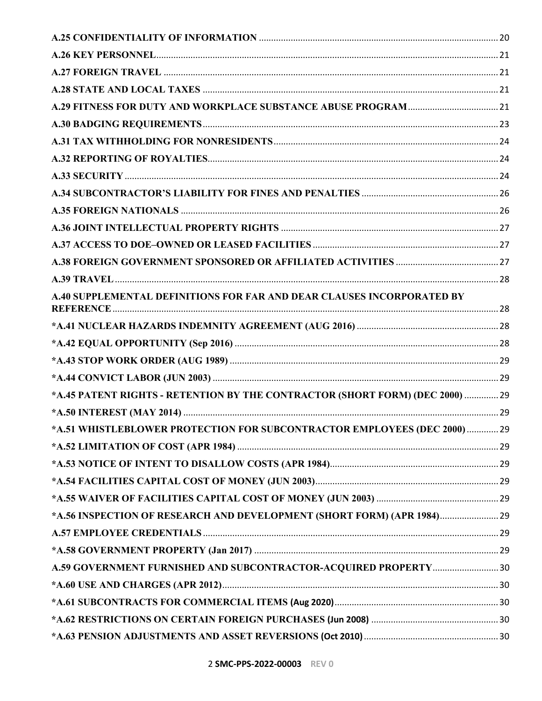| A.40 SUPPLEMENTAL DEFINITIONS FOR FAR AND DEAR CLAUSES INCORPORATED BY        |  |
|-------------------------------------------------------------------------------|--|
|                                                                               |  |
|                                                                               |  |
|                                                                               |  |
|                                                                               |  |
| *A.45 PATENT RIGHTS - RETENTION BY THE CONTRACTOR (SHORT FORM) (DEC 2000)  29 |  |
|                                                                               |  |
| *A.51 WHISTLEBLOWER PROTECTION FOR SUBCONTRACTOR EMPLOYEES (DEC 2000)  29     |  |
|                                                                               |  |
|                                                                               |  |
|                                                                               |  |
|                                                                               |  |
| *A.56 INSPECTION OF RESEARCH AND DEVELOPMENT (SHORT FORM) (APR 1984) 29       |  |
|                                                                               |  |
|                                                                               |  |
| A.59 GOVERNMENT FURNISHED AND SUBCONTRACTOR-ACQUIRED PROPERTY  30             |  |
|                                                                               |  |
|                                                                               |  |
|                                                                               |  |
|                                                                               |  |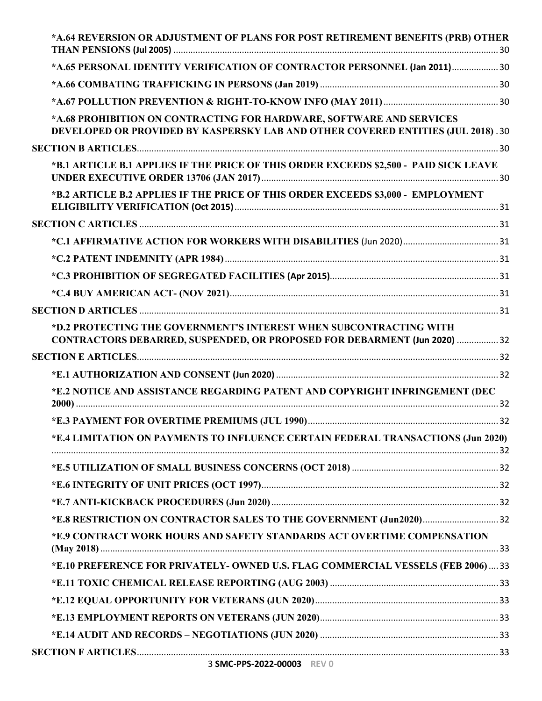| *A.64 REVERSION OR ADJUSTMENT OF PLANS FOR POST RETIREMENT BENEFITS (PRB) OTHER                                                                          |  |
|----------------------------------------------------------------------------------------------------------------------------------------------------------|--|
| *A.65 PERSONAL IDENTITY VERIFICATION OF CONTRACTOR PERSONNEL (Jan 2011) 30                                                                               |  |
|                                                                                                                                                          |  |
|                                                                                                                                                          |  |
| *A.68 PROHIBITION ON CONTRACTING FOR HARDWARE, SOFTWARE AND SERVICES<br>DEVELOPED OR PROVIDED BY KASPERSKY LAB AND OTHER COVERED ENTITIES (JUL 2018). 30 |  |
|                                                                                                                                                          |  |
| *B.1 ARTICLE B.1 APPLIES IF THE PRICE OF THIS ORDER EXCEEDS \$2,500 - PAID SICK LEAVE                                                                    |  |
| *B.2 ARTICLE B.2 APPLIES IF THE PRICE OF THIS ORDER EXCEEDS \$3,000 - EMPLOYMENT                                                                         |  |
|                                                                                                                                                          |  |
|                                                                                                                                                          |  |
|                                                                                                                                                          |  |
|                                                                                                                                                          |  |
|                                                                                                                                                          |  |
|                                                                                                                                                          |  |
| *D.2 PROTECTING THE GOVERNMENT'S INTEREST WHEN SUBCONTRACTING WITH<br>CONTRACTORS DEBARRED, SUSPENDED, OR PROPOSED FOR DEBARMENT (Jun 2020)  32          |  |
|                                                                                                                                                          |  |
|                                                                                                                                                          |  |
| *E.2 NOTICE AND ASSISTANCE REGARDING PATENT AND COPYRIGHT INFRINGEMENT (DEC                                                                              |  |
|                                                                                                                                                          |  |
| *E.4 LIMITATION ON PAYMENTS TO INFLUENCE CERTAIN FEDERAL TRANSACTIONS (Jun 2020)                                                                         |  |
|                                                                                                                                                          |  |
|                                                                                                                                                          |  |
|                                                                                                                                                          |  |
|                                                                                                                                                          |  |
| *E.9 CONTRACT WORK HOURS AND SAFETY STANDARDS ACT OVERTIME COMPENSATION                                                                                  |  |
| *E.10 PREFERENCE FOR PRIVATELY- OWNED U.S. FLAG COMMERCIAL VESSELS (FEB 2006)  33                                                                        |  |
|                                                                                                                                                          |  |
|                                                                                                                                                          |  |
|                                                                                                                                                          |  |
|                                                                                                                                                          |  |
|                                                                                                                                                          |  |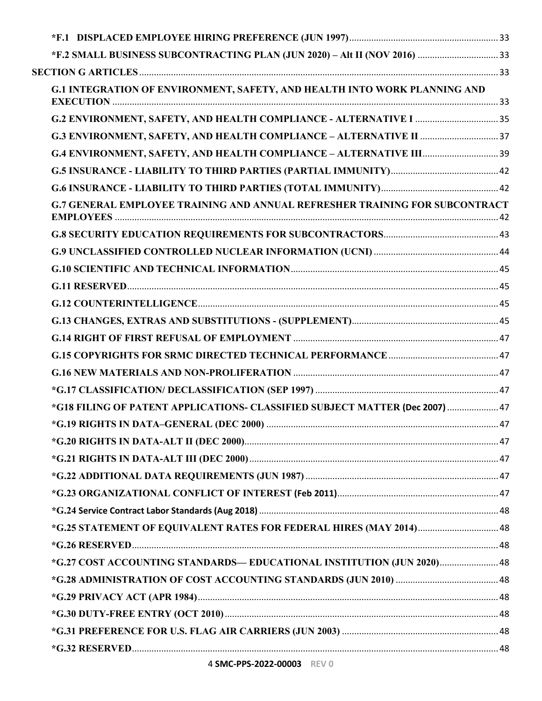| <b>G.1 INTEGRATION OF ENVIRONMENT, SAFETY, AND HEALTH INTO WORK PLANNING AND</b>   |  |
|------------------------------------------------------------------------------------|--|
|                                                                                    |  |
|                                                                                    |  |
|                                                                                    |  |
|                                                                                    |  |
|                                                                                    |  |
| <b>G.7 GENERAL EMPLOYEE TRAINING AND ANNUAL REFRESHER TRAINING FOR SUBCONTRACT</b> |  |
|                                                                                    |  |
|                                                                                    |  |
|                                                                                    |  |
|                                                                                    |  |
|                                                                                    |  |
|                                                                                    |  |
|                                                                                    |  |
|                                                                                    |  |
|                                                                                    |  |
|                                                                                    |  |
| *G18 FILING OF PATENT APPLICATIONS- CLASSIFIED SUBJECT MATTER (Dec 2007)  47       |  |
|                                                                                    |  |
|                                                                                    |  |
|                                                                                    |  |
|                                                                                    |  |
|                                                                                    |  |
|                                                                                    |  |
| *G.25 STATEMENT OF EQUIVALENT RATES FOR FEDERAL HIRES (MAY 2014) 48                |  |
|                                                                                    |  |
| *G.27 COST ACCOUNTING STANDARDS— EDUCATIONAL INSTITUTION (JUN 2020) 48             |  |
|                                                                                    |  |
|                                                                                    |  |
|                                                                                    |  |
|                                                                                    |  |
|                                                                                    |  |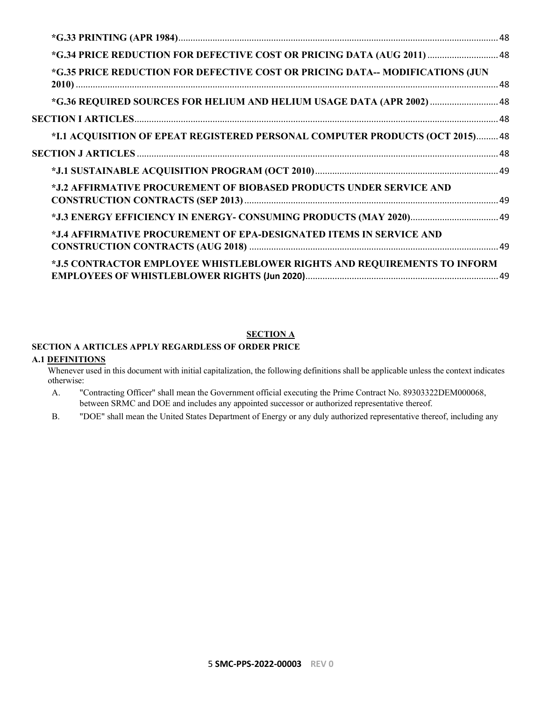| *G.34 PRICE REDUCTION FOR DEFECTIVE COST OR PRICING DATA (AUG 2011)  48       |  |
|-------------------------------------------------------------------------------|--|
| *G.35 PRICE REDUCTION FOR DEFECTIVE COST OR PRICING DATA-- MODIFICATIONS (JUN |  |
| *G.36 REQUIRED SOURCES FOR HELIUM AND HELIUM USAGE DATA (APR 2002)  48        |  |
|                                                                               |  |
| *I.1 ACQUISITION OF EPEAT REGISTERED PERSONAL COMPUTER PRODUCTS (OCT 2015) 48 |  |
|                                                                               |  |
|                                                                               |  |
| *J.2 AFFIRMATIVE PROCUREMENT OF BIOBASED PRODUCTS UNDER SERVICE AND           |  |
|                                                                               |  |
| *J.4 AFFIRMATIVE PROCUREMENT OF EPA-DESIGNATED ITEMS IN SERVICE AND           |  |
| *J.5 CONTRACTOR EMPLOYEE WHISTLEBLOWER RIGHTS AND REQUIREMENTS TO INFORM      |  |

# **SECTION A**

# <span id="page-4-1"></span><span id="page-4-0"></span>**SECTION A ARTICLES APPLY REGARDLESS OF ORDER PRICE**

### <span id="page-4-2"></span>**A.1 DEFINITIONS**

Whenever used in this document with initial capitalization, the following definitions shall be applicable unless the context indicates otherwise:

- A. "Contracting Officer" shall mean the Government official executing the Prime Contract No. 89303322DEM000068, between SRMC and DOE and includes any appointed successor or authorized representative thereof.
- B. "DOE" shall mean the United States Department of Energy or any duly authorized representative thereof, including any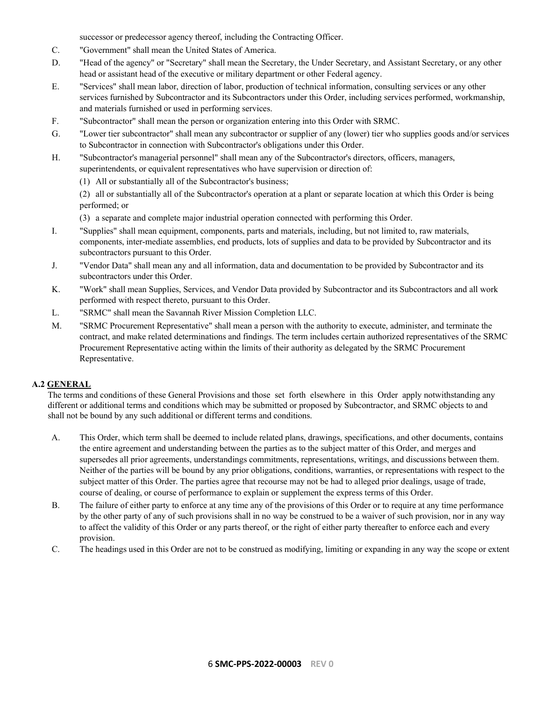successor or predecessor agency thereof, including the Contracting Officer.

- C. "Government" shall mean the United States of America.
- D. "Head of the agency" or "Secretary" shall mean the Secretary, the Under Secretary, and Assistant Secretary, or any other head or assistant head of the executive or military department or other Federal agency.
- E. "Services" shall mean labor, direction of labor, production of technical information, consulting services or any other services furnished by Subcontractor and its Subcontractors under this Order, including services performed, workmanship, and materials furnished or used in performing services.
- F. "Subcontractor" shall mean the person or organization entering into this Order with SRMC.
- G. "Lower tier subcontractor" shall mean any subcontractor or supplier of any (lower) tier who supplies goods and/or services to Subcontractor in connection with Subcontractor's obligations under this Order.
- H. "Subcontractor's managerial personnel" shall mean any of the Subcontractor's directors, officers, managers, superintendents, or equivalent representatives who have supervision or direction of:
	- (1) All or substantially all of the Subcontractor's business;

(2) all or substantially all of the Subcontractor's operation at a plant or separate location at which this Order is being performed; or

- (3) a separate and complete major industrial operation connected with performing this Order.
- I. "Supplies" shall mean equipment, components, parts and materials, including, but not limited to, raw materials, components, inter-mediate assemblies, end products, lots of supplies and data to be provided by Subcontractor and its subcontractors pursuant to this Order.
- J. "Vendor Data" shall mean any and all information, data and documentation to be provided by Subcontractor and its subcontractors under this Order.
- K. "Work" shall mean Supplies, Services, and Vendor Data provided by Subcontractor and its Subcontractors and all work performed with respect thereto, pursuant to this Order.
- L. "SRMC" shall mean the Savannah River Mission Completion LLC.
- M. "SRMC Procurement Representative" shall mean a person with the authority to execute, administer, and terminate the contract, and make related determinations and findings. The term includes certain authorized representatives of the SRMC Procurement Representative acting within the limits of their authority as delegated by the SRMC Procurement Representative.

# <span id="page-5-0"></span>**A.2 GENERAL**

The terms and conditions of these General Provisions and those set forth elsewhere in this Order apply notwithstanding any different or additional terms and conditions which may be submitted or proposed by Subcontractor, and SRMC objects to and shall not be bound by any such additional or different terms and conditions.

- A. This Order, which term shall be deemed to include related plans, drawings, specifications, and other documents, contains the entire agreement and understanding between the parties as to the subject matter of this Order, and merges and supersedes all prior agreements, understandings commitments, representations, writings, and discussions between them. Neither of the parties will be bound by any prior obligations, conditions, warranties, or representations with respect to the subject matter of this Order. The parties agree that recourse may not be had to alleged prior dealings, usage of trade, course of dealing, or course of performance to explain or supplement the express terms of this Order.
- B. The failure of either party to enforce at any time any of the provisions of this Order or to require at any time performance by the other party of any of such provisions shall in no way be construed to be a waiver of such provision, nor in any way to affect the validity of this Order or any parts thereof, or the right of either party thereafter to enforce each and every provision.
- C. The headings used in this Order are not to be construed as modifying, limiting or expanding in any way the scope or extent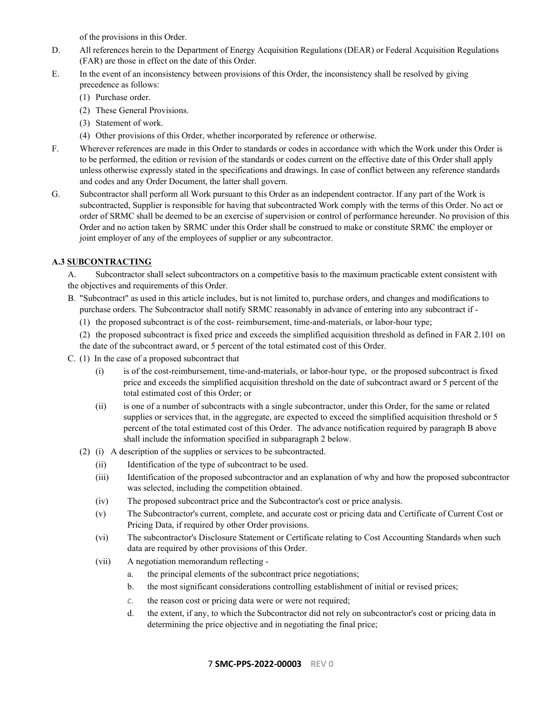of the provisions in this Order.

- D. All references herein to the Department of Energy Acquisition Regulations (DEAR) or Federal Acquisition Regulations (FAR) are those in effect on the date of this Order.
- E. In the event of an inconsistency between provisions of this Order, the inconsistency shall be resolved by giving precedence as follows:
	- (1) Purchase order.
	- (2) These General Provisions.
	- (3) Statement of work.
	- (4) Other provisions of this Order, whether incorporated by reference or otherwise.
- F. Wherever references are made in this Order to standards or codes in accordance with which the Work under this Order is to be performed, the edition or revision of the standards or codes current on the effective date of this Order shall apply unless otherwise expressly stated in the specifications and drawings. In case of conflict between any reference standards and codes and any Order Document, the latter shall govern.
- G. Subcontractor shall perform all Work pursuant to this Order as an independent contractor. If any part of the Work is subcontracted, Supplier is responsible for having that subcontracted Work comply with the terms of this Order. No act or order of SRMC shall be deemed to be an exercise of supervision or control of performance hereunder. No provision of this Order and no action taken by SRMC under this Order shall be construed to make or constitute SRMC the employer or joint employer of any of the employees of supplier or any subcontractor.

### <span id="page-6-0"></span>**A.3 SUBCONTRACTING**

A. Subcontractor shall select subcontractors on a competitive basis to the maximum practicable extent consistent with the objectives and requirements of this Order.

- B. "Subcontract" as used in this article includes, but is not limited to, purchase orders, and changes and modifications to purchase orders. The Subcontractor shall notify SRMC reasonably in advance of entering into any subcontract if -
	- (1) the proposed subcontract is of the cost- reimbursement, time-and-materials, or labor-hour type;
	- (2) the proposed subcontract is fixed price and exceeds the simplified acquisition threshold as defined in FAR 2.101 on the date of the subcontract award, or 5 percent of the total estimated cost of this Order.
- C. (1) In the case of a proposed subcontract that
	- (i) is of the cost-reimbursement, time-and-materials, or labor-hour type, or the proposed subcontract is fixed price and exceeds the simplified acquisition threshold on the date of subcontract award or 5 percent of the total estimated cost of this Order; or
	- (ii) is one of a number of subcontracts with a single subcontractor, under this Order, for the same or related supplies or services that, in the aggregate, are expected to exceed the simplified acquisition threshold or 5 percent of the total estimated cost of this Order. The advance notification required by paragraph B above shall include the information specified in subparagraph 2 below.
	- (2) (i) A description of the supplies or services to be subcontracted.
		- (ii) Identification of the type of subcontract to be used.
		- (iii) Identification of the proposed subcontractor and an explanation of why and how the proposed subcontractor was selected, including the competition obtained.
		- (iv) The proposed subcontract price and the Subcontractor's cost or price analysis.
		- (v) The Subcontractor's current, complete, and accurate cost or pricing data and Certificate of Current Cost or Pricing Data, if required by other Order provisions.
		- (vi) The subcontractor's Disclosure Statement or Certificate relating to Cost Accounting Standards when such data are required by other provisions of this Order.
		- (vii) A negotiation memorandum reflecting
			- a. the principal elements of the subcontract price negotiations;
			- b. the most significant considerations controlling establishment of initial or revised prices;
			- *c.* the reason cost or pricing data were or were not required;
			- d. the extent, if any, to which the Subcontractor did not rely on subcontractor's cost or pricing data in determining the price objective and in negotiating the final price;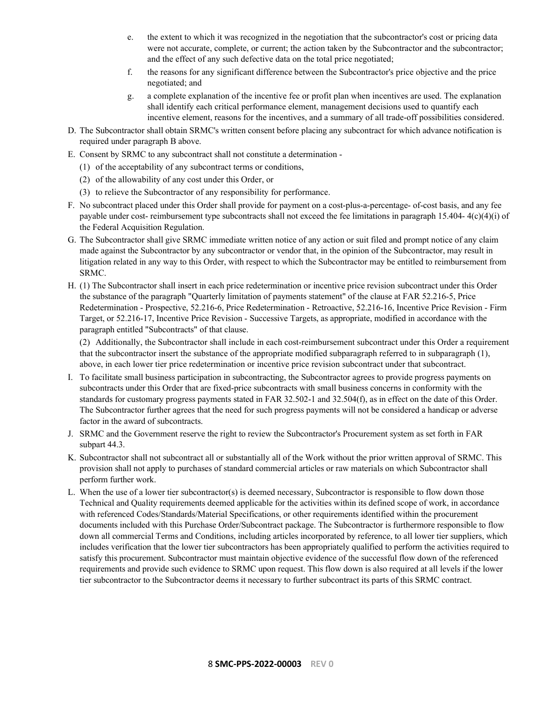- e. the extent to which it was recognized in the negotiation that the subcontractor's cost or pricing data were not accurate, complete, or current; the action taken by the Subcontractor and the subcontractor; and the effect of any such defective data on the total price negotiated;
- f. the reasons for any significant difference between the Subcontractor's price objective and the price negotiated; and
- g. a complete explanation of the incentive fee or profit plan when incentives are used. The explanation shall identify each critical performance element, management decisions used to quantify each incentive element, reasons for the incentives, and a summary of all trade-off possibilities considered.
- D. The Subcontractor shall obtain SRMC's written consent before placing any subcontract for which advance notification is required under paragraph B above.
- E. Consent by SRMC to any subcontract shall not constitute a determination
	- (1) of the acceptability of any subcontract terms or conditions,
	- (2) of the allowability of any cost under this Order, or
	- (3) to relieve the Subcontractor of any responsibility for performance.
- F. No subcontract placed under this Order shall provide for payment on a cost-plus-a-percentage- of-cost basis, and any fee payable under cost- reimbursement type subcontracts shall not exceed the fee limitations in paragraph 15.404- 4(c)(4)(i) of the Federal Acquisition Regulation.
- G. The Subcontractor shall give SRMC immediate written notice of any action or suit filed and prompt notice of any claim made against the Subcontractor by any subcontractor or vendor that, in the opinion of the Subcontractor, may result in litigation related in any way to this Order, with respect to which the Subcontractor may be entitled to reimbursement from SRMC.
- H. (1) The Subcontractor shall insert in each price redetermination or incentive price revision subcontract under this Order the substance of the paragraph "Quarterly limitation of payments statement" of the clause at FAR 52.216-5, Price Redetermination - Prospective, 52.216-6, Price Redetermination - Retroactive, 52.216-16, Incentive Price Revision - Firm Target, or 52.216-17, Incentive Price Revision - Successive Targets, as appropriate, modified in accordance with the paragraph entitled "Subcontracts" of that clause.

(2) Additionally, the Subcontractor shall include in each cost-reimbursement subcontract under this Order a requirement that the subcontractor insert the substance of the appropriate modified subparagraph referred to in subparagraph (1), above, in each lower tier price redetermination or incentive price revision subcontract under that subcontract.

- I. To facilitate small business participation in subcontracting, the Subcontractor agrees to provide progress payments on subcontracts under this Order that are fixed-price subcontracts with small business concerns in conformity with the standards for customary progress payments stated in FAR 32.502-1 and 32.504(f), as in effect on the date of this Order. The Subcontractor further agrees that the need for such progress payments will not be considered a handicap or adverse factor in the award of subcontracts.
- J. SRMC and the Government reserve the right to review the Subcontractor's Procurement system as set forth in FAR subpart 44.3.
- K. Subcontractor shall not subcontract all or substantially all of the Work without the prior written approval of SRMC. This provision shall not apply to purchases of standard commercial articles or raw materials on which Subcontractor shall perform further work.
- L. When the use of a lower tier subcontractor(s) is deemed necessary, Subcontractor is responsible to flow down those Technical and Quality requirements deemed applicable for the activities within its defined scope of work, in accordance with referenced Codes/Standards/Material Specifications, or other requirements identified within the procurement documents included with this Purchase Order/Subcontract package. The Subcontractor is furthermore responsible to flow down all commercial Terms and Conditions, including articles incorporated by reference, to all lower tier suppliers, which includes verification that the lower tier subcontractors has been appropriately qualified to perform the activities required to satisfy this procurement. Subcontractor must maintain objective evidence of the successful flow down of the referenced requirements and provide such evidence to SRMC upon request. This flow down is also required at all levels if the lower tier subcontractor to the Subcontractor deems it necessary to further subcontract its parts of this SRMC contract.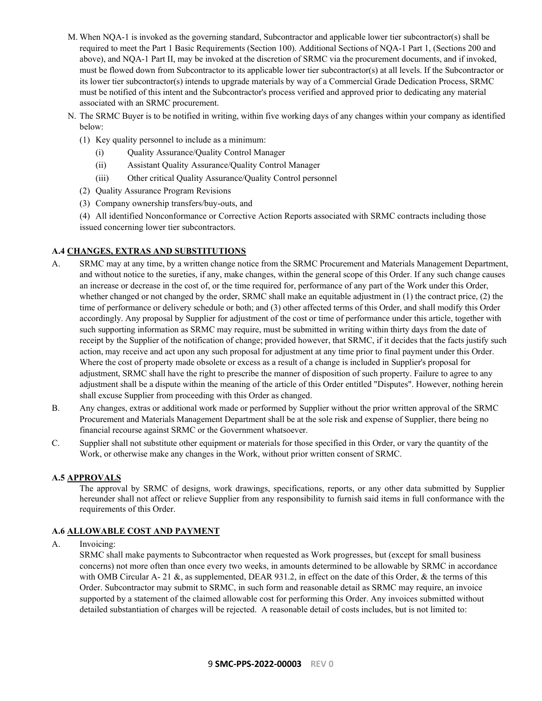- M. When NQA-1 is invoked as the governing standard, Subcontractor and applicable lower tier subcontractor(s) shall be required to meet the Part 1 Basic Requirements (Section 100). Additional Sections of NQA-1 Part 1, (Sections 200 and above), and NQA-1 Part II, may be invoked at the discretion of SRMC via the procurement documents, and if invoked, must be flowed down from Subcontractor to its applicable lower tier subcontractor(s) at all levels. If the Subcontractor or its lower tier subcontractor(s) intends to upgrade materials by way of a Commercial Grade Dedication Process, SRMC must be notified of this intent and the Subcontractor's process verified and approved prior to dedicating any material associated with an SRMC procurement.
- N. The SRMC Buyer is to be notified in writing, within five working days of any changes within your company as identified below:
	- (1) Key quality personnel to include as a minimum:
		- (i) Quality Assurance/Quality Control Manager
		- (ii) Assistant Quality Assurance/Quality Control Manager
		- (iii) Other critical Quality Assurance/Quality Control personnel
	- (2) Quality Assurance Program Revisions
	- (3) Company ownership transfers/buy-outs, and
	- (4) All identified Nonconformance or Corrective Action Reports associated with SRMC contracts including those issued concerning lower tier subcontractors.

# <span id="page-8-0"></span>**A.4 CHANGES, EXTRAS AND SUBSTITUTIONS**

- A. SRMC may at any time, by a written change notice from the SRMC Procurement and Materials Management Department, and without notice to the sureties, if any, make changes, within the general scope of this Order. If any such change causes an increase or decrease in the cost of, or the time required for, performance of any part of the Work under this Order, whether changed or not changed by the order, SRMC shall make an equitable adjustment in (1) the contract price, (2) the time of performance or delivery schedule or both; and (3) other affected terms of this Order, and shall modify this Order accordingly. Any proposal by Supplier for adjustment of the cost or time of performance under this article, together with such supporting information as SRMC may require, must be submitted in writing within thirty days from the date of receipt by the Supplier of the notification of change; provided however, that SRMC, if it decides that the facts justify such action, may receive and act upon any such proposal for adjustment at any time prior to final payment under this Order. Where the cost of property made obsolete or excess as a result of a change is included in Supplier's proposal for adjustment, SRMC shall have the right to prescribe the manner of disposition of such property. Failure to agree to any adjustment shall be a dispute within the meaning of the article of this Order entitled "Disputes". However, nothing herein shall excuse Supplier from proceeding with this Order as changed.
- B. Any changes, extras or additional work made or performed by Supplier without the prior written approval of the SRMC Procurement and Materials Management Department shall be at the sole risk and expense of Supplier, there being no financial recourse against SRMC or the Government whatsoever.
- C. Supplier shall not substitute other equipment or materials for those specified in this Order, or vary the quantity of the Work, or otherwise make any changes in the Work, without prior written consent of SRMC.

# <span id="page-8-1"></span>**A.5 APPROVALS**

The approval by SRMC of designs, work drawings, specifications, reports, or any other data submitted by Supplier hereunder shall not affect or relieve Supplier from any responsibility to furnish said items in full conformance with the requirements of this Order.

# <span id="page-8-2"></span>**A.6 ALLOWABLE COST AND PAYMENT**

A. Invoicing:

SRMC shall make payments to Subcontractor when requested as Work progresses, but (except for small business concerns) not more often than once every two weeks, in amounts determined to be allowable by SRMC in accordance with OMB Circular A- 21  $\&$ , as supplemented, DEAR 931.2, in effect on the date of this Order,  $\&$  the terms of this Order. Subcontractor may submit to SRMC, in such form and reasonable detail as SRMC may require, an invoice supported by a statement of the claimed allowable cost for performing this Order. Any invoices submitted without detailed substantiation of charges will be rejected. A reasonable detail of costs includes, but is not limited to: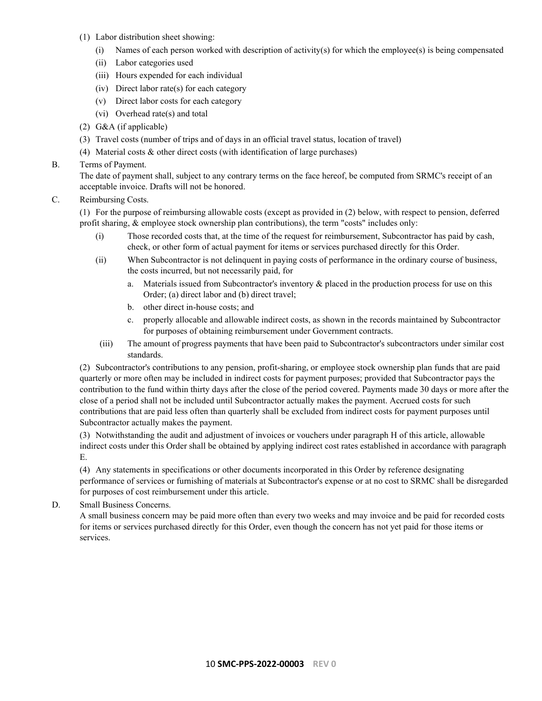- (1) Labor distribution sheet showing:
	- (i) Names of each person worked with description of activity(s) for which the employee(s) is being compensated
	- (ii) Labor categories used
	- (iii) Hours expended for each individual
	- (iv) Direct labor rate(s) for each category
	- (v) Direct labor costs for each category
	- (vi) Overhead rate(s) and total
- (2) G&A (if applicable)
- (3) Travel costs (number of trips and of days in an official travel status, location of travel)
- (4) Material costs & other direct costs (with identification of large purchases)

# B. Terms of Payment.

The date of payment shall, subject to any contrary terms on the face hereof, be computed from SRMC's receipt of an acceptable invoice. Drafts will not be honored.

C. Reimbursing Costs.

(1) For the purpose of reimbursing allowable costs (except as provided in (2) below, with respect to pension, deferred profit sharing, & employee stock ownership plan contributions), the term "costs" includes only:

- (i) Those recorded costs that, at the time of the request for reimbursement, Subcontractor has paid by cash, check, or other form of actual payment for items or services purchased directly for this Order.
- (ii) When Subcontractor is not delinquent in paying costs of performance in the ordinary course of business, the costs incurred, but not necessarily paid, for
	- a. Materials issued from Subcontractor's inventory & placed in the production process for use on this Order; (a) direct labor and (b) direct travel;
	- b. other direct in-house costs; and
	- c. properly allocable and allowable indirect costs, as shown in the records maintained by Subcontractor for purposes of obtaining reimbursement under Government contracts.
- (iii) The amount of progress payments that have been paid to Subcontractor's subcontractors under similar cost standards.

(2) Subcontractor's contributions to any pension, profit-sharing, or employee stock ownership plan funds that are paid quarterly or more often may be included in indirect costs for payment purposes; provided that Subcontractor pays the contribution to the fund within thirty days after the close of the period covered. Payments made 30 days or more after the close of a period shall not be included until Subcontractor actually makes the payment. Accrued costs for such contributions that are paid less often than quarterly shall be excluded from indirect costs for payment purposes until Subcontractor actually makes the payment.

(3) Notwithstanding the audit and adjustment of invoices or vouchers under paragraph H of this article, allowable indirect costs under this Order shall be obtained by applying indirect cost rates established in accordance with paragraph E.

(4) Any statements in specifications or other documents incorporated in this Order by reference designating performance of services or furnishing of materials at Subcontractor's expense or at no cost to SRMC shall be disregarded for purposes of cost reimbursement under this article.

D. Small Business Concerns.

A small business concern may be paid more often than every two weeks and may invoice and be paid for recorded costs for items or services purchased directly for this Order, even though the concern has not yet paid for those items or services.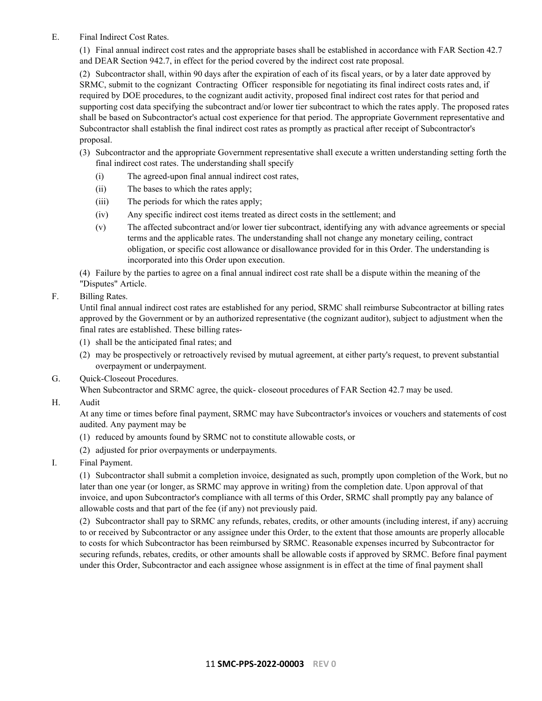E. Final Indirect Cost Rates.

(1) Final annual indirect cost rates and the appropriate bases shall be established in accordance with FAR Section 42.7 and DEAR Section 942.7, in effect for the period covered by the indirect cost rate proposal.

(2) Subcontractor shall, within 90 days after the expiration of each of its fiscal years, or by a later date approved by SRMC, submit to the cognizant Contracting Officer responsible for negotiating its final indirect costs rates and, if required by DOE procedures, to the cognizant audit activity, proposed final indirect cost rates for that period and supporting cost data specifying the subcontract and/or lower tier subcontract to which the rates apply. The proposed rates shall be based on Subcontractor's actual cost experience for that period. The appropriate Government representative and Subcontractor shall establish the final indirect cost rates as promptly as practical after receipt of Subcontractor's proposal.

- (3) Subcontractor and the appropriate Government representative shall execute a written understanding setting forth the final indirect cost rates. The understanding shall specify
	- (i) The agreed-upon final annual indirect cost rates,
	- (ii) The bases to which the rates apply;
	- (iii) The periods for which the rates apply;
	- (iv) Any specific indirect cost items treated as direct costs in the settlement; and
	- (v) The affected subcontract and/or lower tier subcontract, identifying any with advance agreements or special terms and the applicable rates. The understanding shall not change any monetary ceiling, contract obligation, or specific cost allowance or disallowance provided for in this Order. The understanding is incorporated into this Order upon execution.

(4) Failure by the parties to agree on a final annual indirect cost rate shall be a dispute within the meaning of the "Disputes" Article.

F. Billing Rates.

Until final annual indirect cost rates are established for any period, SRMC shall reimburse Subcontractor at billing rates approved by the Government or by an authorized representative (the cognizant auditor), subject to adjustment when the final rates are established. These billing rates-

- (1) shall be the anticipated final rates; and
- (2) may be prospectively or retroactively revised by mutual agreement, at either party's request, to prevent substantial overpayment or underpayment.
- G. Quick-Closeout Procedures.

When Subcontractor and SRMC agree, the quick- closeout procedures of FAR Section 42.7 may be used.

H. Audit

At any time or times before final payment, SRMC may have Subcontractor's invoices or vouchers and statements of cost audited. Any payment may be

- (1) reduced by amounts found by SRMC not to constitute allowable costs, or
- (2) adjusted for prior overpayments or underpayments.
- I. Final Payment.

(1) Subcontractor shall submit a completion invoice, designated as such, promptly upon completion of the Work, but no later than one year (or longer, as SRMC may approve in writing) from the completion date. Upon approval of that invoice, and upon Subcontractor's compliance with all terms of this Order, SRMC shall promptly pay any balance of allowable costs and that part of the fee (if any) not previously paid.

(2) Subcontractor shall pay to SRMC any refunds, rebates, credits, or other amounts (including interest, if any) accruing to or received by Subcontractor or any assignee under this Order, to the extent that those amounts are properly allocable to costs for which Subcontractor has been reimbursed by SRMC. Reasonable expenses incurred by Subcontractor for securing refunds, rebates, credits, or other amounts shall be allowable costs if approved by SRMC. Before final payment under this Order, Subcontractor and each assignee whose assignment is in effect at the time of final payment shall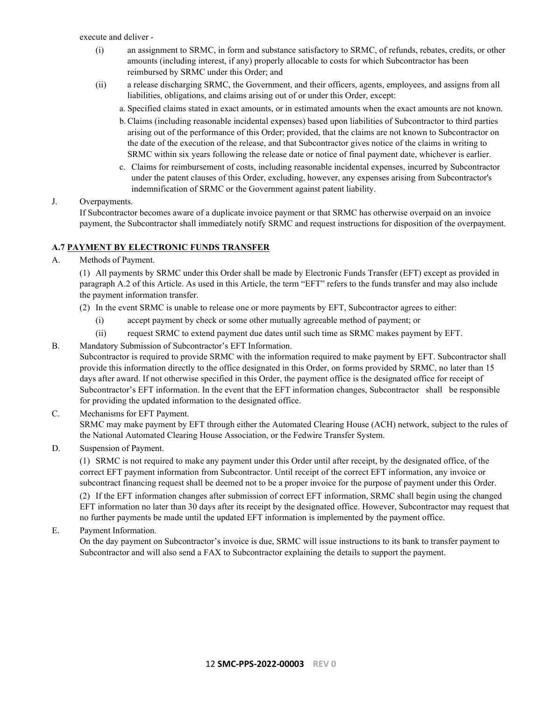execute and deliver -

- (i) an assignment to SRMC, in form and substance satisfactory to SRMC, of refunds, rebates, credits, or other amounts (including interest, if any) properly allocable to costs for which Subcontractor has been reimbursed by SRMC under this Order; and
- (ii) a release discharging SRMC, the Government, and their officers, agents, employees, and assigns from all liabilities, obligations, and claims arising out of or under this Order, except:
	- a. Specified claims stated in exact amounts, or in estimated amounts when the exact amounts are not known.
	- b.Claims (including reasonable incidental expenses) based upon liabilities of Subcontractor to third parties arising out of the performance of this Order; provided, that the claims are not known to Subcontractor on the date of the execution of the release, and that Subcontractor gives notice of the claims in writing to SRMC within six years following the release date or notice of final payment date, whichever is earlier.
	- c. Claims for reimbursement of costs, including reasonable incidental expenses, incurred by Subcontractor under the patent clauses of this Order, excluding, however, any expenses arising from Subcontractor's indemnification of SRMC or the Government against patent liability.

### J. Overpayments.

If Subcontractor becomes aware of a duplicate invoice payment or that SRMC has otherwise overpaid on an invoice payment, the Subcontractor shall immediately notify SRMC and request instructions for disposition of the overpayment.

### <span id="page-11-0"></span>**A.7 PAYMENT BY ELECTRONIC FUNDS TRANSFER**

A. Methods of Payment.

(1) All payments by SRMC under this Order shall be made by Electronic Funds Transfer (EFT) except as provided in paragraph A.2 of this Article. As used in this Article, the term "EFT" refers to the funds transfer and may also include the payment information transfer.

- (2) In the event SRMC is unable to release one or more payments by EFT, Subcontractor agrees to either:
	- (i) accept payment by check or some other mutually agreeable method of payment; or
	- (ii) request SRMC to extend payment due dates until such time as SRMC makes payment by EFT.
- B. Mandatory Submission of Subcontractor's EFT Information.

Subcontractor is required to provide SRMC with the information required to make payment by EFT. Subcontractor shall provide this information directly to the office designated in this Order, on forms provided by SRMC, no later than 15 days after award. If not otherwise specified in this Order, the payment office is the designated office for receipt of Subcontractor's EFT information. In the event that the EFT information changes, Subcontractor shall be responsible for providing the updated information to the designated office.

### C. Mechanisms for EFT Payment. SRMC may make payment by EFT through either the Automated Clearing House (ACH) network, subject to the rules of the National Automated Clearing House Association, or the Fedwire Transfer System.

no further payments be made until the updated EFT information is implemented by the payment office.

D. Suspension of Payment.

(1) SRMC is not required to make any payment under this Order until after receipt, by the designated office, of the correct EFT payment information from Subcontractor. Until receipt of the correct EFT information, any invoice or subcontract financing request shall be deemed not to be a proper invoice for the purpose of payment under this Order. (2) If the EFT information changes after submission of correct EFT information, SRMC shall begin using the changed EFT information no later than 30 days after its receipt by the designated office. However, Subcontractor may request that

E. Payment Information.

On the day payment on Subcontractor's invoice is due, SRMC will issue instructions to its bank to transfer payment to Subcontractor and will also send a FAX to Subcontractor explaining the details to support the payment.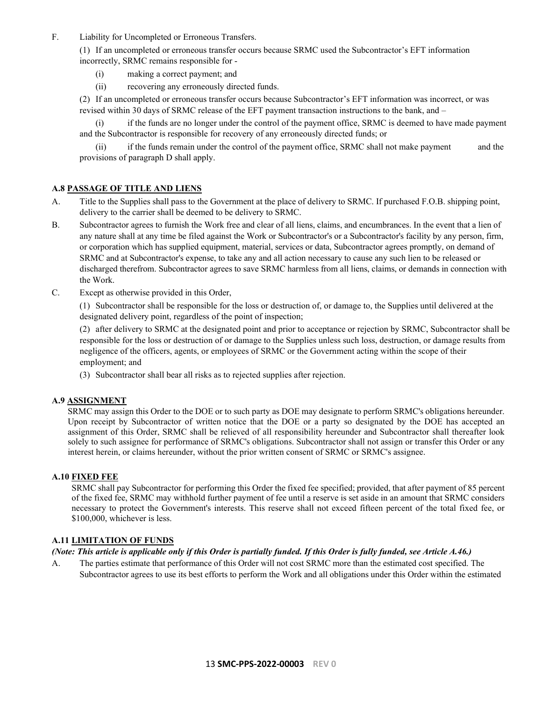F. Liability for Uncompleted or Erroneous Transfers.

(1) If an uncompleted or erroneous transfer occurs because SRMC used the Subcontractor's EFT information incorrectly, SRMC remains responsible for -

- (i) making a correct payment; and
- (ii) recovering any erroneously directed funds.

(2) If an uncompleted or erroneous transfer occurs because Subcontractor's EFT information was incorrect, or was revised within 30 days of SRMC release of the EFT payment transaction instructions to the bank, and –

if the funds are no longer under the control of the payment office, SRMC is deemed to have made payment and the Subcontractor is responsible for recovery of any erroneously directed funds; or

(ii) if the funds remain under the control of the payment office, SRMC shall not make payment and the provisions of paragraph D shall apply.

### <span id="page-12-0"></span>**A.8 PASSAGE OF TITLE AND LIENS**

- A. Title to the Supplies shall pass to the Government at the place of delivery to SRMC. If purchased F.O.B. shipping point, delivery to the carrier shall be deemed to be delivery to SRMC.
- B. Subcontractor agrees to furnish the Work free and clear of all liens, claims, and encumbrances. In the event that a lien of any nature shall at any time be filed against the Work or Subcontractor's or a Subcontractor's facility by any person, firm, or corporation which has supplied equipment, material, services or data, Subcontractor agrees promptly, on demand of SRMC and at Subcontractor's expense, to take any and all action necessary to cause any such lien to be released or discharged therefrom. Subcontractor agrees to save SRMC harmless from all liens, claims, or demands in connection with the Work.
- C. Except as otherwise provided in this Order,

(1) Subcontractor shall be responsible for the loss or destruction of, or damage to, the Supplies until delivered at the designated delivery point, regardless of the point of inspection;

(2) after delivery to SRMC at the designated point and prior to acceptance or rejection by SRMC, Subcontractor shall be responsible for the loss or destruction of or damage to the Supplies unless such loss, destruction, or damage results from negligence of the officers, agents, or employees of SRMC or the Government acting within the scope of their employment; and

(3) Subcontractor shall bear all risks as to rejected supplies after rejection.

### <span id="page-12-1"></span>**A.9 ASSIGNMENT**

SRMC may assign this Order to the DOE or to such party as DOE may designate to perform SRMC's obligations hereunder. Upon receipt by Subcontractor of written notice that the DOE or a party so designated by the DOE has accepted an assignment of this Order, SRMC shall be relieved of all responsibility hereunder and Subcontractor shall thereafter look solely to such assignee for performance of SRMC's obligations. Subcontractor shall not assign or transfer this Order or any interest herein, or claims hereunder, without the prior written consent of SRMC or SRMC's assignee.

### <span id="page-12-2"></span>**A.10 FIXED FEE**

SRMC shall pay Subcontractor for performing this Order the fixed fee specified; provided, that after payment of 85 percent of the fixed fee, SRMC may withhold further payment of fee until a reserve is set aside in an amount that SRMC considers necessary to protect the Government's interests. This reserve shall not exceed fifteen percent of the total fixed fee, or \$100,000, whichever is less.

### <span id="page-12-3"></span>**A.11 LIMITATION OF FUNDS**

### *(Note: This article is applicable only if this Order is partially funded. If this Order is fully funded, see Article A.46.)*

A. The parties estimate that performance of this Order will not cost SRMC more than the estimated cost specified. The Subcontractor agrees to use its best efforts to perform the Work and all obligations under this Order within the estimated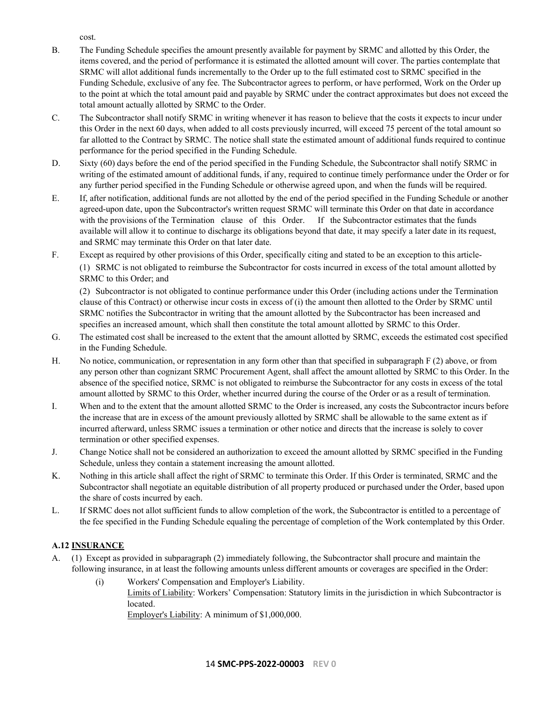cost.

- B. The Funding Schedule specifies the amount presently available for payment by SRMC and allotted by this Order, the items covered, and the period of performance it is estimated the allotted amount will cover. The parties contemplate that SRMC will allot additional funds incrementally to the Order up to the full estimated cost to SRMC specified in the Funding Schedule, exclusive of any fee. The Subcontractor agrees to perform, or have performed, Work on the Order up to the point at which the total amount paid and payable by SRMC under the contract approximates but does not exceed the total amount actually allotted by SRMC to the Order.
- C. The Subcontractor shall notify SRMC in writing whenever it has reason to believe that the costs it expects to incur under this Order in the next 60 days, when added to all costs previously incurred, will exceed 75 percent of the total amount so far allotted to the Contract by SRMC. The notice shall state the estimated amount of additional funds required to continue performance for the period specified in the Funding Schedule.
- D. Sixty (60) days before the end of the period specified in the Funding Schedule, the Subcontractor shall notify SRMC in writing of the estimated amount of additional funds, if any, required to continue timely performance under the Order or for any further period specified in the Funding Schedule or otherwise agreed upon, and when the funds will be required.
- E. If, after notification, additional funds are not allotted by the end of the period specified in the Funding Schedule or another agreed-upon date, upon the Subcontractor's written request SRMC will terminate this Order on that date in accordance with the provisions of the Termination clause of this Order. If the Subcontractor estimates that the funds available will allow it to continue to discharge its obligations beyond that date, it may specify a later date in its request, and SRMC may terminate this Order on that later date.
- F. Except as required by other provisions of this Order, specifically citing and stated to be an exception to this article- (1) SRMC is not obligated to reimburse the Subcontractor for costs incurred in excess of the total amount allotted by SRMC to this Order; and

(2) Subcontractor is not obligated to continue performance under this Order (including actions under the Termination clause of this Contract) or otherwise incur costs in excess of (i) the amount then allotted to the Order by SRMC until SRMC notifies the Subcontractor in writing that the amount allotted by the Subcontractor has been increased and specifies an increased amount, which shall then constitute the total amount allotted by SRMC to this Order.

- G. The estimated cost shall be increased to the extent that the amount allotted by SRMC, exceeds the estimated cost specified in the Funding Schedule.
- H. No notice, communication, or representation in any form other than that specified in subparagraph F (2) above, or from any person other than cognizant SRMC Procurement Agent, shall affect the amount allotted by SRMC to this Order. In the absence of the specified notice, SRMC is not obligated to reimburse the Subcontractor for any costs in excess of the total amount allotted by SRMC to this Order, whether incurred during the course of the Order or as a result of termination.
- I. When and to the extent that the amount allotted SRMC to the Order is increased, any costs the Subcontractor incurs before the increase that are in excess of the amount previously allotted by SRMC shall be allowable to the same extent as if incurred afterward, unless SRMC issues a termination or other notice and directs that the increase is solely to cover termination or other specified expenses.
- J. Change Notice shall not be considered an authorization to exceed the amount allotted by SRMC specified in the Funding Schedule, unless they contain a statement increasing the amount allotted.
- K. Nothing in this article shall affect the right of SRMC to terminate this Order. If this Order is terminated, SRMC and the Subcontractor shall negotiate an equitable distribution of all property produced or purchased under the Order, based upon the share of costs incurred by each.
- L. If SRMC does not allot sufficient funds to allow completion of the work, the Subcontractor is entitled to a percentage of the fee specified in the Funding Schedule equaling the percentage of completion of the Work contemplated by this Order.

# <span id="page-13-0"></span>**A.12 INSURANCE**

- A. (1) Except as provided in subparagraph (2) immediately following, the Subcontractor shall procure and maintain the following insurance, in at least the following amounts unless different amounts or coverages are specified in the Order:
	- (i) Workers' Compensation and Employer's Liability. Limits of Liability: Workers' Compensation: Statutory limits in the jurisdiction in which Subcontractor is located. Employer's Liability: A minimum of \$1,000,000.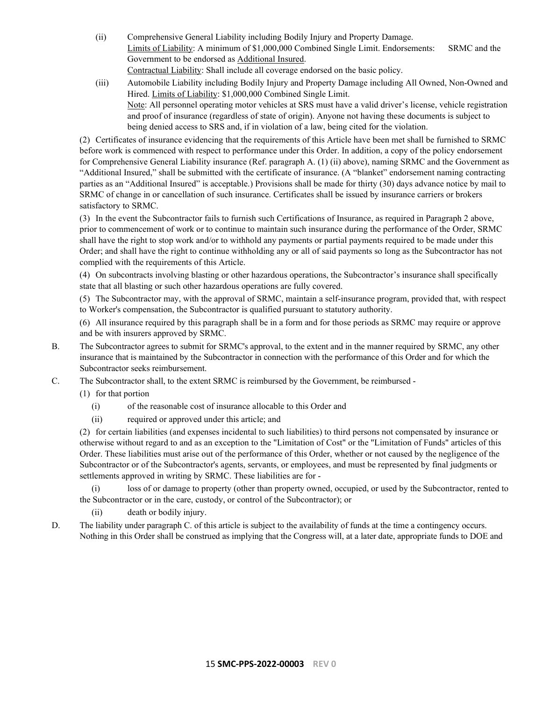- (ii) Comprehensive General Liability including Bodily Injury and Property Damage. Limits of Liability: A minimum of \$1,000,000 Combined Single Limit. Endorsements: SRMC and the Government to be endorsed as Additional Insured. Contractual Liability: Shall include all coverage endorsed on the basic policy.
- (iii) Automobile Liability including Bodily Injury and Property Damage including All Owned, Non-Owned and Hired. Limits of Liability: \$1,000,000 Combined Single Limit.

Note: All personnel operating motor vehicles at SRS must have a valid driver's license, vehicle registration and proof of insurance (regardless of state of origin). Anyone not having these documents is subject to being denied access to SRS and, if in violation of a law, being cited for the violation.

(2) Certificates of insurance evidencing that the requirements of this Article have been met shall be furnished to SRMC before work is commenced with respect to performance under this Order. In addition, a copy of the policy endorsement for Comprehensive General Liability insurance (Ref. paragraph A. (1) (ii) above), naming SRMC and the Government as "Additional Insured," shall be submitted with the certificate of insurance. (A "blanket" endorsement naming contracting parties as an "Additional Insured" is acceptable.) Provisions shall be made for thirty (30) days advance notice by mail to SRMC of change in or cancellation of such insurance. Certificates shall be issued by insurance carriers or brokers satisfactory to SRMC.

(3) In the event the Subcontractor fails to furnish such Certifications of Insurance, as required in Paragraph 2 above, prior to commencement of work or to continue to maintain such insurance during the performance of the Order, SRMC shall have the right to stop work and/or to withhold any payments or partial payments required to be made under this Order; and shall have the right to continue withholding any or all of said payments so long as the Subcontractor has not complied with the requirements of this Article.

(4) On subcontracts involving blasting or other hazardous operations, the Subcontractor's insurance shall specifically state that all blasting or such other hazardous operations are fully covered.

(5) The Subcontractor may, with the approval of SRMC, maintain a self-insurance program, provided that, with respect to Worker's compensation, the Subcontractor is qualified pursuant to statutory authority.

(6) All insurance required by this paragraph shall be in a form and for those periods as SRMC may require or approve and be with insurers approved by SRMC.

- B. The Subcontractor agrees to submit for SRMC's approval, to the extent and in the manner required by SRMC, any other insurance that is maintained by the Subcontractor in connection with the performance of this Order and for which the Subcontractor seeks reimbursement.
- C. The Subcontractor shall, to the extent SRMC is reimbursed by the Government, be reimbursed
	- (1) for that portion
		- (i) of the reasonable cost of insurance allocable to this Order and
		- (ii) required or approved under this article; and

(2) for certain liabilities (and expenses incidental to such liabilities) to third persons not compensated by insurance or otherwise without regard to and as an exception to the "Limitation of Cost" or the "Limitation of Funds" articles of this Order. These liabilities must arise out of the performance of this Order, whether or not caused by the negligence of the Subcontractor or of the Subcontractor's agents, servants, or employees, and must be represented by final judgments or settlements approved in writing by SRMC. These liabilities are for -

(i) loss of or damage to property (other than property owned, occupied, or used by the Subcontractor, rented to the Subcontractor or in the care, custody, or control of the Subcontractor); or

(ii) death or bodily injury.

D. The liability under paragraph C. of this article is subject to the availability of funds at the time a contingency occurs. Nothing in this Order shall be construed as implying that the Congress will, at a later date, appropriate funds to DOE and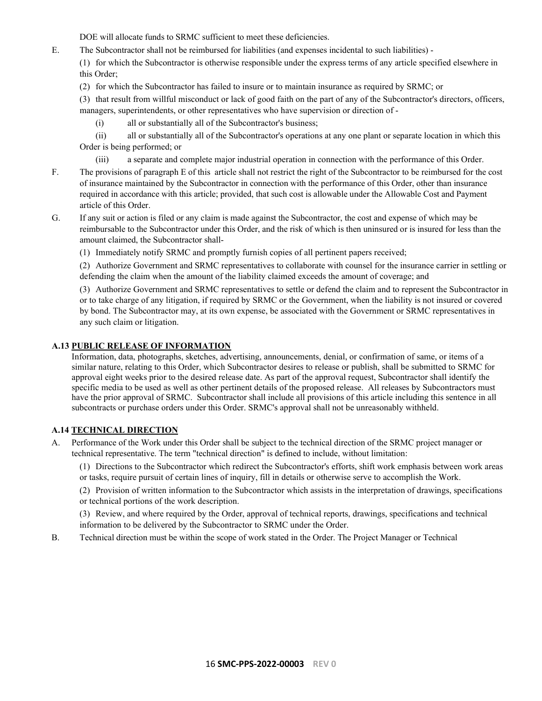DOE will allocate funds to SRMC sufficient to meet these deficiencies.

- E. The Subcontractor shall not be reimbursed for liabilities (and expenses incidental to such liabilities)
	- (1) for which the Subcontractor is otherwise responsible under the express terms of any article specified elsewhere in this Order;
	- (2) for which the Subcontractor has failed to insure or to maintain insurance as required by SRMC; or

(3) that result from willful misconduct or lack of good faith on the part of any of the Subcontractor's directors, officers, managers, superintendents, or other representatives who have supervision or direction of -

- (i) all or substantially all of the Subcontractor's business;
- (ii) all or substantially all of the Subcontractor's operations at any one plant or separate location in which this Order is being performed; or
	- (iii) a separate and complete major industrial operation in connection with the performance of this Order.
- F. The provisions of paragraph E of this article shall not restrict the right of the Subcontractor to be reimbursed for the cost of insurance maintained by the Subcontractor in connection with the performance of this Order, other than insurance required in accordance with this article; provided, that such cost is allowable under the Allowable Cost and Payment article of this Order.
- G. If any suit or action is filed or any claim is made against the Subcontractor, the cost and expense of which may be reimbursable to the Subcontractor under this Order, and the risk of which is then uninsured or is insured for less than the amount claimed, the Subcontractor shall-
	- (1) Immediately notify SRMC and promptly furnish copies of all pertinent papers received;

(2) Authorize Government and SRMC representatives to collaborate with counsel for the insurance carrier in settling or defending the claim when the amount of the liability claimed exceeds the amount of coverage; and

(3) Authorize Government and SRMC representatives to settle or defend the claim and to represent the Subcontractor in or to take charge of any litigation, if required by SRMC or the Government, when the liability is not insured or covered by bond. The Subcontractor may, at its own expense, be associated with the Government or SRMC representatives in any such claim or litigation.

### <span id="page-15-0"></span>**A.13 PUBLIC RELEASE OF INFORMATION**

Information, data, photographs, sketches, advertising, announcements, denial, or confirmation of same, or items of a similar nature, relating to this Order, which Subcontractor desires to release or publish, shall be submitted to SRMC for approval eight weeks prior to the desired release date. As part of the approval request, Subcontractor shall identify the specific media to be used as well as other pertinent details of the proposed release. All releases by Subcontractors must have the prior approval of SRMC. Subcontractor shall include all provisions of this article including this sentence in all subcontracts or purchase orders under this Order. SRMC's approval shall not be unreasonably withheld.

### <span id="page-15-1"></span>**A.14 TECHNICAL DIRECTION**

A. Performance of the Work under this Order shall be subject to the technical direction of the SRMC project manager or technical representative. The term "technical direction" is defined to include, without limitation:

(1) Directions to the Subcontractor which redirect the Subcontractor's efforts, shift work emphasis between work areas or tasks, require pursuit of certain lines of inquiry, fill in details or otherwise serve to accomplish the Work.

(2) Provision of written information to the Subcontractor which assists in the interpretation of drawings, specifications or technical portions of the work description.

(3) Review, and where required by the Order, approval of technical reports, drawings, specifications and technical information to be delivered by the Subcontractor to SRMC under the Order.

B. Technical direction must be within the scope of work stated in the Order. The Project Manager or Technical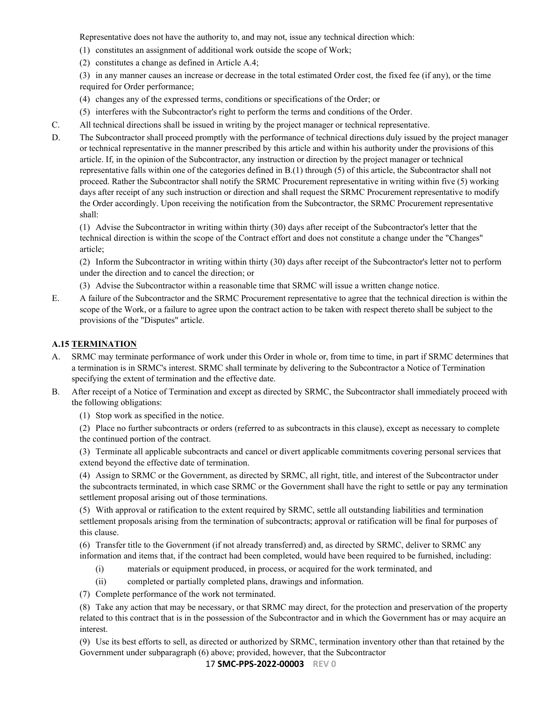Representative does not have the authority to, and may not, issue any technical direction which:

- (1) constitutes an assignment of additional work outside the scope of Work;
- (2) constitutes a change as defined in Article A.4;

(3) in any manner causes an increase or decrease in the total estimated Order cost, the fixed fee (if any), or the time required for Order performance;

- (4) changes any of the expressed terms, conditions or specifications of the Order; or
- (5) interferes with the Subcontractor's right to perform the terms and conditions of the Order.
- C. All technical directions shall be issued in writing by the project manager or technical representative.
- D. The Subcontractor shall proceed promptly with the performance of technical directions duly issued by the project manager or technical representative in the manner prescribed by this article and within his authority under the provisions of this article. If, in the opinion of the Subcontractor, any instruction or direction by the project manager or technical representative falls within one of the categories defined in B.(1) through (5) of this article, the Subcontractor shall not proceed. Rather the Subcontractor shall notify the SRMC Procurement representative in writing within five (5) working days after receipt of any such instruction or direction and shall request the SRMC Procurement representative to modify the Order accordingly. Upon receiving the notification from the Subcontractor, the SRMC Procurement representative shall:

(1) Advise the Subcontractor in writing within thirty (30) days after receipt of the Subcontractor's letter that the technical direction is within the scope of the Contract effort and does not constitute a change under the "Changes" article;

(2) Inform the Subcontractor in writing within thirty (30) days after receipt of the Subcontractor's letter not to perform under the direction and to cancel the direction; or

- (3) Advise the Subcontractor within a reasonable time that SRMC will issue a written change notice.
- E. A failure of the Subcontractor and the SRMC Procurement representative to agree that the technical direction is within the scope of the Work, or a failure to agree upon the contract action to be taken with respect thereto shall be subject to the provisions of the "Disputes" article.

### <span id="page-16-0"></span>**A.15 TERMINATION**

- A. SRMC may terminate performance of work under this Order in whole or, from time to time, in part if SRMC determines that a termination is in SRMC's interest. SRMC shall terminate by delivering to the Subcontractor a Notice of Termination specifying the extent of termination and the effective date.
- B. After receipt of a Notice of Termination and except as directed by SRMC, the Subcontractor shall immediately proceed with the following obligations:
	- (1) Stop work as specified in the notice.

(2) Place no further subcontracts or orders (referred to as subcontracts in this clause), except as necessary to complete the continued portion of the contract.

(3) Terminate all applicable subcontracts and cancel or divert applicable commitments covering personal services that extend beyond the effective date of termination.

(4) Assign to SRMC or the Government, as directed by SRMC, all right, title, and interest of the Subcontractor under the subcontracts terminated, in which case SRMC or the Government shall have the right to settle or pay any termination settlement proposal arising out of those terminations.

(5) With approval or ratification to the extent required by SRMC, settle all outstanding liabilities and termination settlement proposals arising from the termination of subcontracts; approval or ratification will be final for purposes of this clause.

(6) Transfer title to the Government (if not already transferred) and, as directed by SRMC, deliver to SRMC any information and items that, if the contract had been completed, would have been required to be furnished, including:

- (i) materials or equipment produced, in process, or acquired for the work terminated, and
- (ii) completed or partially completed plans, drawings and information.

(7) Complete performance of the work not terminated.

(8) Take any action that may be necessary, or that SRMC may direct, for the protection and preservation of the property related to this contract that is in the possession of the Subcontractor and in which the Government has or may acquire an interest.

(9) Use its best efforts to sell, as directed or authorized by SRMC, termination inventory other than that retained by the Government under subparagraph (6) above; provided, however, that the Subcontractor

17 **SMC-PPS-2022-00003 REV 0**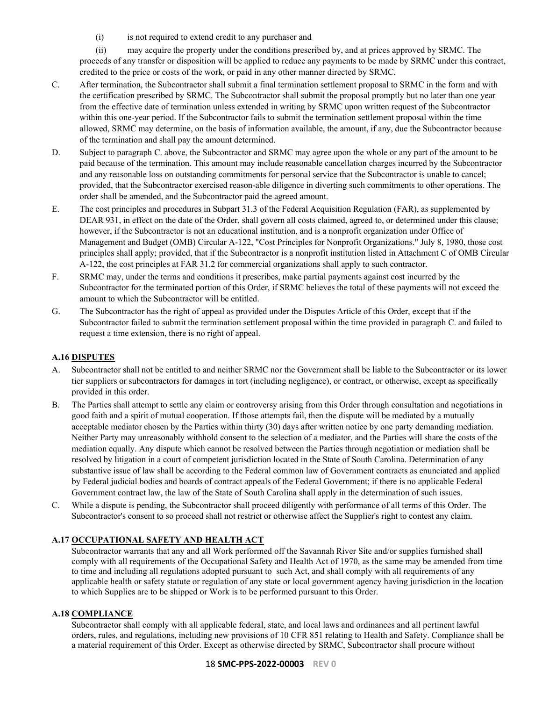(i) is not required to extend credit to any purchaser and

(ii) may acquire the property under the conditions prescribed by, and at prices approved by SRMC. The proceeds of any transfer or disposition will be applied to reduce any payments to be made by SRMC under this contract, credited to the price or costs of the work, or paid in any other manner directed by SRMC.

- C. After termination, the Subcontractor shall submit a final termination settlement proposal to SRMC in the form and with the certification prescribed by SRMC. The Subcontractor shall submit the proposal promptly but no later than one year from the effective date of termination unless extended in writing by SRMC upon written request of the Subcontractor within this one-year period. If the Subcontractor fails to submit the termination settlement proposal within the time allowed, SRMC may determine, on the basis of information available, the amount, if any, due the Subcontractor because of the termination and shall pay the amount determined.
- D. Subject to paragraph C. above, the Subcontractor and SRMC may agree upon the whole or any part of the amount to be paid because of the termination. This amount may include reasonable cancellation charges incurred by the Subcontractor and any reasonable loss on outstanding commitments for personal service that the Subcontractor is unable to cancel; provided, that the Subcontractor exercised reason-able diligence in diverting such commitments to other operations. The order shall be amended, and the Subcontractor paid the agreed amount.
- E. The cost principles and procedures in Subpart 31.3 of the Federal Acquisition Regulation (FAR), as supplemented by DEAR 931, in effect on the date of the Order, shall govern all costs claimed, agreed to, or determined under this clause; however, if the Subcontractor is not an educational institution, and is a nonprofit organization under Office of Management and Budget (OMB) Circular A-122, "Cost Principles for Nonprofit Organizations." July 8, 1980, those cost principles shall apply; provided, that if the Subcontractor is a nonprofit institution listed in Attachment C of OMB Circular A-122, the cost principles at FAR 31.2 for commercial organizations shall apply to such contractor.
- F. SRMC may, under the terms and conditions it prescribes, make partial payments against cost incurred by the Subcontractor for the terminated portion of this Order, if SRMC believes the total of these payments will not exceed the amount to which the Subcontractor will be entitled.
- G. The Subcontractor has the right of appeal as provided under the Disputes Article of this Order, except that if the Subcontractor failed to submit the termination settlement proposal within the time provided in paragraph C. and failed to request a time extension, there is no right of appeal.

# <span id="page-17-0"></span>**A.16 DISPUTES**

- A. Subcontractor shall not be entitled to and neither SRMC nor the Government shall be liable to the Subcontractor or its lower tier suppliers or subcontractors for damages in tort (including negligence), or contract, or otherwise, except as specifically provided in this order.
- B. The Parties shall attempt to settle any claim or controversy arising from this Order through consultation and negotiations in good faith and a spirit of mutual cooperation. If those attempts fail, then the dispute will be mediated by a mutually acceptable mediator chosen by the Parties within thirty (30) days after written notice by one party demanding mediation. Neither Party may unreasonably withhold consent to the selection of a mediator, and the Parties will share the costs of the mediation equally. Any dispute which cannot be resolved between the Parties through negotiation or mediation shall be resolved by litigation in a court of competent jurisdiction located in the State of South Carolina. Determination of any substantive issue of law shall be according to the Federal common law of Government contracts as enunciated and applied by Federal judicial bodies and boards of contract appeals of the Federal Government; if there is no applicable Federal Government contract law, the law of the State of South Carolina shall apply in the determination of such issues.
- C. While a dispute is pending, the Subcontractor shall proceed diligently with performance of all terms of this Order. The Subcontractor's consent to so proceed shall not restrict or otherwise affect the Supplier's right to contest any claim.

# <span id="page-17-1"></span>**A.17 OCCUPATIONAL SAFETY AND HEALTH ACT**

Subcontractor warrants that any and all Work performed off the Savannah River Site and/or supplies furnished shall comply with all requirements of the Occupational Safety and Health Act of 1970, as the same may be amended from time to time and including all regulations adopted pursuant to such Act, and shall comply with all requirements of any applicable health or safety statute or regulation of any state or local government agency having jurisdiction in the location to which Supplies are to be shipped or Work is to be performed pursuant to this Order.

# <span id="page-17-2"></span>**A.18 COMPLIANCE**

Subcontractor shall comply with all applicable federal, state, and local laws and ordinances and all pertinent lawful orders, rules, and regulations, including new provisions of 10 CFR 851 relating to Health and Safety. Compliance shall be a material requirement of this Order. Except as otherwise directed by SRMC, Subcontractor shall procure without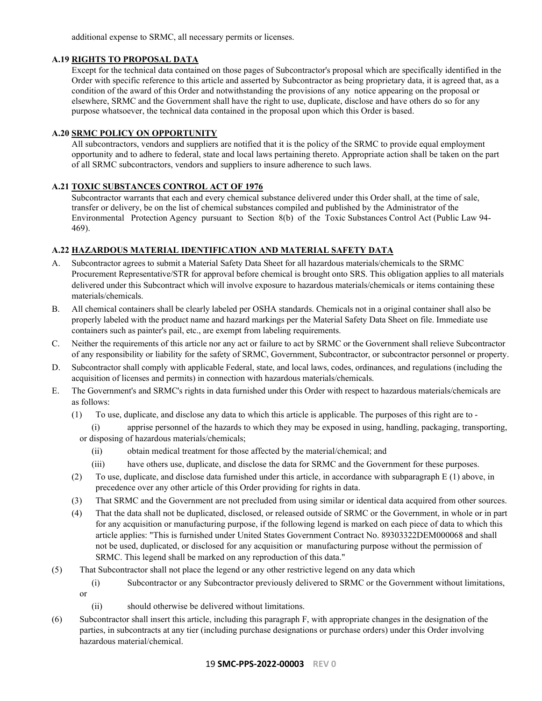additional expense to SRMC, all necessary permits or licenses.

# <span id="page-18-0"></span>**A.19 RIGHTS TO PROPOSAL DATA**

Except for the technical data contained on those pages of Subcontractor's proposal which are specifically identified in the Order with specific reference to this article and asserted by Subcontractor as being proprietary data, it is agreed that, as a condition of the award of this Order and notwithstanding the provisions of any notice appearing on the proposal or elsewhere, SRMC and the Government shall have the right to use, duplicate, disclose and have others do so for any purpose whatsoever, the technical data contained in the proposal upon which this Order is based.

### <span id="page-18-1"></span>**A.20 SRMC POLICY ON OPPORTUNITY**

All subcontractors, vendors and suppliers are notified that it is the policy of the SRMC to provide equal employment opportunity and to adhere to federal, state and local laws pertaining thereto. Appropriate action shall be taken on the part of all SRMC subcontractors, vendors and suppliers to insure adherence to such laws.

### <span id="page-18-2"></span>**A.21 TOXIC SUBSTANCES CONTROL ACT OF 1976**

Subcontractor warrants that each and every chemical substance delivered under this Order shall, at the time of sale, transfer or delivery, be on the list of chemical substances compiled and published by the Administrator of the Environmental Protection Agency pursuant to Section 8(b) of the Toxic Substances Control Act (Public Law 94- 469).

# <span id="page-18-3"></span>**A.22 HAZARDOUS MATERIAL IDENTIFICATION AND MATERIAL SAFETY DATA**

- A. Subcontractor agrees to submit a Material Safety Data Sheet for all hazardous materials/chemicals to the SRMC Procurement Representative/STR for approval before chemical is brought onto SRS. This obligation applies to all materials delivered under this Subcontract which will involve exposure to hazardous materials/chemicals or items containing these materials/chemicals.
- B. All chemical containers shall be clearly labeled per OSHA standards. Chemicals not in a original container shall also be properly labeled with the product name and hazard markings per the Material Safety Data Sheet on file. Immediate use containers such as painter's pail, etc., are exempt from labeling requirements.
- C. Neither the requirements of this article nor any act or failure to act by SRMC or the Government shall relieve Subcontractor of any responsibility or liability for the safety of SRMC, Government, Subcontractor, or subcontractor personnel or property.
- D. Subcontractor shall comply with applicable Federal, state, and local laws, codes, ordinances, and regulations (including the acquisition of licenses and permits) in connection with hazardous materials/chemicals.
- E. The Government's and SRMC's rights in data furnished under this Order with respect to hazardous materials/chemicals are as follows:
	- (1) To use, duplicate, and disclose any data to which this article is applicable. The purposes of this right are to
		- (i) apprise personnel of the hazards to which they may be exposed in using, handling, packaging, transporting, or disposing of hazardous materials/chemicals;
			- (ii) obtain medical treatment for those affected by the material/chemical; and
			- (iii) have others use, duplicate, and disclose the data for SRMC and the Government for these purposes.
	- (2) To use, duplicate, and disclose data furnished under this article, in accordance with subparagraph E (1) above, in precedence over any other article of this Order providing for rights in data.
	- (3) That SRMC and the Government are not precluded from using similar or identical data acquired from other sources.
	- (4) That the data shall not be duplicated, disclosed, or released outside of SRMC or the Government, in whole or in part for any acquisition or manufacturing purpose, if the following legend is marked on each piece of data to which this article applies: "This is furnished under United States Government Contract No. 89303322DEM000068 and shall not be used, duplicated, or disclosed for any acquisition or manufacturing purpose without the permission of SRMC. This legend shall be marked on any reproduction of this data."
- (5) That Subcontractor shall not place the legend or any other restrictive legend on any data which
	- (i) Subcontractor or any Subcontractor previously delivered to SRMC or the Government without limitations, or
		- (ii) should otherwise be delivered without limitations.
- (6) Subcontractor shall insert this article, including this paragraph F, with appropriate changes in the designation of the parties, in subcontracts at any tier (including purchase designations or purchase orders) under this Order involving hazardous material/chemical.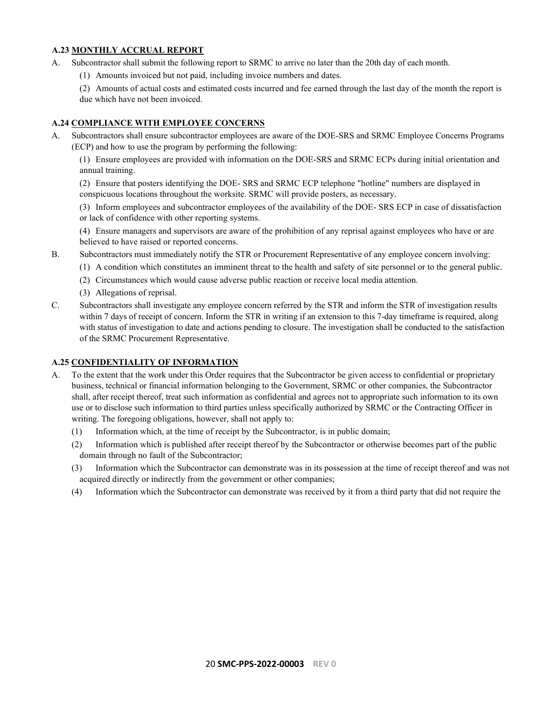### <span id="page-19-0"></span>**A.23 MONTHLY ACCRUAL REPORT**

- A. Subcontractor shall submit the following report to SRMC to arrive no later than the 20th day of each month.
	- (1) Amounts invoiced but not paid, including invoice numbers and dates.
	- (2) Amounts of actual costs and estimated costs incurred and fee earned through the last day of the month the report is
	- due which have not been invoiced.

#### <span id="page-19-1"></span>**A.24 COMPLIANCE WITH EMPLOYEE CONCERNS**

A. Subcontractors shall ensure subcontractor employees are aware of the DOE-SRS and SRMC Employee Concerns Programs (ECP) and how to use the program by performing the following:

(1) Ensure employees are provided with information on the DOE-SRS and SRMC ECPs during initial orientation and annual training.

(2) Ensure that posters identifying the DOE- SRS and SRMC ECP telephone "hotline" numbers are displayed in conspicuous locations throughout the worksite. SRMC will provide posters, as necessary.

(3) Inform employees and subcontractor employees of the availability of the DOE- SRS ECP in case of dissatisfaction or lack of confidence with other reporting systems.

(4) Ensure managers and supervisors are aware of the prohibition of any reprisal against employees who have or are believed to have raised or reported concerns.

- B. Subcontractors must immediately notify the STR or Procurement Representative of any employee concern involving:
	- (1) A condition which constitutes an imminent threat to the health and safety of site personnel or to the general public.
	- (2) Circumstances which would cause adverse public reaction or receive local media attention.
	- (3) Allegations of reprisal.
- C. Subcontractors shall investigate any employee concern referred by the STR and inform the STR of investigation results within 7 days of receipt of concern. Inform the STR in writing if an extension to this 7-day timeframe is required, along with status of investigation to date and actions pending to closure. The investigation shall be conducted to the satisfaction of the SRMC Procurement Representative.

### <span id="page-19-2"></span>**A.25 CONFIDENTIALITY OF INFORMATION**

- A. To the extent that the work under this Order requires that the Subcontractor be given access to confidential or proprietary business, technical or financial information belonging to the Government, SRMC or other companies, the Subcontractor shall, after receipt thereof, treat such information as confidential and agrees not to appropriate such information to its own use or to disclose such information to third parties unless specifically authorized by SRMC or the Contracting Officer in writing. The foregoing obligations, however, shall not apply to:
	- (1) Information which, at the time of receipt by the Subcontractor, is in public domain;
	- (2) Information which is published after receipt thereof by the Subcontractor or otherwise becomes part of the public domain through no fault of the Subcontractor;
	- (3) Information which the Subcontractor can demonstrate was in its possession at the time of receipt thereof and was not acquired directly or indirectly from the government or other companies;
	- (4) Information which the Subcontractor can demonstrate was received by it from a third party that did not require the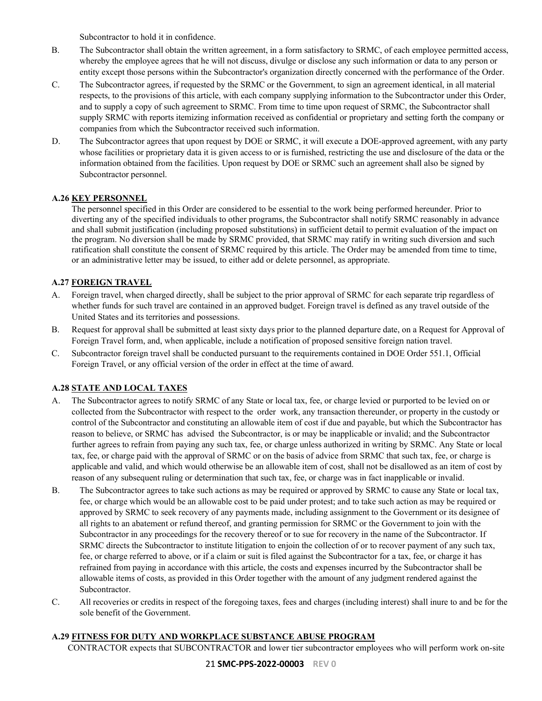Subcontractor to hold it in confidence.

- B. The Subcontractor shall obtain the written agreement, in a form satisfactory to SRMC, of each employee permitted access, whereby the employee agrees that he will not discuss, divulge or disclose any such information or data to any person or entity except those persons within the Subcontractor's organization directly concerned with the performance of the Order.
- C. The Subcontractor agrees, if requested by the SRMC or the Government, to sign an agreement identical, in all material respects, to the provisions of this article, with each company supplying information to the Subcontractor under this Order, and to supply a copy of such agreement to SRMC. From time to time upon request of SRMC, the Subcontractor shall supply SRMC with reports itemizing information received as confidential or proprietary and setting forth the company or companies from which the Subcontractor received such information.
- D. The Subcontractor agrees that upon request by DOE or SRMC, it will execute a DOE-approved agreement, with any party whose facilities or proprietary data it is given access to or is furnished, restricting the use and disclosure of the data or the information obtained from the facilities. Upon request by DOE or SRMC such an agreement shall also be signed by Subcontractor personnel.

# <span id="page-20-0"></span>**A.26 KEY PERSONNEL**

The personnel specified in this Order are considered to be essential to the work being performed hereunder. Prior to diverting any of the specified individuals to other programs, the Subcontractor shall notify SRMC reasonably in advance and shall submit justification (including proposed substitutions) in sufficient detail to permit evaluation of the impact on the program. No diversion shall be made by SRMC provided, that SRMC may ratify in writing such diversion and such ratification shall constitute the consent of SRMC required by this article. The Order may be amended from time to time, or an administrative letter may be issued, to either add or delete personnel, as appropriate.

# <span id="page-20-1"></span>**A.27 FOREIGN TRAVEL**

- A. Foreign travel, when charged directly, shall be subject to the prior approval of SRMC for each separate trip regardless of whether funds for such travel are contained in an approved budget. Foreign travel is defined as any travel outside of the United States and its territories and possessions.
- B. Request for approval shall be submitted at least sixty days prior to the planned departure date, on a Request for Approval of Foreign Travel form, and, when applicable, include a notification of proposed sensitive foreign nation travel.
- C. Subcontractor foreign travel shall be conducted pursuant to the requirements contained in DOE Order 551.1, Official Foreign Travel, or any official version of the order in effect at the time of award.

# <span id="page-20-2"></span>**A.28 STATE AND LOCAL TAXES**

- A. The Subcontractor agrees to notify SRMC of any State or local tax, fee, or charge levied or purported to be levied on or collected from the Subcontractor with respect to the order work, any transaction thereunder, or property in the custody or control of the Subcontractor and constituting an allowable item of cost if due and payable, but which the Subcontractor has reason to believe, or SRMC has advised the Subcontractor, is or may be inapplicable or invalid; and the Subcontractor further agrees to refrain from paying any such tax, fee, or charge unless authorized in writing by SRMC. Any State or local tax, fee, or charge paid with the approval of SRMC or on the basis of advice from SRMC that such tax, fee, or charge is applicable and valid, and which would otherwise be an allowable item of cost, shall not be disallowed as an item of cost by reason of any subsequent ruling or determination that such tax, fee, or charge was in fact inapplicable or invalid.
- B. The Subcontractor agrees to take such actions as may be required or approved by SRMC to cause any State or local tax, fee, or charge which would be an allowable cost to be paid under protest; and to take such action as may be required or approved by SRMC to seek recovery of any payments made, including assignment to the Government or its designee of all rights to an abatement or refund thereof, and granting permission for SRMC or the Government to join with the Subcontractor in any proceedings for the recovery thereof or to sue for recovery in the name of the Subcontractor. If SRMC directs the Subcontractor to institute litigation to enjoin the collection of or to recover payment of any such tax, fee, or charge referred to above, or if a claim or suit is filed against the Subcontractor for a tax, fee, or charge it has refrained from paying in accordance with this article, the costs and expenses incurred by the Subcontractor shall be allowable items of costs, as provided in this Order together with the amount of any judgment rendered against the Subcontractor.
- C. All recoveries or credits in respect of the foregoing taxes, fees and charges (including interest) shall inure to and be for the sole benefit of the Government.

### <span id="page-20-3"></span>**A.29 FITNESS FOR DUTY AND WORKPLACE SUBSTANCE ABUSE PROGRAM**

CONTRACTOR expects that SUBCONTRACTOR and lower tier subcontractor employees who will perform work on-site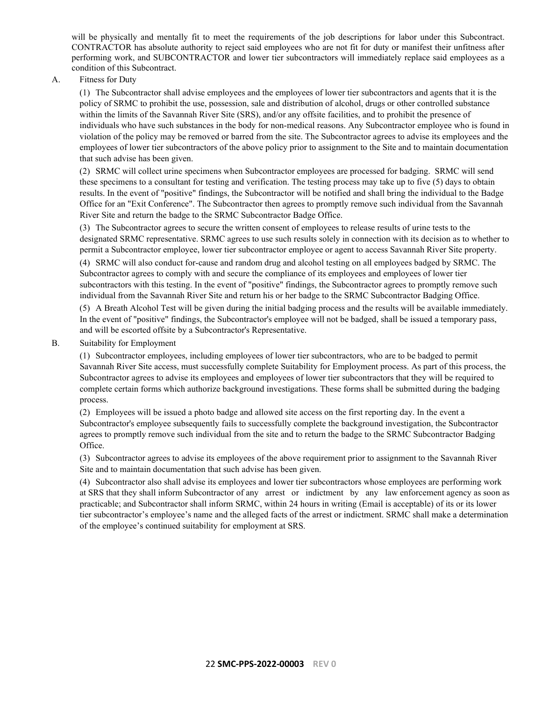will be physically and mentally fit to meet the requirements of the job descriptions for labor under this Subcontract. CONTRACTOR has absolute authority to reject said employees who are not fit for duty or manifest their unfitness after performing work, and SUBCONTRACTOR and lower tier subcontractors will immediately replace said employees as a condition of this Subcontract.

A. Fitness for Duty

(1) The Subcontractor shall advise employees and the employees of lower tier subcontractors and agents that it is the policy of SRMC to prohibit the use, possession, sale and distribution of alcohol, drugs or other controlled substance within the limits of the Savannah River Site (SRS), and/or any offsite facilities, and to prohibit the presence of individuals who have such substances in the body for non-medical reasons. Any Subcontractor employee who is found in violation of the policy may be removed or barred from the site. The Subcontractor agrees to advise its employees and the employees of lower tier subcontractors of the above policy prior to assignment to the Site and to maintain documentation that such advise has been given.

(2) SRMC will collect urine specimens when Subcontractor employees are processed for badging. SRMC will send these specimens to a consultant for testing and verification. The testing process may take up to five (5) days to obtain results. In the event of "positive" findings, the Subcontractor will be notified and shall bring the individual to the Badge Office for an "Exit Conference". The Subcontractor then agrees to promptly remove such individual from the Savannah River Site and return the badge to the SRMC Subcontractor Badge Office.

(3) The Subcontractor agrees to secure the written consent of employees to release results of urine tests to the designated SRMC representative. SRMC agrees to use such results solely in connection with its decision as to whether to permit a Subcontractor employee, lower tier subcontractor employee or agent to access Savannah River Site property.

(4) SRMC will also conduct for-cause and random drug and alcohol testing on all employees badged by SRMC. The Subcontractor agrees to comply with and secure the compliance of its employees and employees of lower tier subcontractors with this testing. In the event of "positive" findings, the Subcontractor agrees to promptly remove such individual from the Savannah River Site and return his or her badge to the SRMC Subcontractor Badging Office.

(5) A Breath Alcohol Test will be given during the initial badging process and the results will be available immediately. In the event of "positive" findings, the Subcontractor's employee will not be badged, shall be issued a temporary pass, and will be escorted offsite by a Subcontractor's Representative.

B. Suitability for Employment

(1) Subcontractor employees, including employees of lower tier subcontractors, who are to be badged to permit Savannah River Site access, must successfully complete Suitability for Employment process. As part of this process, the Subcontractor agrees to advise its employees and employees of lower tier subcontractors that they will be required to complete certain forms which authorize background investigations. These forms shall be submitted during the badging process.

(2) Employees will be issued a photo badge and allowed site access on the first reporting day. In the event a Subcontractor's employee subsequently fails to successfully complete the background investigation, the Subcontractor agrees to promptly remove such individual from the site and to return the badge to the SRMC Subcontractor Badging Office.

(3) Subcontractor agrees to advise its employees of the above requirement prior to assignment to the Savannah River Site and to maintain documentation that such advise has been given.

(4) Subcontractor also shall advise its employees and lower tier subcontractors whose employees are performing work at SRS that they shall inform Subcontractor of any arrest or indictment by any law enforcement agency as soon as practicable; and Subcontractor shall inform SRMC, within 24 hours in writing (Email is acceptable) of its or its lower tier subcontractor's employee's name and the alleged facts of the arrest or indictment. SRMC shall make a determination of the employee's continued suitability for employment at SRS.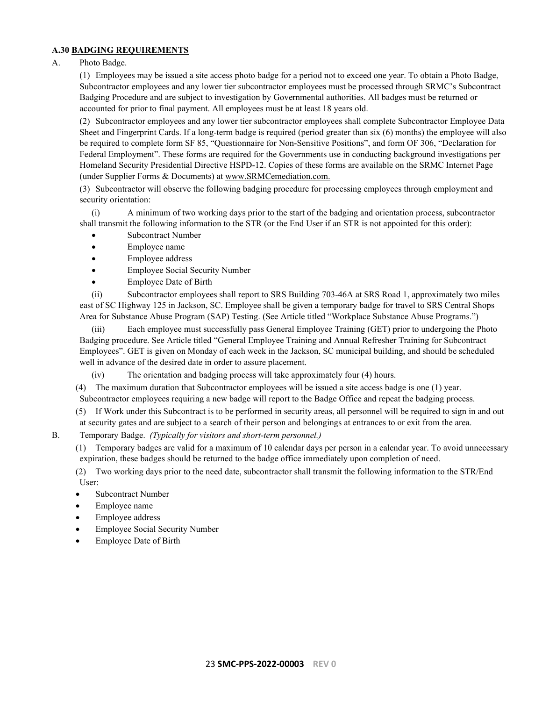### <span id="page-22-0"></span>**A.30 BADGING REQUIREMENTS**

A. Photo Badge.

(1) Employees may be issued a site access photo badge for a period not to exceed one year. To obtain a Photo Badge, Subcontractor employees and any lower tier subcontractor employees must be processed through SRMC's Subcontract Badging Procedure and are subject to investigation by Governmental authorities. All badges must be returned or accounted for prior to final payment. All employees must be at least 18 years old.

(2) Subcontractor employees and any lower tier subcontractor employees shall complete Subcontractor Employee Data Sheet and Fingerprint Cards. If a long-term badge is required (period greater than six (6) months) the employee will also be required to complete form SF 85, "Questionnaire for Non-Sensitive Positions", and form OF 306, "Declaration for Federal Employment". These forms are required for the Governments use in conducting background investigations per Homeland Security Presidential Directive HSPD-12. Copies of these forms are available on the SRMC Internet Page (under Supplier Forms & Documents) a[t www.SRMCemediation.com.](http://www.srremediation.com./)

(3) Subcontractor will observe the following badging procedure for processing employees through employment and security orientation:

(i) A minimum of two working days prior to the start of the badging and orientation process, subcontractor shall transmit the following information to the STR (or the End User if an STR is not appointed for this order):

- Subcontract Number
- Employee name
- Employee address
- Employee Social Security Number
- Employee Date of Birth

(ii) Subcontractor employees shall report to SRS Building 703-46A at SRS Road 1, approximately two miles east of SC Highway 125 in Jackson, SC. Employee shall be given a temporary badge for travel to SRS Central Shops Area for Substance Abuse Program (SAP) Testing. (See Article titled "Workplace Substance Abuse Programs.")

(iii) Each employee must successfully pass General Employee Training (GET) prior to undergoing the Photo Badging procedure. See Article titled "General Employee Training and Annual Refresher Training for Subcontract Employees". GET is given on Monday of each week in the Jackson, SC municipal building, and should be scheduled well in advance of the desired date in order to assure placement.

(iv) The orientation and badging process will take approximately four (4) hours.

(4) The maximum duration that Subcontractor employees will be issued a site access badge is one (1) year. Subcontractor employees requiring a new badge will report to the Badge Office and repeat the badging process.

(5) If Work under this Subcontract is to be performed in security areas, all personnel will be required to sign in and out at security gates and are subject to a search of their person and belongings at entrances to or exit from the area.

B. Temporary Badge. *(Typically for visitors and short-term personnel.)*

(1) Temporary badges are valid for a maximum of 10 calendar days per person in a calendar year. To avoid unnecessary expiration, these badges should be returned to the badge office immediately upon completion of need.

(2) Two working days prior to the need date, subcontractor shall transmit the following information to the STR/End User:

- Subcontract Number
- Employee name
- Employee address
- Employee Social Security Number
- Employee Date of Birth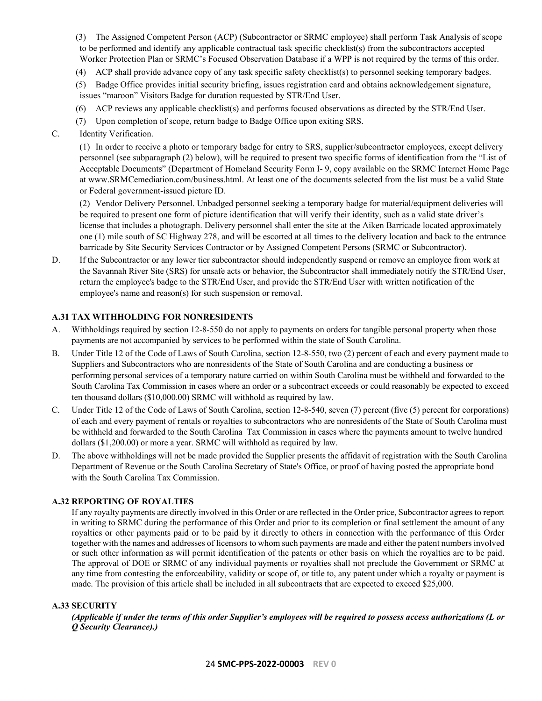- (3) The Assigned Competent Person (ACP) (Subcontractor or SRMC employee) shall perform Task Analysis of scope to be performed and identify any applicable contractual task specific checklist(s) from the subcontractors accepted Worker Protection Plan or SRMC's Focused Observation Database if a WPP is not required by the terms of this order.
- (4) ACP shall provide advance copy of any task specific safety checklist(s) to personnel seeking temporary badges.
- (5) Badge Office provides initial security briefing, issues registration card and obtains acknowledgement signature, issues "maroon" Visitors Badge for duration requested by STR/End User.
- (6) ACP reviews any applicable checklist(s) and performs focused observations as directed by the STR/End User.
- (7) Upon completion of scope, return badge to Badge Office upon exiting SRS.
- C. Identity Verification.

(1) In order to receive a photo or temporary badge for entry to SRS, supplier/subcontractor employees, except delivery personnel (see subparagraph (2) below), will be required to present two specific forms of identification from the "List of Acceptable Documents" (Department of Homeland Security Form I- 9, copy available on the SRMC Internet Home Page at www.SRMCemediation.com/business.html. At least one of the documents selected from the list must be a valid State or Federal government-issued picture ID.

(2) Vendor Delivery Personnel. Unbadged personnel seeking a temporary badge for material/equipment deliveries will be required to present one form of picture identification that will verify their identity, such as a valid state driver's license that includes a photograph. Delivery personnel shall enter the site at the Aiken Barricade located approximately one (1) mile south of SC Highway 278, and will be escorted at all times to the delivery location and back to the entrance barricade by Site Security Services Contractor or by Assigned Competent Persons (SRMC or Subcontractor).

D. If the Subcontractor or any lower tier subcontractor should independently suspend or remove an employee from work at the Savannah River Site (SRS) for unsafe acts or behavior, the Subcontractor shall immediately notify the STR/End User, return the employee's badge to the STR/End User, and provide the STR/End User with written notification of the employee's name and reason(s) for such suspension or removal.

### <span id="page-23-0"></span>**A.31 TAX WITHHOLDING FOR NONRESIDENTS**

- A. Withholdings required by section 12-8-550 do not apply to payments on orders for tangible personal property when those payments are not accompanied by services to be performed within the state of South Carolina.
- B. Under Title 12 of the Code of Laws of South Carolina, section 12-8-550, two (2) percent of each and every payment made to Suppliers and Subcontractors who are nonresidents of the State of South Carolina and are conducting a business or performing personal services of a temporary nature carried on within South Carolina must be withheld and forwarded to the South Carolina Tax Commission in cases where an order or a subcontract exceeds or could reasonably be expected to exceed ten thousand dollars (\$10,000.00) SRMC will withhold as required by law.
- C. Under Title 12 of the Code of Laws of South Carolina, section 12-8-540, seven (7) percent (five (5) percent for corporations) of each and every payment of rentals or royalties to subcontractors who are nonresidents of the State of South Carolina must be withheld and forwarded to the South Carolina Tax Commission in cases where the payments amount to twelve hundred dollars (\$1,200.00) or more a year. SRMC will withhold as required by law.
- D. The above withholdings will not be made provided the Supplier presents the affidavit of registration with the South Carolina Department of Revenue or the South Carolina Secretary of State's Office, or proof of having posted the appropriate bond with the South Carolina Tax Commission.

### <span id="page-23-1"></span>**A.32 REPORTING OF ROYALTIES**

If any royalty payments are directly involved in this Order or are reflected in the Order price, Subcontractor agrees to report in writing to SRMC during the performance of this Order and prior to its completion or final settlement the amount of any royalties or other payments paid or to be paid by it directly to others in connection with the performance of this Order together with the names and addresses of licensors to whom such payments are made and either the patent numbers involved or such other information as will permit identification of the patents or other basis on which the royalties are to be paid. The approval of DOE or SRMC of any individual payments or royalties shall not preclude the Government or SRMC at any time from contesting the enforceability, validity or scope of, or title to, any patent under which a royalty or payment is made. The provision of this article shall be included in all subcontracts that are expected to exceed \$25,000.

### <span id="page-23-2"></span>**A.33 SECURITY**

*(Applicable if under the terms of this order Supplier's employees will be required to possess access authorizations (L or Q Security Clearance).)*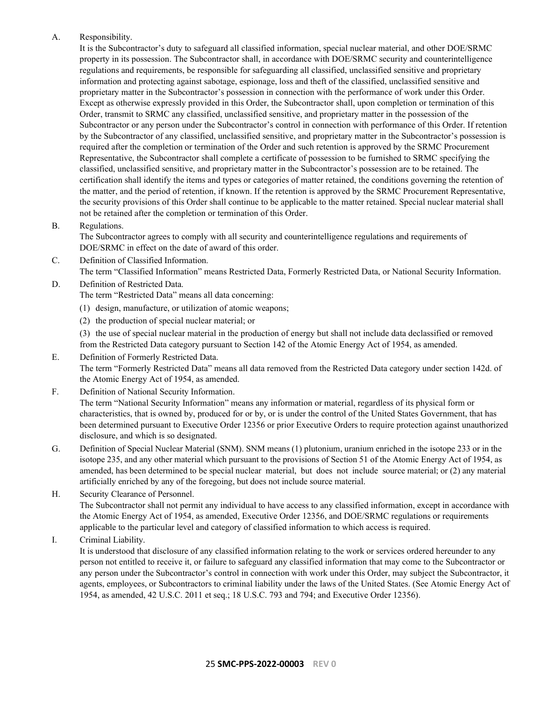### A. Responsibility.

It is the Subcontractor's duty to safeguard all classified information, special nuclear material, and other DOE/SRMC property in its possession. The Subcontractor shall, in accordance with DOE/SRMC security and counterintelligence regulations and requirements, be responsible for safeguarding all classified, unclassified sensitive and proprietary information and protecting against sabotage, espionage, loss and theft of the classified, unclassified sensitive and proprietary matter in the Subcontractor's possession in connection with the performance of work under this Order. Except as otherwise expressly provided in this Order, the Subcontractor shall, upon completion or termination of this Order, transmit to SRMC any classified, unclassified sensitive, and proprietary matter in the possession of the Subcontractor or any person under the Subcontractor's control in connection with performance of this Order. If retention by the Subcontractor of any classified, unclassified sensitive, and proprietary matter in the Subcontractor's possession is required after the completion or termination of the Order and such retention is approved by the SRMC Procurement Representative, the Subcontractor shall complete a certificate of possession to be furnished to SRMC specifying the classified, unclassified sensitive, and proprietary matter in the Subcontractor's possession are to be retained. The certification shall identify the items and types or categories of matter retained, the conditions governing the retention of the matter, and the period of retention, if known. If the retention is approved by the SRMC Procurement Representative, the security provisions of this Order shall continue to be applicable to the matter retained. Special nuclear material shall not be retained after the completion or termination of this Order.

### B. Regulations.

The Subcontractor agrees to comply with all security and counterintelligence regulations and requirements of DOE/SRMC in effect on the date of award of this order.

- C. Definition of Classified Information. The term "Classified Information" means Restricted Data, Formerly Restricted Data, or National Security Information.
- D. Definition of Restricted Data.

The term "Restricted Data" means all data concerning:

- (1) design, manufacture, or utilization of atomic weapons;
- (2) the production of special nuclear material; or

(3) the use of special nuclear material in the production of energy but shall not include data declassified or removed from the Restricted Data category pursuant to Section 142 of the Atomic Energy Act of 1954, as amended.

- E. Definition of Formerly Restricted Data. The term "Formerly Restricted Data" means all data removed from the Restricted Data category under section 142d. of the Atomic Energy Act of 1954, as amended.
- F. Definition of National Security Information. The term "National Security Information" means any information or material, regardless of its physical form or characteristics, that is owned by, produced for or by, or is under the control of the United States Government, that has been determined pursuant to Executive Order 12356 or prior Executive Orders to require protection against unauthorized disclosure, and which is so designated.
- G. Definition of Special Nuclear Material (SNM). SNM means (1) plutonium, uranium enriched in the isotope 233 or in the isotope 235, and any other material which pursuant to the provisions of Section 51 of the Atomic Energy Act of 1954, as amended, has been determined to be special nuclear material, but does not include source material; or (2) any material artificially enriched by any of the foregoing, but does not include source material.
- H. Security Clearance of Personnel. The Subcontractor shall not permit any individual to have access to any classified information, except in accordance with the Atomic Energy Act of 1954, as amended, Executive Order 12356, and DOE/SRMC regulations or requirements applicable to the particular level and category of classified information to which access is required.

I. Criminal Liability.

It is understood that disclosure of any classified information relating to the work or services ordered hereunder to any person not entitled to receive it, or failure to safeguard any classified information that may come to the Subcontractor or any person under the Subcontractor's control in connection with work under this Order, may subject the Subcontractor, it agents, employees, or Subcontractors to criminal liability under the laws of the United States. (See Atomic Energy Act of 1954, as amended, 42 U.S.C. 2011 et seq.; 18 U.S.C. 793 and 794; and Executive Order 12356).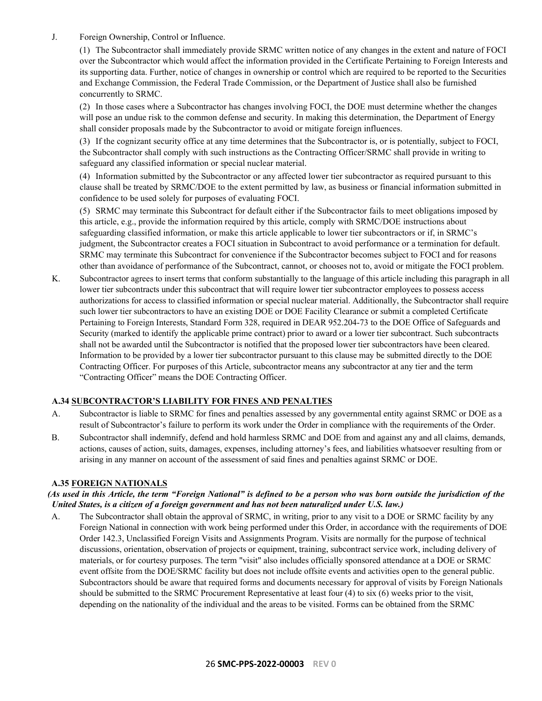J. Foreign Ownership, Control or Influence.

(1) The Subcontractor shall immediately provide SRMC written notice of any changes in the extent and nature of FOCI over the Subcontractor which would affect the information provided in the Certificate Pertaining to Foreign Interests and its supporting data. Further, notice of changes in ownership or control which are required to be reported to the Securities and Exchange Commission, the Federal Trade Commission, or the Department of Justice shall also be furnished concurrently to SRMC.

(2) In those cases where a Subcontractor has changes involving FOCI, the DOE must determine whether the changes will pose an undue risk to the common defense and security. In making this determination, the Department of Energy shall consider proposals made by the Subcontractor to avoid or mitigate foreign influences.

(3) If the cognizant security office at any time determines that the Subcontractor is, or is potentially, subject to FOCI, the Subcontractor shall comply with such instructions as the Contracting Officer/SRMC shall provide in writing to safeguard any classified information or special nuclear material.

(4) Information submitted by the Subcontractor or any affected lower tier subcontractor as required pursuant to this clause shall be treated by SRMC/DOE to the extent permitted by law, as business or financial information submitted in confidence to be used solely for purposes of evaluating FOCI.

(5) SRMC may terminate this Subcontract for default either if the Subcontractor fails to meet obligations imposed by this article, e.g., provide the information required by this article, comply with SRMC/DOE instructions about safeguarding classified information, or make this article applicable to lower tier subcontractors or if, in SRMC's judgment, the Subcontractor creates a FOCI situation in Subcontract to avoid performance or a termination for default. SRMC may terminate this Subcontract for convenience if the Subcontractor becomes subject to FOCI and for reasons other than avoidance of performance of the Subcontract, cannot, or chooses not to, avoid or mitigate the FOCI problem.

K. Subcontractor agrees to insert terms that conform substantially to the language of this article including this paragraph in all lower tier subcontracts under this subcontract that will require lower tier subcontractor employees to possess access authorizations for access to classified information or special nuclear material. Additionally, the Subcontractor shall require such lower tier subcontractors to have an existing DOE or DOE Facility Clearance or submit a completed Certificate Pertaining to Foreign Interests, Standard Form 328, required in DEAR 952.204-73 to the DOE Office of Safeguards and Security (marked to identify the applicable prime contract) prior to award or a lower tier subcontract. Such subcontracts shall not be awarded until the Subcontractor is notified that the proposed lower tier subcontractors have been cleared. Information to be provided by a lower tier subcontractor pursuant to this clause may be submitted directly to the DOE Contracting Officer. For purposes of this Article, subcontractor means any subcontractor at any tier and the term "Contracting Officer" means the DOE Contracting Officer.

# <span id="page-25-0"></span>**A.34 SUBCONTRACTOR'S LIABILITY FOR FINES AND PENALTIES**

- A. Subcontractor is liable to SRMC for fines and penalties assessed by any governmental entity against SRMC or DOE as a result of Subcontractor's failure to perform its work under the Order in compliance with the requirements of the Order.
- B. Subcontractor shall indemnify, defend and hold harmless SRMC and DOE from and against any and all claims, demands, actions, causes of action, suits, damages, expenses, including attorney's fees, and liabilities whatsoever resulting from or arising in any manner on account of the assessment of said fines and penalties against SRMC or DOE.

### <span id="page-25-1"></span>**A.35 FOREIGN NATIONALS**

### *(As used in this Article, the term "Foreign National" is defined to be a person who was born outside the jurisdiction of the United States, is a citizen of a foreign government and has not been naturalized under U.S. law.)*

A. The Subcontractor shall obtain the approval of SRMC, in writing, prior to any visit to a DOE or SRMC facility by any Foreign National in connection with work being performed under this Order, in accordance with the requirements of DOE Order 142.3, Unclassified Foreign Visits and Assignments Program. Visits are normally for the purpose of technical discussions, orientation, observation of projects or equipment, training, subcontract service work, including delivery of materials, or for courtesy purposes. The term "visit" also includes officially sponsored attendance at a DOE or SRMC event offsite from the DOE/SRMC facility but does not include offsite events and activities open to the general public. Subcontractors should be aware that required forms and documents necessary for approval of visits by Foreign Nationals should be submitted to the SRMC Procurement Representative at least four (4) to six (6) weeks prior to the visit, depending on the nationality of the individual and the areas to be visited. Forms can be obtained from the SRMC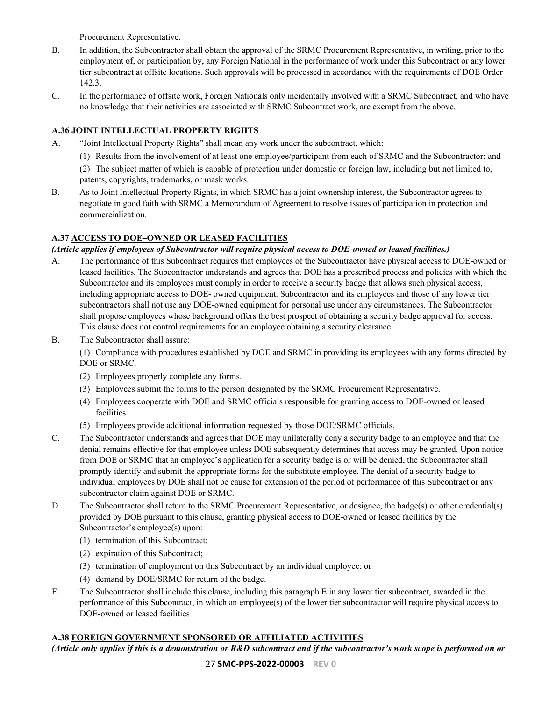Procurement Representative.

- B. In addition, the Subcontractor shall obtain the approval of the SRMC Procurement Representative, in writing, prior to the employment of, or participation by, any Foreign National in the performance of work under this Subcontract or any lower tier subcontract at offsite locations. Such approvals will be processed in accordance with the requirements of DOE Order 142.3.
- C. In the performance of offsite work, Foreign Nationals only incidentally involved with a SRMC Subcontract, and who have no knowledge that their activities are associated with SRMC Subcontract work, are exempt from the above.

# <span id="page-26-0"></span>**A.36 JOINT INTELLECTUAL PROPERTY RIGHTS**

- A. "Joint Intellectual Property Rights" shall mean any work under the subcontract, which:
	- (1) Results from the involvement of at least one employee/participant from each of SRMC and the Subcontractor; and
		- (2) The subject matter of which is capable of protection under domestic or foreign law, including but not limited to, patents, copyrights, trademarks, or mask works.
- B. As to Joint Intellectual Property Rights, in which SRMC has a joint ownership interest, the Subcontractor agrees to negotiate in good faith with SRMC a Memorandum of Agreement to resolve issues of participation in protection and commercialization.

# <span id="page-26-1"></span>**A.37 ACCESS TO DOE–OWNED OR LEASED FACILITIES**

# *(Article applies if employees of Subcontractor will require physical access to DOE-owned or leased facilities.)*

- A. The performance of this Subcontract requires that employees of the Subcontractor have physical access to DOE-owned or leased facilities. The Subcontractor understands and agrees that DOE has a prescribed process and policies with which the Subcontractor and its employees must comply in order to receive a security badge that allows such physical access, including appropriate access to DOE- owned equipment. Subcontractor and its employees and those of any lower tier subcontractors shall not use any DOE-owned equipment for personal use under any circumstances. The Subcontractor shall propose employees whose background offers the best prospect of obtaining a security badge approval for access. This clause does not control requirements for an employee obtaining a security clearance.
- B. The Subcontractor shall assure:

(1) Compliance with procedures established by DOE and SRMC in providing its employees with any forms directed by DOE or SRMC.

- (2) Employees properly complete any forms.
- (3) Employees submit the forms to the person designated by the SRMC Procurement Representative.
- (4) Employees cooperate with DOE and SRMC officials responsible for granting access to DOE-owned or leased facilities.
- (5) Employees provide additional information requested by those DOE/SRMC officials.
- C. The Subcontractor understands and agrees that DOE may unilaterally deny a security badge to an employee and that the denial remains effective for that employee unless DOE subsequently determines that access may be granted. Upon notice from DOE or SRMC that an employee's application for a security badge is or will be denied, the Subcontractor shall promptly identify and submit the appropriate forms for the substitute employee. The denial of a security badge to individual employees by DOE shall not be cause for extension of the period of performance of this Subcontract or any subcontractor claim against DOE or SRMC.
- D. The Subcontractor shall return to the SRMC Procurement Representative, or designee, the badge(s) or other credential(s) provided by DOE pursuant to this clause, granting physical access to DOE-owned or leased facilities by the Subcontractor's employee(s) upon:
	- (1) termination of this Subcontract;
	- (2) expiration of this Subcontract;
	- (3) termination of employment on this Subcontract by an individual employee; or
	- (4) demand by DOE/SRMC for return of the badge.
- E. The Subcontractor shall include this clause, including this paragraph E in any lower tier subcontract, awarded in the performance of this Subcontract, in which an employee(s) of the lower tier subcontractor will require physical access to DOE-owned or leased facilities

### <span id="page-26-2"></span>**A.38 FOREIGN GOVERNMENT SPONSORED OR AFFILIATED ACTIVITIES**

*(Article only applies if this is a demonstration or R&D subcontract and if the subcontractor's work scope is performed on or*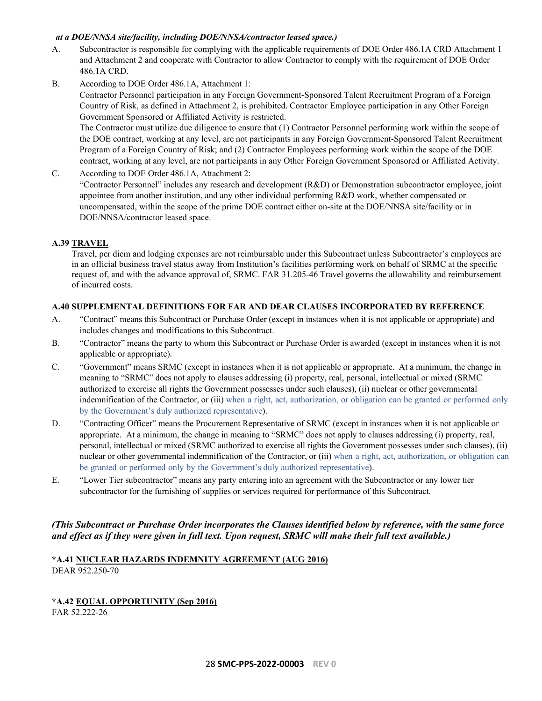### *at a DOE/NNSA site/facility, including DOE/NNSA/contractor leased space.)*

- A. Subcontractor is responsible for complying with the applicable requirements of DOE Order 486.1A CRD Attachment 1 and Attachment 2 and cooperate with Contractor to allow Contractor to comply with the requirement of DOE Order 486.1A CRD.
- B. According to DOE Order 486.1A, Attachment 1:

Contractor Personnel participation in any Foreign Government-Sponsored Talent Recruitment Program of a Foreign Country of Risk, as defined in Attachment 2, is prohibited. Contractor Employee participation in any Other Foreign Government Sponsored or Affiliated Activity is restricted.

The Contractor must utilize due diligence to ensure that (1) Contractor Personnel performing work within the scope of the DOE contract, working at any level, are not participants in any Foreign Government-Sponsored Talent Recruitment Program of a Foreign Country of Risk; and (2) Contractor Employees performing work within the scope of the DOE contract, working at any level, are not participants in any Other Foreign Government Sponsored or Affiliated Activity.

C. According to DOE Order 486.1A, Attachment 2:

"Contractor Personnel" includes any research and development (R&D) or Demonstration subcontractor employee, joint appointee from another institution, and any other individual performing R&D work, whether compensated or uncompensated, within the scope of the prime DOE contract either on-site at the DOE/NNSA site/facility or in DOE/NNSA/contractor leased space.

# <span id="page-27-0"></span>**A.39 TRAVEL**

Travel, per diem and lodging expenses are not reimbursable under this Subcontract unless Subcontractor's employees are in an official business travel status away from Institution's facilities performing work on behalf of SRMC at the specific request of, and with the advance approval of, SRMC. FAR 31.205-46 Travel governs the allowability and reimbursement of incurred costs.

# <span id="page-27-1"></span>**A.40 SUPPLEMENTAL DEFINITIONS FOR FAR AND DEAR CLAUSES INCORPORATED BY REFERENCE**

- A. "Contract" means this Subcontract or Purchase Order (except in instances when it is not applicable or appropriate) and includes changes and modifications to this Subcontract.
- B. "Contractor" means the party to whom this Subcontract or Purchase Order is awarded (except in instances when it is not applicable or appropriate).
- C. "Government" means SRMC (except in instances when it is not applicable or appropriate. At a minimum, the change in meaning to "SRMC" does not apply to clauses addressing (i) property, real, personal, intellectual or mixed (SRMC authorized to exercise all rights the Government possesses under such clauses), (ii) nuclear or other governmental indemnification of the Contractor, or (iii) when a right, act, authorization, or obligation can be granted or performed only by the Government's duly authorized representative).
- D. "Contracting Officer" means the Procurement Representative of SRMC (except in instances when it is not applicable or appropriate. At a minimum, the change in meaning to "SRMC" does not apply to clauses addressing (i) property, real, personal, intellectual or mixed (SRMC authorized to exercise all rights the Government possesses under such clauses), (ii) nuclear or other governmental indemnification of the Contractor, or (iii) when a right, act, authorization, or obligation can be granted or performed only by the Government's duly authorized representative).
- E. "Lower Tier subcontractor" means any party entering into an agreement with the Subcontractor or any lower tier subcontractor for the furnishing of supplies or services required for performance of this Subcontract.

# *(This Subcontract or Purchase Order incorporates the Clauses identified below by reference, with the same force and effect as if they were given in full text. Upon request, SRMC will make their full text available.)*

### <span id="page-27-2"></span>**\*A.41 NUCLEAR HAZARDS INDEMNITY AGREEMENT (AUG 2016)** DEAR 952.250-70

# <span id="page-27-3"></span>**\*A.42 EQUAL OPPORTUNITY (Sep 2016)** FAR 52.222-26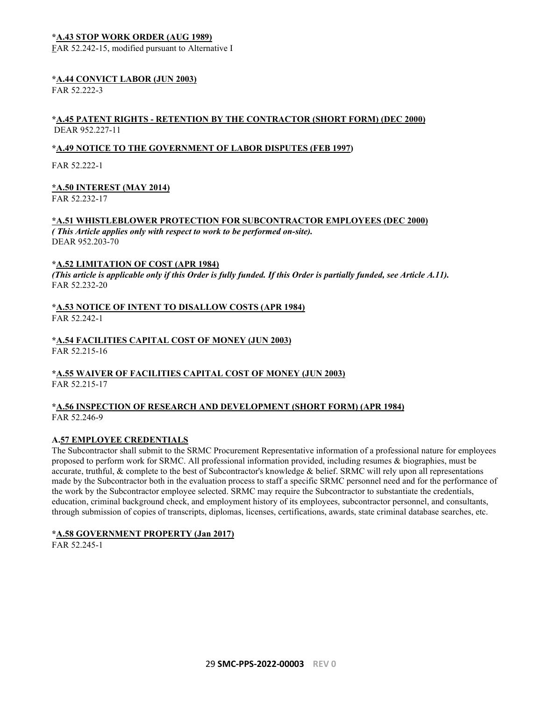### <span id="page-28-0"></span>**\*A.43 STOP WORK ORDER (AUG 1989)**

FAR 52.242-15, modified pursuant to Alternative I

#### <span id="page-28-1"></span>**\*A.44 CONVICT LABOR (JUN 2003)**

FAR 52.222-3

### <span id="page-28-2"></span>**\*A.45 PATENT RIGHTS - RETENTION BY THE CONTRACTOR (SHORT FORM) (DEC 2000)** DEAR 952.227-11

### **\*A.49 NOTICE TO THE GOVERNMENT OF LABOR DISPUTES (FEB 1997)**

FAR 52.222-1

### <span id="page-28-3"></span>**\*A.50 INTEREST (MAY 2014)**

FAR 52.232-17

# <span id="page-28-4"></span>**\*A.51 WHISTLEBLOWER PROTECTION FOR SUBCONTRACTOR EMPLOYEES (DEC 2000)**

*( This Article applies only with respect to work to be performed on-site).* DEAR 952.203-70

### <span id="page-28-5"></span>**\*A.52 LIMITATION OF COST (APR 1984)**

*(This article is applicable only if this Order is fully funded. If this Order is partially funded, see Article A.11).* FAR 52.232-20

#### <span id="page-28-6"></span>**\*A.53 NOTICE OF INTENT TO DISALLOW COSTS (APR 1984)** FAR 52.242-1

# <span id="page-28-7"></span>**\*A.54 FACILITIES CAPITAL COST OF MONEY (JUN 2003)**

FAR 52.215-16

# <span id="page-28-8"></span>**\*A.55 WAIVER OF FACILITIES CAPITAL COST OF MONEY (JUN 2003)**

FAR 52.215-17

### <span id="page-28-9"></span>**\*A.56 INSPECTION OF RESEARCH AND DEVELOPMENT (SHORT FORM) (APR 1984)** FAR 52.246-9

### <span id="page-28-10"></span>**A.57 EMPLOYEE CREDENTIALS**

The Subcontractor shall submit to the SRMC Procurement Representative information of a professional nature for employees proposed to perform work for SRMC. All professional information provided, including resumes & biographies, must be accurate, truthful, & complete to the best of Subcontractor's knowledge & belief. SRMC will rely upon all representations made by the Subcontractor both in the evaluation process to staff a specific SRMC personnel need and for the performance of the work by the Subcontractor employee selected. SRMC may require the Subcontractor to substantiate the credentials, education, criminal background check, and employment history of its employees, subcontractor personnel, and consultants, through submission of copies of transcripts, diplomas, licenses, certifications, awards, state criminal database searches, etc.

### <span id="page-28-11"></span>**\*A.58 GOVERNMENT PROPERTY (Jan 2017)**

FAR 52.245-1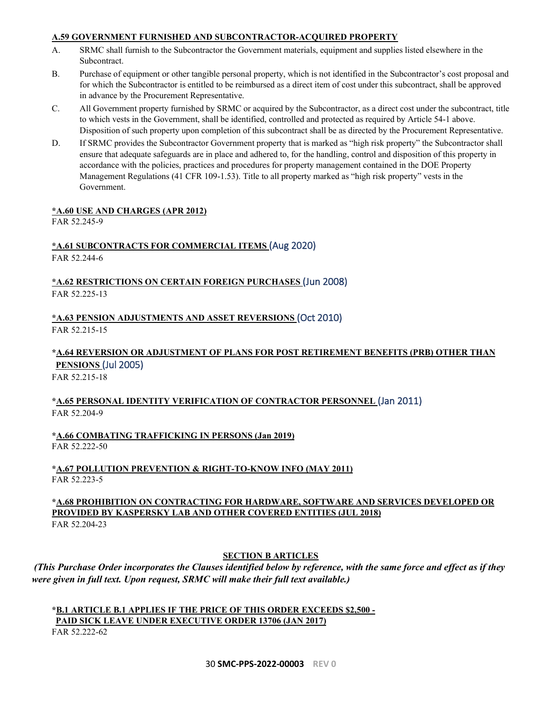### <span id="page-29-0"></span>**A.59 GOVERNMENT FURNISHED AND SUBCONTRACTOR-ACQUIRED PROPERTY**

- A. SRMC shall furnish to the Subcontractor the Government materials, equipment and supplies listed elsewhere in the Subcontract.
- B. Purchase of equipment or other tangible personal property, which is not identified in the Subcontractor's cost proposal and for which the Subcontractor is entitled to be reimbursed as a direct item of cost under this subcontract, shall be approved in advance by the Procurement Representative.
- C. All Government property furnished by SRMC or acquired by the Subcontractor, as a direct cost under the subcontract, title to which vests in the Government, shall be identified, controlled and protected as required by Article 54-1 above. Disposition of such property upon completion of this subcontract shall be as directed by the Procurement Representative.
- D. If SRMC provides the Subcontractor Government property that is marked as "high risk property" the Subcontractor shall ensure that adequate safeguards are in place and adhered to, for the handling, control and disposition of this property in accordance with the policies, practices and procedures for property management contained in the DOE Property Management Regulations (41 CFR 109-1.53). Title to all property marked as "high risk property" vests in the Government.

### <span id="page-29-1"></span>**\*A.60 USE AND CHARGES (APR 2012)**

FAR 52.245-9

# <span id="page-29-2"></span>**\*A.61 SUBCONTRACTS FOR COMMERCIAL ITEMS** (Aug 2020)

FAR 52.244-6

<span id="page-29-3"></span>**\*A.62 RESTRICTIONS ON CERTAIN FOREIGN PURCHASES** (Jun 2008) FAR 52.225-13

<span id="page-29-4"></span>**\*A.63 PENSION ADJUSTMENTS AND ASSET REVERSIONS** (Oct 2010) FAR 52.215-15

# <span id="page-29-5"></span>**\*A.64 REVERSION OR ADJUSTMENT OF PLANS FOR POST RETIREMENT BENEFITS (PRB) OTHER THAN PENSIONS** (Jul 2005)

FAR 52.215-18

# <span id="page-29-6"></span>**\*A.65 PERSONAL IDENTITY VERIFICATION OF CONTRACTOR PERSONNEL** (Jan 2011) FAR 52.204-9

<span id="page-29-7"></span>**\*A.66 COMBATING TRAFFICKING IN PERSONS (Jan 2019)** FAR 52.222-50

# <span id="page-29-8"></span>**\*A.67 POLLUTION PREVENTION & RIGHT-TO-KNOW INFO (MAY 2011)** FAR 52.223-5

# <span id="page-29-9"></span>**\*A.68 PROHIBITION ON CONTRACTING FOR HARDWARE, SOFTWARE AND SERVICES DEVELOPED OR PROVIDED BY KASPERSKY LAB AND OTHER COVERED ENTITIES (JUL 2018)** FAR 52.204-23

# **SECTION B ARTICLES**

<span id="page-29-10"></span>*(This Purchase Order incorporates the Clauses identified below by reference, with the same force and effect as if they were given in full text. Upon request, SRMC will make their full text available.)*

#### <span id="page-29-11"></span>**\*B.1 ARTICLE B.1 APPLIES IF THE PRICE OF THIS ORDER EXCEEDS \$2,500 - PAID SICK LEAVE UNDER EXECUTIVE ORDER 13706 (JAN 2017)** FAR 52.222-62

30 **SMC-PPS-2022-00003 REV 0**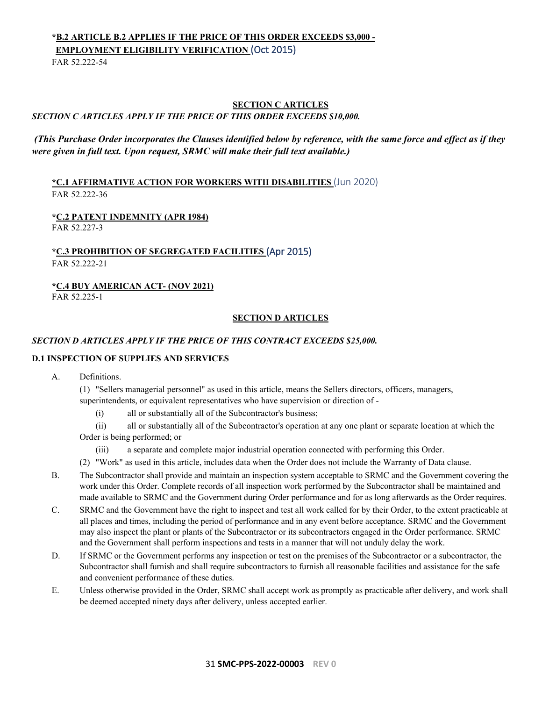# <span id="page-30-0"></span>**\*B.2 ARTICLE B.2 APPLIES IF THE PRICE OF THIS ORDER EXCEEDS \$3,000 - EMPLOYMENT ELIGIBILITY VERIFICATION** (Oct 2015)

FAR 52.222-54

# <span id="page-30-1"></span>**SECTION C ARTICLES** *SECTION C ARTICLES APPLY IF THE PRICE OF THIS ORDER EXCEEDS \$10,000.*

# *(This Purchase Order incorporates the Clauses identified below by reference, with the same force and effect as if they were given in full text. Upon request, SRMC will make their full text available.)*

<span id="page-30-2"></span>**\*C.1 AFFIRMATIVE ACTION FOR WORKERS WITH DISABILITIES** (Jun 2020) FAR 52.222-36

# <span id="page-30-3"></span>**\*C.2 PATENT INDEMNITY (APR 1984)**

FAR 52.227-3

### <span id="page-30-4"></span>**\*C.3 PROHIBITION OF SEGREGATED FACILITIES** (Apr 2015) FAR 52.222-21

# <span id="page-30-5"></span>**\*C.4 BUY AMERICAN ACT- (NOV 2021)**

<span id="page-30-6"></span>FAR 52.225-1

### **SECTION D ARTICLES**

### *SECTION D ARTICLES APPLY IF THE PRICE OF THIS CONTRACT EXCEEDS \$25,000.*

### **D.1 INSPECTION OF SUPPLIES AND SERVICES**

A. Definitions.

(1) "Sellers managerial personnel" as used in this article, means the Sellers directors, officers, managers, superintendents, or equivalent representatives who have supervision or direction of -

- (i) all or substantially all of the Subcontractor's business;
- (ii) all or substantially all of the Subcontractor's operation at any one plant or separate location at which the Order is being performed; or
	- (iii) a separate and complete major industrial operation connected with performing this Order.
- (2) "Work" as used in this article, includes data when the Order does not include the Warranty of Data clause.
- B. The Subcontractor shall provide and maintain an inspection system acceptable to SRMC and the Government covering the work under this Order. Complete records of all inspection work performed by the Subcontractor shall be maintained and made available to SRMC and the Government during Order performance and for as long afterwards as the Order requires.
- C. SRMC and the Government have the right to inspect and test all work called for by their Order, to the extent practicable at all places and times, including the period of performance and in any event before acceptance. SRMC and the Government may also inspect the plant or plants of the Subcontractor or its subcontractors engaged in the Order performance. SRMC and the Government shall perform inspections and tests in a manner that will not unduly delay the work.
- D. If SRMC or the Government performs any inspection or test on the premises of the Subcontractor or a subcontractor, the Subcontractor shall furnish and shall require subcontractors to furnish all reasonable facilities and assistance for the safe and convenient performance of these duties.
- E. Unless otherwise provided in the Order, SRMC shall accept work as promptly as practicable after delivery, and work shall be deemed accepted ninety days after delivery, unless accepted earlier.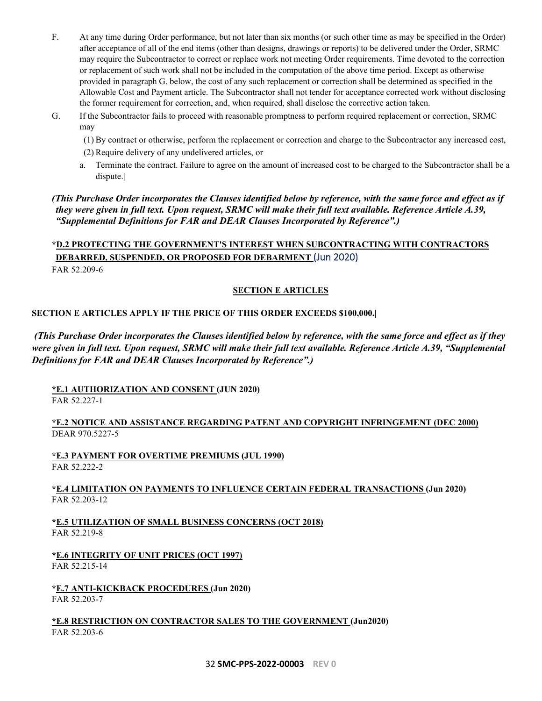- F. At any time during Order performance, but not later than six months (or such other time as may be specified in the Order) after acceptance of all of the end items (other than designs, drawings or reports) to be delivered under the Order, SRMC may require the Subcontractor to correct or replace work not meeting Order requirements. Time devoted to the correction or replacement of such work shall not be included in the computation of the above time period. Except as otherwise provided in paragraph G. below, the cost of any such replacement or correction shall be determined as specified in the Allowable Cost and Payment article. The Subcontractor shall not tender for acceptance corrected work without disclosing the former requirement for correction, and, when required, shall disclose the corrective action taken.
- G. If the Subcontractor fails to proceed with reasonable promptness to perform required replacement or correction, SRMC may
	- (1) By contract or otherwise, perform the replacement or correction and charge to the Subcontractor any increased cost,
	- (2) Require delivery of any undelivered articles, or
	- a. Terminate the contract. Failure to agree on the amount of increased cost to be charged to the Subcontractor shall be a dispute.|

*(This Purchase Order incorporates the Clauses identified below by reference, with the same force and effect as if they were given in full text. Upon request, SRMC will make their full text available. Reference Article A.39, "Supplemental Definitions for FAR and DEAR Clauses Incorporated by Reference".)*

# <span id="page-31-0"></span>**\*D.2 PROTECTING THE GOVERNMENT'S INTEREST WHEN SUBCONTRACTING WITH CONTRACTORS DEBARRED, SUSPENDED, OR PROPOSED FOR DEBARMENT** (Jun 2020)

<span id="page-31-1"></span>FAR 52.209-6

### **SECTION E ARTICLES**

### **SECTION E ARTICLES APPLY IF THE PRICE OF THIS ORDER EXCEEDS \$100,000.|**

*(This Purchase Order incorporates the Clauses identified below by reference, with the same force and effect as if they were given in full text. Upon request, SRMC will make their full text available. Reference Article A.39, "Supplemental Definitions for FAR and DEAR Clauses Incorporated by Reference".)*

<span id="page-31-2"></span>**\*E.1 AUTHORIZATION AND CONSENT (JUN 2020)**

FAR 52.227-1

### <span id="page-31-3"></span>**\*E.2 NOTICE AND ASSISTANCE REGARDING PATENT AND COPYRIGHT INFRINGEMENT (DEC 2000)** DEAR 970.5227-5

<span id="page-31-4"></span>**\*E.3 PAYMENT FOR OVERTIME PREMIUMS (JUL 1990)** FAR 52.222-2

### <span id="page-31-5"></span>**\*E.4 LIMITATION ON PAYMENTS TO INFLUENCE CERTAIN FEDERAL TRANSACTIONS (Jun 2020)** FAR 52.203-12

<span id="page-31-6"></span>**\*E.5 UTILIZATION OF SMALL BUSINESS CONCERNS (OCT 2018)** FAR 52.219-8

<span id="page-31-7"></span>**\*E.6 INTEGRITY OF UNIT PRICES (OCT 1997)** FAR 52.215-14

<span id="page-31-8"></span>**\*E.7 ANTI-KICKBACK PROCEDURES (Jun 2020)** FAR 52.203-7

<span id="page-31-9"></span>**\*E.8 RESTRICTION ON CONTRACTOR SALES TO THE GOVERNMENT (Jun2020)** FAR 52.203-6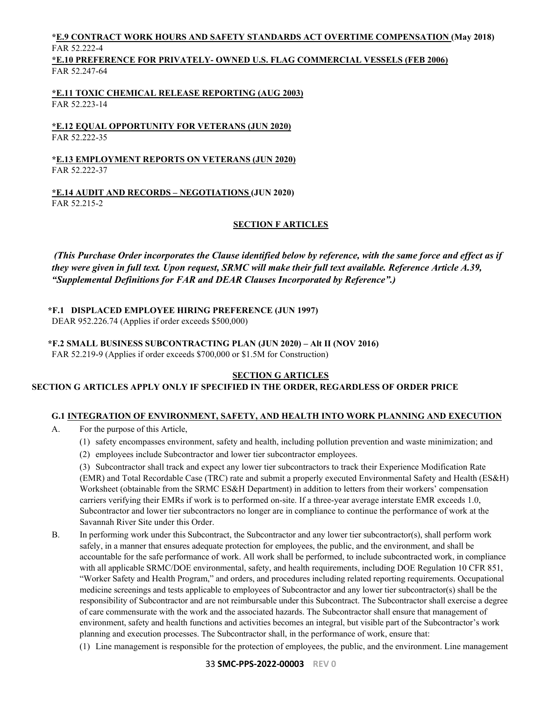# <span id="page-32-0"></span>**\*E.9 CONTRACT WORK HOURS AND SAFETY STANDARDS ACT OVERTIME COMPENSATION (May 2018)** FAR 52.222-4

<span id="page-32-1"></span>**\*E.10 PREFERENCE FOR PRIVATELY- OWNED U.S. FLAG COMMERCIAL VESSELS (FEB 2006)** FAR 52.247-64

<span id="page-32-2"></span>**\*E.11 TOXIC CHEMICAL RELEASE REPORTING (AUG 2003)** FAR 52.223-14

<span id="page-32-3"></span>**\*E.12 EQUAL OPPORTUNITY FOR VETERANS (JUN 2020)** FAR 52.222-35

<span id="page-32-4"></span>**\*E.13 EMPLOYMENT REPORTS ON VETERANS (JUN 2020)** FAR 52.222-37

<span id="page-32-6"></span><span id="page-32-5"></span>**\*E.14 AUDIT AND RECORDS – NEGOTIATIONS (JUN 2020)** FAR 52.215-2

# **SECTION F ARTICLES**

*(This Purchase Order incorporates the Clause identified below by reference, with the same force and effect as if they were given in full text. Upon request, SRMC will make their full text available. Reference Article A.39, "Supplemental Definitions for FAR and DEAR Clauses Incorporated by Reference".)*

<span id="page-32-7"></span>**\*F.1 DISPLACED EMPLOYEE HIRING PREFERENCE (JUN 1997)**

DEAR 952.226.74 (Applies if order exceeds \$500,000)

<span id="page-32-8"></span>**\*F.2 SMALL BUSINESS SUBCONTRACTING PLAN (JUN 2020) – Alt II (NOV 2016)**

<span id="page-32-9"></span>FAR 52.219-9 (Applies if order exceeds \$700,000 or \$1.5M for Construction)

### **SECTION G ARTICLES**

### **SECTION G ARTICLES APPLY ONLY IF SPECIFIED IN THE ORDER, REGARDLESS OF ORDER PRICE**

# <span id="page-32-10"></span>**G.1 INTEGRATION OF ENVIRONMENT, SAFETY, AND HEALTH INTO WORK PLANNING AND EXECUTION**

- A. For the purpose of this Article,
	- (1) safety encompasses environment, safety and health, including pollution prevention and waste minimization; and
	- (2) employees include Subcontractor and lower tier subcontractor employees.

(3) Subcontractor shall track and expect any lower tier subcontractors to track their Experience Modification Rate (EMR) and Total Recordable Case (TRC) rate and submit a properly executed Environmental Safety and Health (ES&H) Worksheet (obtainable from the SRMC ES&H Department) in addition to letters from their workers' compensation carriers verifying their EMRs if work is to performed on-site. If a three-year average interstate EMR exceeds 1.0, Subcontractor and lower tier subcontractors no longer are in compliance to continue the performance of work at the Savannah River Site under this Order.

- B. In performing work under this Subcontract, the Subcontractor and any lower tier subcontractor(s), shall perform work safely, in a manner that ensures adequate protection for employees, the public, and the environment, and shall be accountable for the safe performance of work. All work shall be performed, to include subcontracted work, in compliance with all applicable SRMC/DOE environmental, safety, and health requirements, including DOE Regulation 10 CFR 851, "Worker Safety and Health Program," and orders, and procedures including related reporting requirements. Occupational medicine screenings and tests applicable to employees of Subcontractor and any lower tier subcontractor(s) shall be the responsibility of Subcontractor and are not reimbursable under this Subcontract. The Subcontractor shall exercise a degree of care commensurate with the work and the associated hazards. The Subcontractor shall ensure that management of environment, safety and health functions and activities becomes an integral, but visible part of the Subcontractor's work planning and execution processes. The Subcontractor shall, in the performance of work, ensure that:
	- (1) Line management is responsible for the protection of employees, the public, and the environment. Line management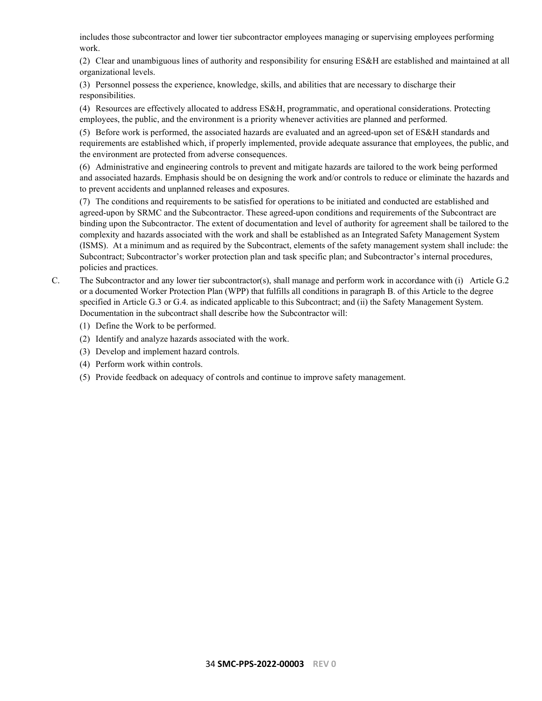includes those subcontractor and lower tier subcontractor employees managing or supervising employees performing work.

(2) Clear and unambiguous lines of authority and responsibility for ensuring ES&H are established and maintained at all organizational levels.

(3) Personnel possess the experience, knowledge, skills, and abilities that are necessary to discharge their responsibilities.

(4) Resources are effectively allocated to address ES&H, programmatic, and operational considerations. Protecting employees, the public, and the environment is a priority whenever activities are planned and performed.

(5) Before work is performed, the associated hazards are evaluated and an agreed-upon set of ES&H standards and requirements are established which, if properly implemented, provide adequate assurance that employees, the public, and the environment are protected from adverse consequences.

(6) Administrative and engineering controls to prevent and mitigate hazards are tailored to the work being performed and associated hazards. Emphasis should be on designing the work and/or controls to reduce or eliminate the hazards and to prevent accidents and unplanned releases and exposures.

(7) The conditions and requirements to be satisfied for operations to be initiated and conducted are established and agreed-upon by SRMC and the Subcontractor. These agreed-upon conditions and requirements of the Subcontract are binding upon the Subcontractor. The extent of documentation and level of authority for agreement shall be tailored to the complexity and hazards associated with the work and shall be established as an Integrated Safety Management System (ISMS). At a minimum and as required by the Subcontract, elements of the safety management system shall include: the Subcontract; Subcontractor's worker protection plan and task specific plan; and Subcontractor's internal procedures, policies and practices.

- C. The Subcontractor and any lower tier subcontractor(s), shall manage and perform work in accordance with (i) Article G.2 or a documented Worker Protection Plan (WPP) that fulfills all conditions in paragraph B. of this Article to the degree specified in Article G.3 or G.4. as indicated applicable to this Subcontract; and (ii) the Safety Management System. Documentation in the subcontract shall describe how the Subcontractor will:
	- (1) Define the Work to be performed.
	- (2) Identify and analyze hazards associated with the work.
	- (3) Develop and implement hazard controls.
	- (4) Perform work within controls.
	- (5) Provide feedback on adequacy of controls and continue to improve safety management.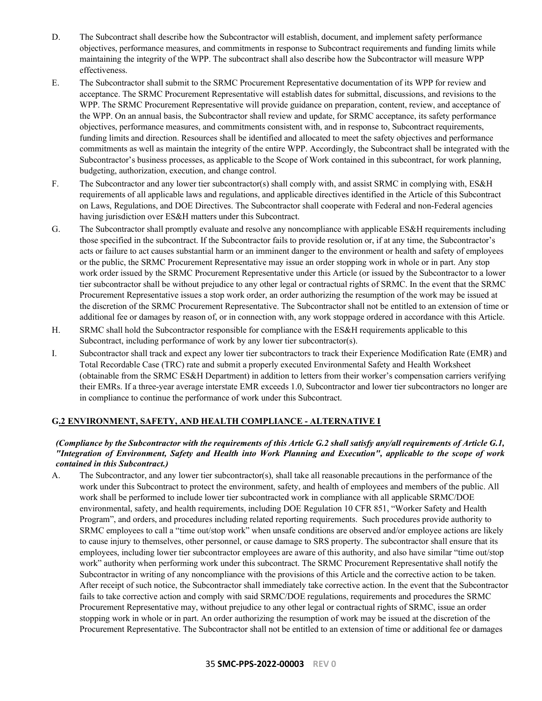- D. The Subcontract shall describe how the Subcontractor will establish, document, and implement safety performance objectives, performance measures, and commitments in response to Subcontract requirements and funding limits while maintaining the integrity of the WPP. The subcontract shall also describe how the Subcontractor will measure WPP effectiveness.
- E. The Subcontractor shall submit to the SRMC Procurement Representative documentation of its WPP for review and acceptance. The SRMC Procurement Representative will establish dates for submittal, discussions, and revisions to the WPP. The SRMC Procurement Representative will provide guidance on preparation, content, review, and acceptance of the WPP. On an annual basis, the Subcontractor shall review and update, for SRMC acceptance, its safety performance objectives, performance measures, and commitments consistent with, and in response to, Subcontract requirements, funding limits and direction. Resources shall be identified and allocated to meet the safety objectives and performance commitments as well as maintain the integrity of the entire WPP. Accordingly, the Subcontract shall be integrated with the Subcontractor's business processes, as applicable to the Scope of Work contained in this subcontract, for work planning, budgeting, authorization, execution, and change control.
- F. The Subcontractor and any lower tier subcontractor(s) shall comply with, and assist SRMC in complying with, ES&H requirements of all applicable laws and regulations, and applicable directives identified in the Article of this Subcontract on Laws, Regulations, and DOE Directives. The Subcontractor shall cooperate with Federal and non-Federal agencies having jurisdiction over ES&H matters under this Subcontract.
- G. The Subcontractor shall promptly evaluate and resolve any noncompliance with applicable ES&H requirements including those specified in the subcontract. If the Subcontractor fails to provide resolution or, if at any time, the Subcontractor's acts or failure to act causes substantial harm or an imminent danger to the environment or health and safety of employees or the public, the SRMC Procurement Representative may issue an order stopping work in whole or in part. Any stop work order issued by the SRMC Procurement Representative under this Article (or issued by the Subcontractor to a lower tier subcontractor shall be without prejudice to any other legal or contractual rights of SRMC. In the event that the SRMC Procurement Representative issues a stop work order, an order authorizing the resumption of the work may be issued at the discretion of the SRMC Procurement Representative. The Subcontractor shall not be entitled to an extension of time or additional fee or damages by reason of, or in connection with, any work stoppage ordered in accordance with this Article.
- H. SRMC shall hold the Subcontractor responsible for compliance with the ES&H requirements applicable to this Subcontract, including performance of work by any lower tier subcontractor(s).
- I. Subcontractor shall track and expect any lower tier subcontractors to track their Experience Modification Rate (EMR) and Total Recordable Case (TRC) rate and submit a properly executed Environmental Safety and Health Worksheet (obtainable from the SRMC ES&H Department) in addition to letters from their worker's compensation carriers verifying their EMRs. If a three-year average interstate EMR exceeds 1.0, Subcontractor and lower tier subcontractors no longer are in compliance to continue the performance of work under this Subcontract.

# <span id="page-34-0"></span>**G.2 ENVIRONMENT, SAFETY, AND HEALTH COMPLIANCE - ALTERNATIVE I**

### *(Compliance by the Subcontractor with the requirements of this Article G.2 shall satisfy any/all requirements of Article G.1, "Integration of Environment, Safety and Health into Work Planning and Execution", applicable to the scope of work contained in this Subcontract.)*

A. The Subcontractor, and any lower tier subcontractor(s), shall take all reasonable precautions in the performance of the work under this Subcontract to protect the environment, safety, and health of employees and members of the public. All work shall be performed to include lower tier subcontracted work in compliance with all applicable SRMC/DOE environmental, safety, and health requirements, including DOE Regulation 10 CFR 851, "Worker Safety and Health Program", and orders, and procedures including related reporting requirements. Such procedures provide authority to SRMC employees to call a "time out/stop work" when unsafe conditions are observed and/or employee actions are likely to cause injury to themselves, other personnel, or cause damage to SRS property. The subcontractor shall ensure that its employees, including lower tier subcontractor employees are aware of this authority, and also have similar "time out/stop work" authority when performing work under this subcontract. The SRMC Procurement Representative shall notify the Subcontractor in writing of any noncompliance with the provisions of this Article and the corrective action to be taken. After receipt of such notice, the Subcontractor shall immediately take corrective action. In the event that the Subcontractor fails to take corrective action and comply with said SRMC/DOE regulations, requirements and procedures the SRMC Procurement Representative may, without prejudice to any other legal or contractual rights of SRMC, issue an order stopping work in whole or in part. An order authorizing the resumption of work may be issued at the discretion of the Procurement Representative. The Subcontractor shall not be entitled to an extension of time or additional fee or damages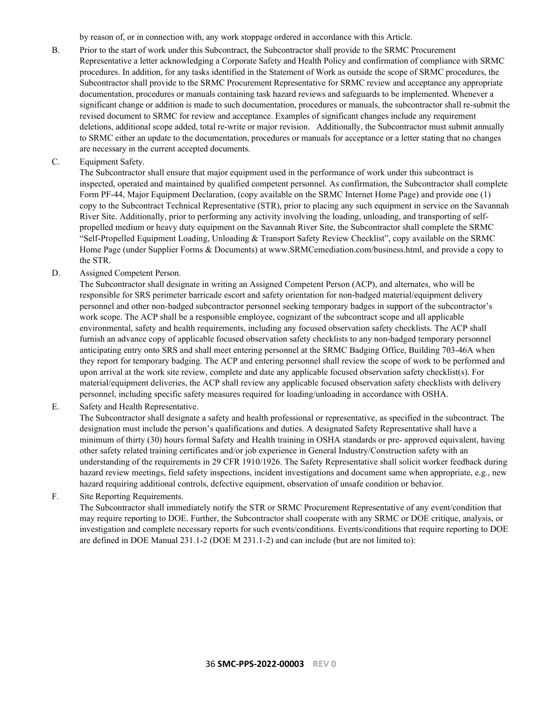by reason of, or in connection with, any work stoppage ordered in accordance with this Article.

- B. Prior to the start of work under this Subcontract, the Subcontractor shall provide to the SRMC Procurement Representative a letter acknowledging a Corporate Safety and Health Policy and confirmation of compliance with SRMC procedures. In addition, for any tasks identified in the Statement of Work as outside the scope of SRMC procedures, the Subcontractor shall provide to the SRMC Procurement Representative for SRMC review and acceptance any appropriate documentation, procedures or manuals containing task hazard reviews and safeguards to be implemented. Whenever a significant change or addition is made to such documentation, procedures or manuals, the subcontractor shall re-submit the revised document to SRMC for review and acceptance. Examples of significant changes include any requirement deletions, additional scope added, total re-write or major revision. Additionally, the Subcontractor must submit annually to SRMC either an update to the documentation, procedures or manuals for acceptance or a letter stating that no changes are necessary in the current accepted documents.
- C. Equipment Safety.

The Subcontractor shall ensure that major equipment used in the performance of work under this subcontract is inspected, operated and maintained by qualified competent personnel. As confirmation, the Subcontractor shall complete Form PF-44, Major Equipment Declaration, (copy available on the SRMC Internet Home Page) and provide one (1) copy to the Subcontract Technical Representative (STR), prior to placing any such equipment in service on the Savannah River Site. Additionally, prior to performing any activity involving the loading, unloading, and transporting of selfpropelled medium or heavy duty equipment on the Savannah River Site, the Subcontractor shall complete the SRMC "Self-Propelled Equipment Loading, Unloading & Transport Safety Review Checklist", copy available on the SRMC Home Page (under Supplier Forms & Documents) at www.SRMCemediation.com/business.html, and provide a copy to the STR.

D. Assigned Competent Person.

The Subcontractor shall designate in writing an Assigned Competent Person (ACP), and alternates, who will be responsible for SRS perimeter barricade escort and safety orientation for non-badged material/equipment delivery personnel and other non-badged subcontractor personnel seeking temporary badges in support of the subcontractor's work scope. The ACP shall be a responsible employee, cognizant of the subcontract scope and all applicable environmental, safety and health requirements, including any focused observation safety checklists. The ACP shall furnish an advance copy of applicable focused observation safety checklists to any non-badged temporary personnel anticipating entry onto SRS and shall meet entering personnel at the SRMC Badging Office, Building 703-46A when they report for temporary badging. The ACP and entering personnel shall review the scope of work to be performed and upon arrival at the work site review, complete and date any applicable focused observation safety checklist(s). For material/equipment deliveries, the ACP shall review any applicable focused observation safety checklists with delivery personnel, including specific safety measures required for loading/unloading in accordance with OSHA.

E. Safety and Health Representative.

The Subcontractor shall designate a safety and health professional or representative, as specified in the subcontract. The designation must include the person's qualifications and duties. A designated Safety Representative shall have a minimum of thirty (30) hours formal Safety and Health training in OSHA standards or pre- approved equivalent, having other safety related training certificates and/or job experience in General Industry/Construction safety with an understanding of the requirements in 29 CFR 1910/1926. The Safety Representative shall solicit worker feedback during hazard review meetings, field safety inspections, incident investigations and document same when appropriate, e.g., new hazard requiring additional controls, defective equipment, observation of unsafe condition or behavior.

F. Site Reporting Requirements.

The Subcontractor shall immediately notify the STR or SRMC Procurement Representative of any event/condition that may require reporting to DOE. Further, the Subcontractor shall cooperate with any SRMC or DOE critique, analysis, or investigation and complete necessary reports for such events/conditions. Events/conditions that require reporting to DOE are defined in DOE Manual 231.1-2 (DOE M 231.1-2) and can include (but are not limited to):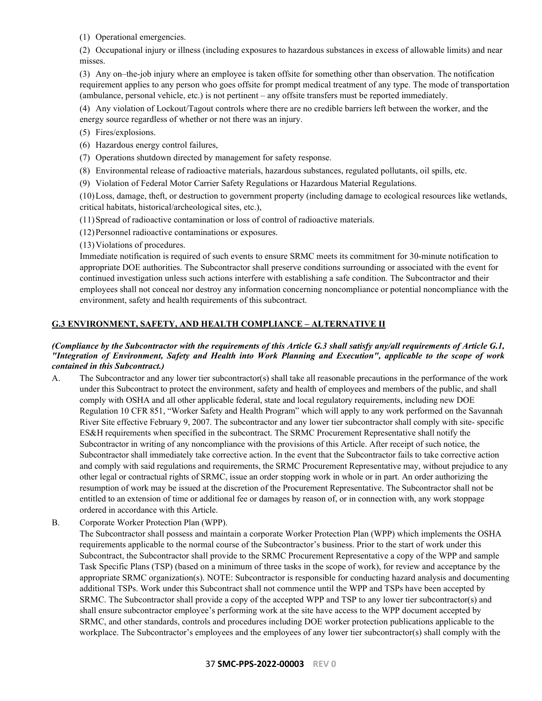(1) Operational emergencies.

(2) Occupational injury or illness (including exposures to hazardous substances in excess of allowable limits) and near misses.

(3) Any on–the-job injury where an employee is taken offsite for something other than observation. The notification requirement applies to any person who goes offsite for prompt medical treatment of any type. The mode of transportation (ambulance, personal vehicle, etc.) is not pertinent – any offsite transfers must be reported immediately.

(4) Any violation of Lockout/Tagout controls where there are no credible barriers left between the worker, and the energy source regardless of whether or not there was an injury.

- (5) Fires/explosions.
- (6) Hazardous energy control failures,
- (7) Operations shutdown directed by management for safety response.
- (8) Environmental release of radioactive materials, hazardous substances, regulated pollutants, oil spills, etc.
- (9) Violation of Federal Motor Carrier Safety Regulations or Hazardous Material Regulations.

(10)Loss, damage, theft, or destruction to government property (including damage to ecological resources like wetlands, critical habitats, historical/archeological sites, etc.),

- (11)Spread of radioactive contamination or loss of control of radioactive materials.
- (12)Personnel radioactive contaminations or exposures.

(13)Violations of procedures.

Immediate notification is required of such events to ensure SRMC meets its commitment for 30-minute notification to appropriate DOE authorities. The Subcontractor shall preserve conditions surrounding or associated with the event for continued investigation unless such actions interfere with establishing a safe condition. The Subcontractor and their employees shall not conceal nor destroy any information concerning noncompliance or potential noncompliance with the environment, safety and health requirements of this subcontract.

# <span id="page-36-0"></span>**G.3 ENVIRONMENT, SAFETY, AND HEALTH COMPLIANCE – ALTERNATIVE II**

### *(Compliance by the Subcontractor with the requirements of this Article G.3 shall satisfy any/all requirements of Article G.1, "Integration of Environment, Safety and Health into Work Planning and Execution", applicable to the scope of work contained in this Subcontract.)*

- A. The Subcontractor and any lower tier subcontractor(s) shall take all reasonable precautions in the performance of the work under this Subcontract to protect the environment, safety and health of employees and members of the public, and shall comply with OSHA and all other applicable federal, state and local regulatory requirements, including new DOE Regulation 10 CFR 851, "Worker Safety and Health Program" which will apply to any work performed on the Savannah River Site effective February 9, 2007. The subcontractor and any lower tier subcontractor shall comply with site- specific ES&H requirements when specified in the subcontract. The SRMC Procurement Representative shall notify the Subcontractor in writing of any noncompliance with the provisions of this Article. After receipt of such notice, the Subcontractor shall immediately take corrective action. In the event that the Subcontractor fails to take corrective action and comply with said regulations and requirements, the SRMC Procurement Representative may, without prejudice to any other legal or contractual rights of SRMC, issue an order stopping work in whole or in part. An order authorizing the resumption of work may be issued at the discretion of the Procurement Representative. The Subcontractor shall not be entitled to an extension of time or additional fee or damages by reason of, or in connection with, any work stoppage ordered in accordance with this Article.
- B. Corporate Worker Protection Plan (WPP).

The Subcontractor shall possess and maintain a corporate Worker Protection Plan (WPP) which implements the OSHA requirements applicable to the normal course of the Subcontractor's business. Prior to the start of work under this Subcontract, the Subcontractor shall provide to the SRMC Procurement Representative a copy of the WPP and sample Task Specific Plans (TSP) (based on a minimum of three tasks in the scope of work), for review and acceptance by the appropriate SRMC organization(s). NOTE: Subcontractor is responsible for conducting hazard analysis and documenting additional TSPs. Work under this Subcontract shall not commence until the WPP and TSPs have been accepted by SRMC. The Subcontractor shall provide a copy of the accepted WPP and TSP to any lower tier subcontractor(s) and shall ensure subcontractor employee's performing work at the site have access to the WPP document accepted by SRMC, and other standards, controls and procedures including DOE worker protection publications applicable to the workplace. The Subcontractor's employees and the employees of any lower tier subcontractor(s) shall comply with the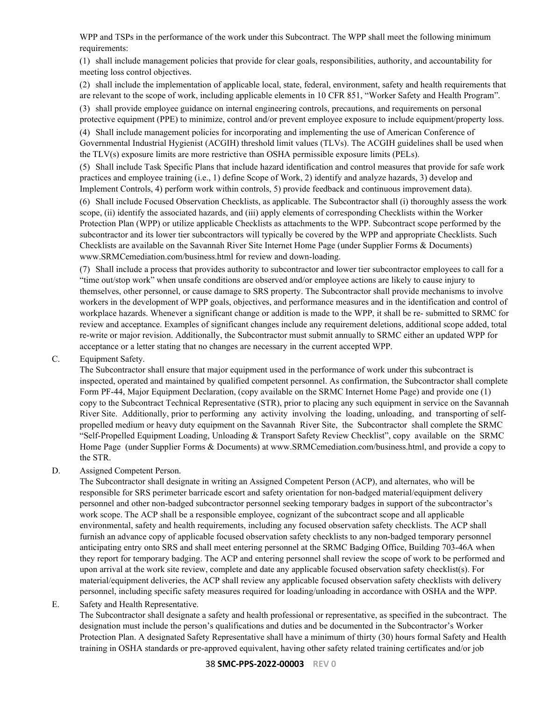WPP and TSPs in the performance of the work under this Subcontract. The WPP shall meet the following minimum requirements:

(1) shall include management policies that provide for clear goals, responsibilities, authority, and accountability for meeting loss control objectives.

(2) shall include the implementation of applicable local, state, federal, environment, safety and health requirements that are relevant to the scope of work, including applicable elements in 10 CFR 851, "Worker Safety and Health Program".

(3) shall provide employee guidance on internal engineering controls, precautions, and requirements on personal protective equipment (PPE) to minimize, control and/or prevent employee exposure to include equipment/property loss.

(4) Shall include management policies for incorporating and implementing the use of American Conference of Governmental Industrial Hygienist (ACGIH) threshold limit values (TLVs). The ACGIH guidelines shall be used when the TLV(s) exposure limits are more restrictive than OSHA permissible exposure limits (PELs).

(5) Shall include Task Specific Plans that include hazard identification and control measures that provide for safe work practices and employee training (i.e., 1) define Scope of Work, 2) identify and analyze hazards, 3) develop and Implement Controls, 4) perform work within controls, 5) provide feedback and continuous improvement data).

(6) Shall include Focused Observation Checklists, as applicable. The Subcontractor shall (i) thoroughly assess the work scope, (ii) identify the associated hazards, and (iii) apply elements of corresponding Checklists within the Worker Protection Plan (WPP) or utilize applicable Checklists as attachments to the WPP. Subcontract scope performed by the subcontractor and its lower tier subcontractors will typically be covered by the WPP and appropriate Checklists. Such Checklists are available on the Savannah River Site Internet Home Page (under Supplier Forms & Documents) www.SRMCemediation.com/business.html for review and down-loading.

(7) Shall include a process that provides authority to subcontractor and lower tier subcontractor employees to call for a "time out/stop work" when unsafe conditions are observed and/or employee actions are likely to cause injury to themselves, other personnel, or cause damage to SRS property. The Subcontractor shall provide mechanisms to involve workers in the development of WPP goals, objectives, and performance measures and in the identification and control of workplace hazards. Whenever a significant change or addition is made to the WPP, it shall be re- submitted to SRMC for review and acceptance. Examples of significant changes include any requirement deletions, additional scope added, total re-write or major revision. Additionally, the Subcontractor must submit annually to SRMC either an updated WPP for acceptance or a letter stating that no changes are necessary in the current accepted WPP.

C. Equipment Safety.

The Subcontractor shall ensure that major equipment used in the performance of work under this subcontract is inspected, operated and maintained by qualified competent personnel. As confirmation, the Subcontractor shall complete Form PF-44, Major Equipment Declaration, (copy available on the SRMC Internet Home Page) and provide one (1) copy to the Subcontract Technical Representative (STR), prior to placing any such equipment in service on the Savannah River Site. Additionally, prior to performing any activity involving the loading, unloading, and transporting of selfpropelled medium or heavy duty equipment on the Savannah River Site, the Subcontractor shall complete the SRMC "Self-Propelled Equipment Loading, Unloading & Transport Safety Review Checklist", copy available on the SRMC Home Page (under Supplier Forms & Documents) at www.SRMCemediation.com/business.html, and provide a copy to the STR.

### D. Assigned Competent Person.

The Subcontractor shall designate in writing an Assigned Competent Person (ACP), and alternates, who will be responsible for SRS perimeter barricade escort and safety orientation for non-badged material/equipment delivery personnel and other non-badged subcontractor personnel seeking temporary badges in support of the subcontractor's work scope. The ACP shall be a responsible employee, cognizant of the subcontract scope and all applicable environmental, safety and health requirements, including any focused observation safety checklists. The ACP shall furnish an advance copy of applicable focused observation safety checklists to any non-badged temporary personnel anticipating entry onto SRS and shall meet entering personnel at the SRMC Badging Office, Building 703-46A when they report for temporary badging. The ACP and entering personnel shall review the scope of work to be performed and upon arrival at the work site review, complete and date any applicable focused observation safety checklist(s). For material/equipment deliveries, the ACP shall review any applicable focused observation safety checklists with delivery personnel, including specific safety measures required for loading/unloading in accordance with OSHA and the WPP.

### E. Safety and Health Representative.

The Subcontractor shall designate a safety and health professional or representative, as specified in the subcontract. The designation must include the person's qualifications and duties and be documented in the Subcontractor's Worker Protection Plan. A designated Safety Representative shall have a minimum of thirty (30) hours formal Safety and Health training in OSHA standards or pre-approved equivalent, having other safety related training certificates and/or job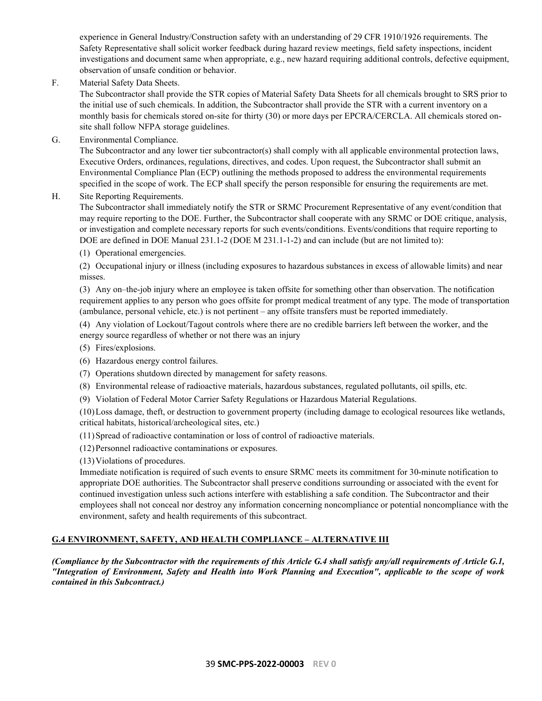experience in General Industry/Construction safety with an understanding of 29 CFR 1910/1926 requirements. The Safety Representative shall solicit worker feedback during hazard review meetings, field safety inspections, incident investigations and document same when appropriate, e.g., new hazard requiring additional controls, defective equipment, observation of unsafe condition or behavior.

F. Material Safety Data Sheets.

The Subcontractor shall provide the STR copies of Material Safety Data Sheets for all chemicals brought to SRS prior to the initial use of such chemicals. In addition, the Subcontractor shall provide the STR with a current inventory on a monthly basis for chemicals stored on-site for thirty (30) or more days per EPCRA/CERCLA. All chemicals stored onsite shall follow NFPA storage guidelines.

G. Environmental Compliance.

The Subcontractor and any lower tier subcontractor(s) shall comply with all applicable environmental protection laws, Executive Orders, ordinances, regulations, directives, and codes. Upon request, the Subcontractor shall submit an Environmental Compliance Plan (ECP) outlining the methods proposed to address the environmental requirements specified in the scope of work. The ECP shall specify the person responsible for ensuring the requirements are met.

### H. Site Reporting Requirements.

The Subcontractor shall immediately notify the STR or SRMC Procurement Representative of any event/condition that may require reporting to the DOE. Further, the Subcontractor shall cooperate with any SRMC or DOE critique, analysis, or investigation and complete necessary reports for such events/conditions. Events/conditions that require reporting to DOE are defined in DOE Manual 231.1-2 (DOE M 231.1-1-2) and can include (but are not limited to):

(1) Operational emergencies.

(2) Occupational injury or illness (including exposures to hazardous substances in excess of allowable limits) and near misses.

(3) Any on–the-job injury where an employee is taken offsite for something other than observation. The notification requirement applies to any person who goes offsite for prompt medical treatment of any type. The mode of transportation (ambulance, personal vehicle, etc.) is not pertinent – any offsite transfers must be reported immediately.

(4) Any violation of Lockout/Tagout controls where there are no credible barriers left between the worker, and the energy source regardless of whether or not there was an injury

- (5) Fires/explosions.
- (6) Hazardous energy control failures.
- (7) Operations shutdown directed by management for safety reasons.
- (8) Environmental release of radioactive materials, hazardous substances, regulated pollutants, oil spills, etc.
- (9) Violation of Federal Motor Carrier Safety Regulations or Hazardous Material Regulations.

(10)Loss damage, theft, or destruction to government property (including damage to ecological resources like wetlands, critical habitats, historical/archeological sites, etc.)

(11)Spread of radioactive contamination or loss of control of radioactive materials.

(12)Personnel radioactive contaminations or exposures.

(13)Violations of procedures.

Immediate notification is required of such events to ensure SRMC meets its commitment for 30-minute notification to appropriate DOE authorities. The Subcontractor shall preserve conditions surrounding or associated with the event for continued investigation unless such actions interfere with establishing a safe condition. The Subcontractor and their employees shall not conceal nor destroy any information concerning noncompliance or potential noncompliance with the environment, safety and health requirements of this subcontract.

# <span id="page-38-0"></span>**G.4 ENVIRONMENT, SAFETY, AND HEALTH COMPLIANCE – ALTERNATIVE III**

*(Compliance by the Subcontractor with the requirements of this Article G.4 shall satisfy any/all requirements of Article G.1, "Integration of Environment, Safety and Health into Work Planning and Execution", applicable to the scope of work contained in this Subcontract.)*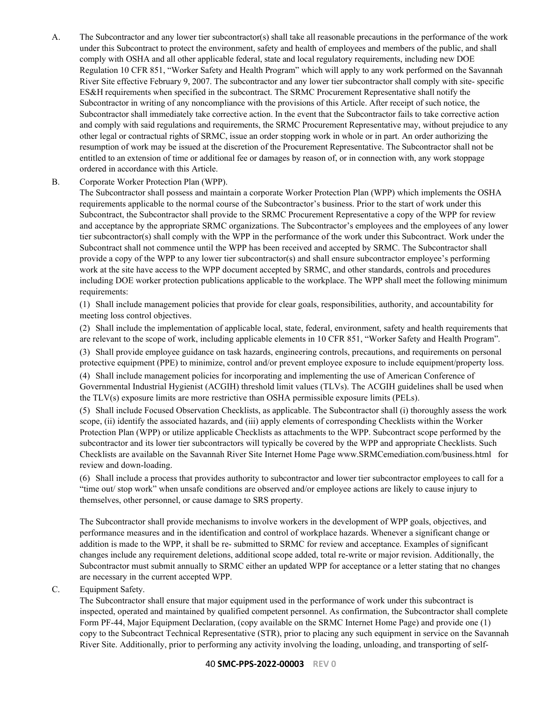- A. The Subcontractor and any lower tier subcontractor(s) shall take all reasonable precautions in the performance of the work under this Subcontract to protect the environment, safety and health of employees and members of the public, and shall comply with OSHA and all other applicable federal, state and local regulatory requirements, including new DOE Regulation 10 CFR 851, "Worker Safety and Health Program" which will apply to any work performed on the Savannah River Site effective February 9, 2007. The subcontractor and any lower tier subcontractor shall comply with site- specific ES&H requirements when specified in the subcontract. The SRMC Procurement Representative shall notify the Subcontractor in writing of any noncompliance with the provisions of this Article. After receipt of such notice, the Subcontractor shall immediately take corrective action. In the event that the Subcontractor fails to take corrective action and comply with said regulations and requirements, the SRMC Procurement Representative may, without prejudice to any other legal or contractual rights of SRMC, issue an order stopping work in whole or in part. An order authorizing the resumption of work may be issued at the discretion of the Procurement Representative. The Subcontractor shall not be entitled to an extension of time or additional fee or damages by reason of, or in connection with, any work stoppage ordered in accordance with this Article.
- B. Corporate Worker Protection Plan (WPP).

The Subcontractor shall possess and maintain a corporate Worker Protection Plan (WPP) which implements the OSHA requirements applicable to the normal course of the Subcontractor's business. Prior to the start of work under this Subcontract, the Subcontractor shall provide to the SRMC Procurement Representative a copy of the WPP for review and acceptance by the appropriate SRMC organizations. The Subcontractor's employees and the employees of any lower tier subcontractor(s) shall comply with the WPP in the performance of the work under this Subcontract. Work under the Subcontract shall not commence until the WPP has been received and accepted by SRMC. The Subcontractor shall provide a copy of the WPP to any lower tier subcontractor(s) and shall ensure subcontractor employee's performing work at the site have access to the WPP document accepted by SRMC, and other standards, controls and procedures including DOE worker protection publications applicable to the workplace. The WPP shall meet the following minimum requirements:

(1) Shall include management policies that provide for clear goals, responsibilities, authority, and accountability for meeting loss control objectives.

(2) Shall include the implementation of applicable local, state, federal, environment, safety and health requirements that are relevant to the scope of work, including applicable elements in 10 CFR 851, "Worker Safety and Health Program".

(3) Shall provide employee guidance on task hazards, engineering controls, precautions, and requirements on personal protective equipment (PPE) to minimize, control and/or prevent employee exposure to include equipment/property loss.

(4) Shall include management policies for incorporating and implementing the use of American Conference of Governmental Industrial Hygienist (ACGIH) threshold limit values (TLVs). The ACGIH guidelines shall be used when the TLV(s) exposure limits are more restrictive than OSHA permissible exposure limits (PELs).

(5) Shall include Focused Observation Checklists, as applicable. The Subcontractor shall (i) thoroughly assess the work scope, (ii) identify the associated hazards, and (iii) apply elements of corresponding Checklists within the Worker Protection Plan (WPP) or utilize applicable Checklists as attachments to the WPP. Subcontract scope performed by the subcontractor and its lower tier subcontractors will typically be covered by the WPP and appropriate Checklists. Such Checklists are available on the Savannah River Site Internet Home Page www.SRMCemediation.com/business.html for review and down-loading.

(6) Shall include a process that provides authority to subcontractor and lower tier subcontractor employees to call for a "time out/ stop work" when unsafe conditions are observed and/or employee actions are likely to cause injury to themselves, other personnel, or cause damage to SRS property.

The Subcontractor shall provide mechanisms to involve workers in the development of WPP goals, objectives, and performance measures and in the identification and control of workplace hazards. Whenever a significant change or addition is made to the WPP, it shall be re- submitted to SRMC for review and acceptance. Examples of significant changes include any requirement deletions, additional scope added, total re-write or major revision. Additionally, the Subcontractor must submit annually to SRMC either an updated WPP for acceptance or a letter stating that no changes are necessary in the current accepted WPP.

#### C. Equipment Safety.

The Subcontractor shall ensure that major equipment used in the performance of work under this subcontract is inspected, operated and maintained by qualified competent personnel. As confirmation, the Subcontractor shall complete Form PF-44, Major Equipment Declaration, (copy available on the SRMC Internet Home Page) and provide one (1) copy to the Subcontract Technical Representative (STR), prior to placing any such equipment in service on the Savannah River Site. Additionally, prior to performing any activity involving the loading, unloading, and transporting of self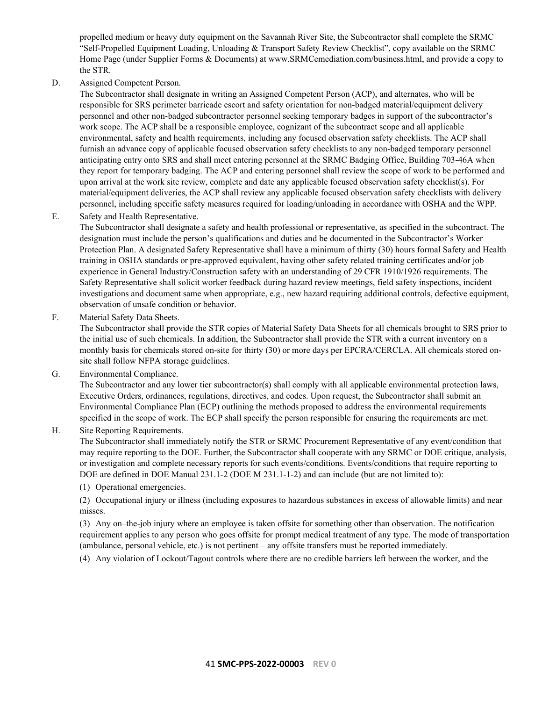propelled medium or heavy duty equipment on the Savannah River Site, the Subcontractor shall complete the SRMC "Self-Propelled Equipment Loading, Unloading & Transport Safety Review Checklist", copy available on the SRMC Home Page (under Supplier Forms & Documents) at www.SRMCemediation.com/business.html, and provide a copy to the STR.

D. Assigned Competent Person.

The Subcontractor shall designate in writing an Assigned Competent Person (ACP), and alternates, who will be responsible for SRS perimeter barricade escort and safety orientation for non-badged material/equipment delivery personnel and other non-badged subcontractor personnel seeking temporary badges in support of the subcontractor's work scope. The ACP shall be a responsible employee, cognizant of the subcontract scope and all applicable environmental, safety and health requirements, including any focused observation safety checklists. The ACP shall furnish an advance copy of applicable focused observation safety checklists to any non-badged temporary personnel anticipating entry onto SRS and shall meet entering personnel at the SRMC Badging Office, Building 703-46A when they report for temporary badging. The ACP and entering personnel shall review the scope of work to be performed and upon arrival at the work site review, complete and date any applicable focused observation safety checklist(s). For material/equipment deliveries, the ACP shall review any applicable focused observation safety checklists with delivery personnel, including specific safety measures required for loading/unloading in accordance with OSHA and the WPP.

E. Safety and Health Representative.

The Subcontractor shall designate a safety and health professional or representative, as specified in the subcontract. The designation must include the person's qualifications and duties and be documented in the Subcontractor's Worker Protection Plan. A designated Safety Representative shall have a minimum of thirty (30) hours formal Safety and Health training in OSHA standards or pre-approved equivalent, having other safety related training certificates and/or job experience in General Industry/Construction safety with an understanding of 29 CFR 1910/1926 requirements. The Safety Representative shall solicit worker feedback during hazard review meetings, field safety inspections, incident investigations and document same when appropriate, e.g., new hazard requiring additional controls, defective equipment, observation of unsafe condition or behavior.

F. Material Safety Data Sheets.

The Subcontractor shall provide the STR copies of Material Safety Data Sheets for all chemicals brought to SRS prior to the initial use of such chemicals. In addition, the Subcontractor shall provide the STR with a current inventory on a monthly basis for chemicals stored on-site for thirty (30) or more days per EPCRA/CERCLA. All chemicals stored onsite shall follow NFPA storage guidelines.

G. Environmental Compliance.

The Subcontractor and any lower tier subcontractor(s) shall comply with all applicable environmental protection laws, Executive Orders, ordinances, regulations, directives, and codes. Upon request, the Subcontractor shall submit an Environmental Compliance Plan (ECP) outlining the methods proposed to address the environmental requirements specified in the scope of work. The ECP shall specify the person responsible for ensuring the requirements are met.

### H. Site Reporting Requirements.

The Subcontractor shall immediately notify the STR or SRMC Procurement Representative of any event/condition that may require reporting to the DOE. Further, the Subcontractor shall cooperate with any SRMC or DOE critique, analysis, or investigation and complete necessary reports for such events/conditions. Events/conditions that require reporting to DOE are defined in DOE Manual 231.1-2 (DOE M 231.1-1-2) and can include (but are not limited to):

(1) Operational emergencies.

(2) Occupational injury or illness (including exposures to hazardous substances in excess of allowable limits) and near misses.

(3) Any on–the-job injury where an employee is taken offsite for something other than observation. The notification requirement applies to any person who goes offsite for prompt medical treatment of any type. The mode of transportation (ambulance, personal vehicle, etc.) is not pertinent – any offsite transfers must be reported immediately.

(4) Any violation of Lockout/Tagout controls where there are no credible barriers left between the worker, and the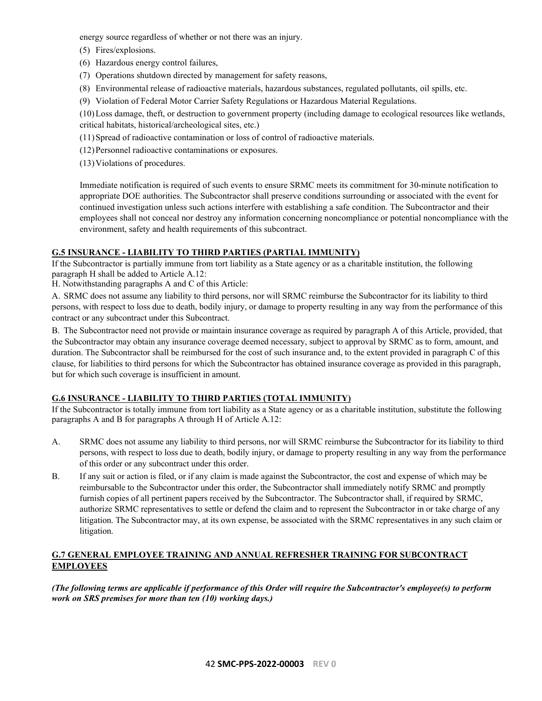energy source regardless of whether or not there was an injury.

- (5) Fires/explosions.
- (6) Hazardous energy control failures,
- (7) Operations shutdown directed by management for safety reasons,
- (8) Environmental release of radioactive materials, hazardous substances, regulated pollutants, oil spills, etc.
- (9) Violation of Federal Motor Carrier Safety Regulations or Hazardous Material Regulations.

(10)Loss damage, theft, or destruction to government property (including damage to ecological resources like wetlands, critical habitats, historical/archeological sites, etc.)

- (11)Spread of radioactive contamination or loss of control of radioactive materials.
- (12)Personnel radioactive contaminations or exposures.
- (13)Violations of procedures.

Immediate notification is required of such events to ensure SRMC meets its commitment for 30-minute notification to appropriate DOE authorities. The Subcontractor shall preserve conditions surrounding or associated with the event for continued investigation unless such actions interfere with establishing a safe condition. The Subcontractor and their employees shall not conceal nor destroy any information concerning noncompliance or potential noncompliance with the environment, safety and health requirements of this subcontract.

# <span id="page-41-0"></span>**G.5 INSURANCE - LIABILITY TO THIRD PARTIES (PARTIAL IMMUNITY)**

If the Subcontractor is partially immune from tort liability as a State agency or as a charitable institution, the following paragraph H shall be added to Article A.12:

H. Notwithstanding paragraphs A and C of this Article:

A. SRMC does not assume any liability to third persons, nor will SRMC reimburse the Subcontractor for its liability to third persons, with respect to loss due to death, bodily injury, or damage to property resulting in any way from the performance of this contract or any subcontract under this Subcontract.

B. The Subcontractor need not provide or maintain insurance coverage as required by paragraph A of this Article, provided, that the Subcontractor may obtain any insurance coverage deemed necessary, subject to approval by SRMC as to form, amount, and duration. The Subcontractor shall be reimbursed for the cost of such insurance and, to the extent provided in paragraph C of this clause, for liabilities to third persons for which the Subcontractor has obtained insurance coverage as provided in this paragraph, but for which such coverage is insufficient in amount.

# <span id="page-41-1"></span>**G.6 INSURANCE - LIABILITY TO THIRD PARTIES (TOTAL IMMUNITY)**

If the Subcontractor is totally immune from tort liability as a State agency or as a charitable institution, substitute the following paragraphs A and B for paragraphs A through H of Article A.12:

- A. SRMC does not assume any liability to third persons, nor will SRMC reimburse the Subcontractor for its liability to third persons, with respect to loss due to death, bodily injury, or damage to property resulting in any way from the performance of this order or any subcontract under this order.
- B. If any suit or action is filed, or if any claim is made against the Subcontractor, the cost and expense of which may be reimbursable to the Subcontractor under this order, the Subcontractor shall immediately notify SRMC and promptly furnish copies of all pertinent papers received by the Subcontractor. The Subcontractor shall, if required by SRMC, authorize SRMC representatives to settle or defend the claim and to represent the Subcontractor in or take charge of any litigation. The Subcontractor may, at its own expense, be associated with the SRMC representatives in any such claim or litigation.

### <span id="page-41-2"></span>**G.7 GENERAL EMPLOYEE TRAINING AND ANNUAL REFRESHER TRAINING FOR SUBCONTRACT EMPLOYEES**

*(The following terms are applicable if performance of this Order will require the Subcontractor's employee(s) to perform work on SRS premises for more than ten (10) working days.)*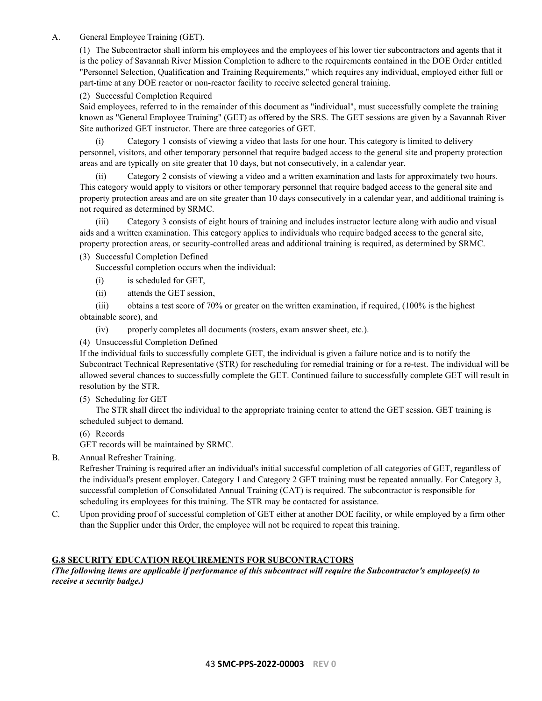### A. General Employee Training (GET).

(1) The Subcontractor shall inform his employees and the employees of his lower tier subcontractors and agents that it is the policy of Savannah River Mission Completion to adhere to the requirements contained in the DOE Order entitled "Personnel Selection, Qualification and Training Requirements," which requires any individual, employed either full or part-time at any DOE reactor or non-reactor facility to receive selected general training.

### (2) Successful Completion Required

Said employees, referred to in the remainder of this document as "individual", must successfully complete the training known as "General Employee Training" (GET) as offered by the SRS. The GET sessions are given by a Savannah River Site authorized GET instructor. There are three categories of GET.

(i) Category 1 consists of viewing a video that lasts for one hour. This category is limited to delivery personnel, visitors, and other temporary personnel that require badged access to the general site and property protection areas and are typically on site greater that 10 days, but not consecutively, in a calendar year.

(ii) Category 2 consists of viewing a video and a written examination and lasts for approximately two hours. This category would apply to visitors or other temporary personnel that require badged access to the general site and property protection areas and are on site greater than 10 days consecutively in a calendar year, and additional training is not required as determined by SRMC.

(iii) Category 3 consists of eight hours of training and includes instructor lecture along with audio and visual aids and a written examination. This category applies to individuals who require badged access to the general site, property protection areas, or security-controlled areas and additional training is required, as determined by SRMC.

(3) Successful Completion Defined

Successful completion occurs when the individual:

- (i) is scheduled for GET,
- (ii) attends the GET session,

(iii) obtains a test score of 70% or greater on the written examination, if required, (100% is the highest obtainable score), and

(iv) properly completes all documents (rosters, exam answer sheet, etc.).

(4) Unsuccessful Completion Defined

If the individual fails to successfully complete GET, the individual is given a failure notice and is to notify the Subcontract Technical Representative (STR) for rescheduling for remedial training or for a re-test. The individual will be allowed several chances to successfully complete the GET. Continued failure to successfully complete GET will result in resolution by the STR.

(5) Scheduling for GET

The STR shall direct the individual to the appropriate training center to attend the GET session. GET training is scheduled subject to demand.

(6) Records

GET records will be maintained by SRMC.

B. Annual Refresher Training.

Refresher Training is required after an individual's initial successful completion of all categories of GET, regardless of the individual's present employer. Category 1 and Category 2 GET training must be repeated annually. For Category 3, successful completion of Consolidated Annual Training (CAT) is required. The subcontractor is responsible for scheduling its employees for this training. The STR may be contacted for assistance.

C. Upon providing proof of successful completion of GET either at another DOE facility, or while employed by a firm other than the Supplier under this Order, the employee will not be required to repeat this training.

# <span id="page-42-0"></span>**G.8 SECURITY EDUCATION REQUIREMENTS FOR SUBCONTRACTORS**

*(The following items are applicable if performance of this subcontract will require the Subcontractor's employee(s) to receive a security badge.)*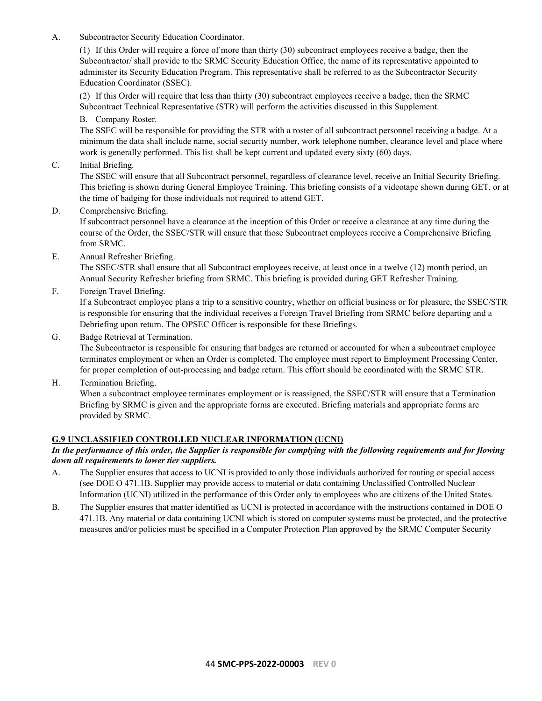A. Subcontractor Security Education Coordinator.

(1) If this Order will require a force of more than thirty (30) subcontract employees receive a badge, then the Subcontractor/ shall provide to the SRMC Security Education Office, the name of its representative appointed to administer its Security Education Program. This representative shall be referred to as the Subcontractor Security Education Coordinator (SSEC).

(2) If this Order will require that less than thirty (30) subcontract employees receive a badge, then the SRMC Subcontract Technical Representative (STR) will perform the activities discussed in this Supplement.

B. Company Roster.

The SSEC will be responsible for providing the STR with a roster of all subcontract personnel receiving a badge. At a minimum the data shall include name, social security number, work telephone number, clearance level and place where work is generally performed. This list shall be kept current and updated every sixty (60) days.

C. Initial Briefing.

The SSEC will ensure that all Subcontract personnel, regardless of clearance level, receive an Initial Security Briefing. This briefing is shown during General Employee Training. This briefing consists of a videotape shown during GET, or at the time of badging for those individuals not required to attend GET.

D. Comprehensive Briefing.

If subcontract personnel have a clearance at the inception of this Order or receive a clearance at any time during the course of the Order, the SSEC/STR will ensure that those Subcontract employees receive a Comprehensive Briefing from SRMC.

E. Annual Refresher Briefing.

The SSEC/STR shall ensure that all Subcontract employees receive, at least once in a twelve (12) month period, an Annual Security Refresher briefing from SRMC. This briefing is provided during GET Refresher Training.

F. Foreign Travel Briefing.

If a Subcontract employee plans a trip to a sensitive country, whether on official business or for pleasure, the SSEC/STR is responsible for ensuring that the individual receives a Foreign Travel Briefing from SRMC before departing and a Debriefing upon return. The OPSEC Officer is responsible for these Briefings.

G. Badge Retrieval at Termination.

The Subcontractor is responsible for ensuring that badges are returned or accounted for when a subcontract employee terminates employment or when an Order is completed. The employee must report to Employment Processing Center, for proper completion of out-processing and badge return. This effort should be coordinated with the SRMC STR.

H. Termination Briefing.

When a subcontract employee terminates employment or is reassigned, the SSEC/STR will ensure that a Termination Briefing by SRMC is given and the appropriate forms are executed. Briefing materials and appropriate forms are provided by SRMC.

### <span id="page-43-0"></span>**G.9 UNCLASSIFIED CONTROLLED NUCLEAR INFORMATION (UCNI)**

### *In the performance of this order, the Supplier is responsible for complying with the following requirements and for flowing down all requirements to lower tier suppliers.*

- A. The Supplier ensures that access to UCNI is provided to only those individuals authorized for routing or special access (see DOE O 471.1B. Supplier may provide access to material or data containing Unclassified Controlled Nuclear Information (UCNI) utilized in the performance of this Order only to employees who are citizens of the United States.
- B. The Supplier ensures that matter identified as UCNI is protected in accordance with the instructions contained in DOE O 471.1B. Any material or data containing UCNI which is stored on computer systems must be protected, and the protective measures and/or policies must be specified in a Computer Protection Plan approved by the SRMC Computer Security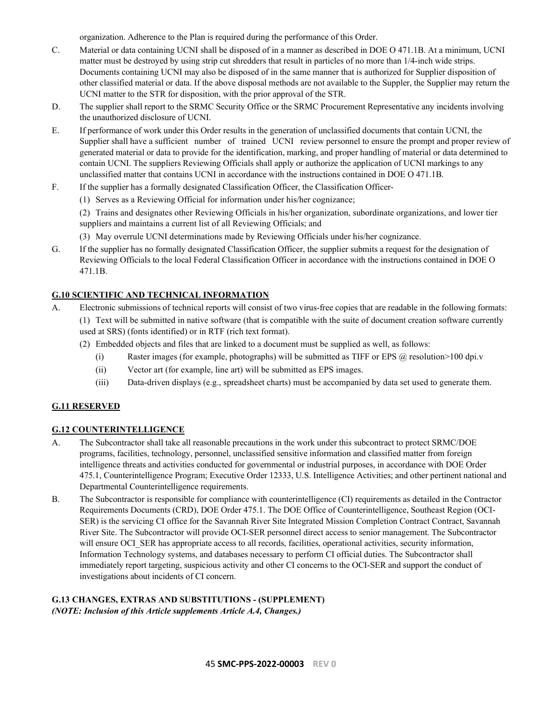organization. Adherence to the Plan is required during the performance of this Order.

- C. Material or data containing UCNI shall be disposed of in a manner as described in DOE O 471.1B. At a minimum, UCNI matter must be destroyed by using strip cut shredders that result in particles of no more than 1/4-inch wide strips. Documents containing UCNI may also be disposed of in the same manner that is authorized for Supplier disposition of other classified material or data. If the above disposal methods are not available to the Suppler, the Supplier may return the UCNI matter to the STR for disposition, with the prior approval of the STR.
- D. The supplier shall report to the SRMC Security Office or the SRMC Procurement Representative any incidents involving the unauthorized disclosure of UCNI.
- E. If performance of work under this Order results in the generation of unclassified documents that contain UCNI, the Supplier shall have a sufficient number of trained UCNI review personnel to ensure the prompt and proper review of generated material or data to provide for the identification, marking, and proper handling of material or data determined to contain UCNI. The suppliers Reviewing Officials shall apply or authorize the application of UCNI markings to any unclassified matter that contains UCNI in accordance with the instructions contained in DOE O 471.1B.
- F. If the supplier has a formally designated Classification Officer, the Classification Officer-
	- (1) Serves as a Reviewing Official for information under his/her cognizance;

(2) Trains and designates other Reviewing Officials in his/her organization, subordinate organizations, and lower tier suppliers and maintains a current list of all Reviewing Officials; and

- (3) May overrule UCNI determinations made by Reviewing Officials under his/her cognizance.
- G. If the supplier has no formally designated Classification Officer, the supplier submits a request for the designation of Reviewing Officials to the local Federal Classification Officer in accordance with the instructions contained in DOE O 471.1B.

# <span id="page-44-0"></span>**G.10 SCIENTIFIC AND TECHNICAL INFORMATION**

- A. Electronic submissions of technical reports will consist of two virus-free copies that are readable in the following formats: (1) Text will be submitted in native software (that is compatible with the suite of document creation software currently used at SRS) (fonts identified) or in RTF (rich text format).
	- (2) Embedded objects and files that are linked to a document must be supplied as well, as follows:
		- (i) Raster images (for example, photographs) will be submitted as TIFF or EPS  $\hat{\omega}$  resolution >100 dpi.v
		- (ii) Vector art (for example, line art) will be submitted as EPS images.
		- (iii) Data-driven displays (e.g., spreadsheet charts) must be accompanied by data set used to generate them.

### <span id="page-44-1"></span>**G.11 RESERVED**

### <span id="page-44-2"></span>**G.12 COUNTERINTELLIGENCE**

- A. The Subcontractor shall take all reasonable precautions in the work under this subcontract to protect SRMC/DOE programs, facilities, technology, personnel, unclassified sensitive information and classified matter from foreign intelligence threats and activities conducted for governmental or industrial purposes, in accordance with DOE Order 475.1, Counterintelligence Program; Executive Order 12333, U.S. Intelligence Activities; and other pertinent national and Departmental Counterintelligence requirements.
- B. The Subcontractor is responsible for compliance with counterintelligence (CI) requirements as detailed in the Contractor Requirements Documents (CRD), DOE Order 475.1. The DOE Office of Counterintelligence, Southeast Region (OCI-SER) is the servicing CI office for the Savannah River Site Integrated Mission Completion Contract Contract, Savannah River Site. The Subcontractor will provide OCI-SER personnel direct access to senior management. The Subcontractor will ensure OCI\_SER has appropriate access to all records, facilities, operational activities, security information, Information Technology systems, and databases necessary to perform CI official duties. The Subcontractor shall immediately report targeting, suspicious activity and other CI concerns to the OCI-SER and support the conduct of investigations about incidents of CI concern.

### <span id="page-44-3"></span>**G.13 CHANGES, EXTRAS AND SUBSTITUTIONS - (SUPPLEMENT)** *(NOTE: Inclusion of this Article supplements Article A.4, Changes.)*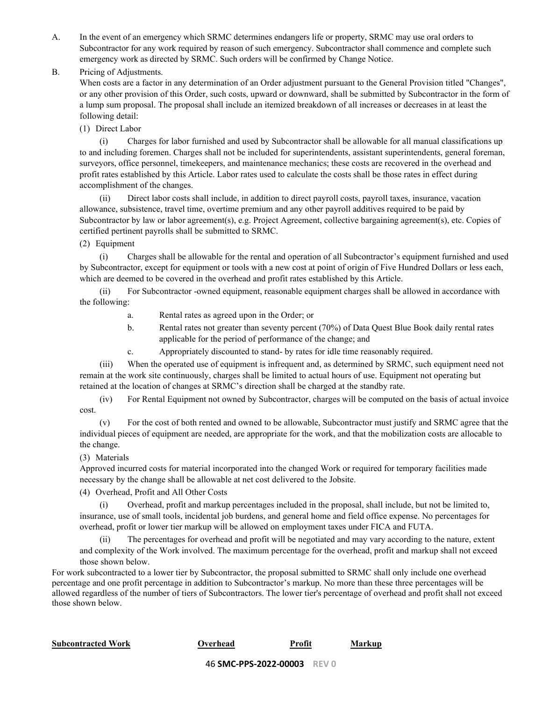A. In the event of an emergency which SRMC determines endangers life or property, SRMC may use oral orders to Subcontractor for any work required by reason of such emergency. Subcontractor shall commence and complete such emergency work as directed by SRMC. Such orders will be confirmed by Change Notice.

B. Pricing of Adjustments.

When costs are a factor in any determination of an Order adjustment pursuant to the General Provision titled "Changes", or any other provision of this Order, such costs, upward or downward, shall be submitted by Subcontractor in the form of a lump sum proposal. The proposal shall include an itemized breakdown of all increases or decreases in at least the following detail:

(1) Direct Labor

(i) Charges for labor furnished and used by Subcontractor shall be allowable for all manual classifications up to and including foremen. Charges shall not be included for superintendents, assistant superintendents, general foreman, surveyors, office personnel, timekeepers, and maintenance mechanics; these costs are recovered in the overhead and profit rates established by this Article. Labor rates used to calculate the costs shall be those rates in effect during accomplishment of the changes.

(ii) Direct labor costs shall include, in addition to direct payroll costs, payroll taxes, insurance, vacation allowance, subsistence, travel time, overtime premium and any other payroll additives required to be paid by Subcontractor by law or labor agreement(s), e.g. Project Agreement, collective bargaining agreement(s), etc. Copies of certified pertinent payrolls shall be submitted to SRMC.

(2) Equipment

(i) Charges shall be allowable for the rental and operation of all Subcontractor's equipment furnished and used by Subcontractor, except for equipment or tools with a new cost at point of origin of Five Hundred Dollars or less each, which are deemed to be covered in the overhead and profit rates established by this Article.

(ii) For Subcontractor -owned equipment, reasonable equipment charges shall be allowed in accordance with the following:

- a. Rental rates as agreed upon in the Order; or
- b. Rental rates not greater than seventy percent (70%) of Data Quest Blue Book daily rental rates applicable for the period of performance of the change; and
- c. Appropriately discounted to stand- by rates for idle time reasonably required.

(iii) When the operated use of equipment is infrequent and, as determined by SRMC, such equipment need not remain at the work site continuously, charges shall be limited to actual hours of use. Equipment not operating but retained at the location of changes at SRMC's direction shall be charged at the standby rate.

(iv) For Rental Equipment not owned by Subcontractor, charges will be computed on the basis of actual invoice cost.

(v) For the cost of both rented and owned to be allowable, Subcontractor must justify and SRMC agree that the individual pieces of equipment are needed, are appropriate for the work, and that the mobilization costs are allocable to the change.

(3) Materials

Approved incurred costs for material incorporated into the changed Work or required for temporary facilities made necessary by the change shall be allowable at net cost delivered to the Jobsite.

(4) Overhead, Profit and All Other Costs

(i) Overhead, profit and markup percentages included in the proposal, shall include, but not be limited to, insurance, use of small tools, incidental job burdens, and general home and field office expense. No percentages for overhead, profit or lower tier markup will be allowed on employment taxes under FICA and FUTA.

The percentages for overhead and profit will be negotiated and may vary according to the nature, extent and complexity of the Work involved. The maximum percentage for the overhead, profit and markup shall not exceed those shown below.

For work subcontracted to a lower tier by Subcontractor, the proposal submitted to SRMC shall only include one overhead percentage and one profit percentage in addition to Subcontractor's markup. No more than these three percentages will be allowed regardless of the number of tiers of Subcontractors. The lower tier's percentage of overhead and profit shall not exceed those shown below.

**Subcontracted Work Overhead Profit Markup**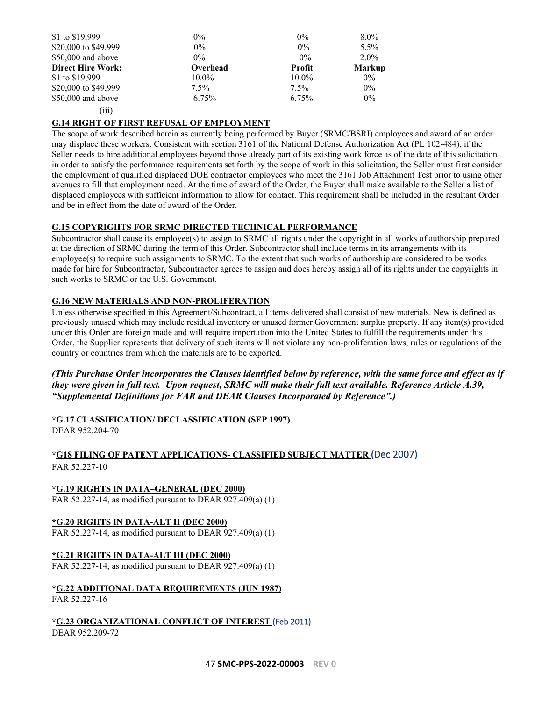| \$1 to \$19,999          | $0\%$    | $0\%$         | $8.0\%$       |
|--------------------------|----------|---------------|---------------|
| \$20,000 to \$49,999     | $0\%$    | $0\%$         | $5.5\%$       |
| \$50,000 and above       | $0\%$    | $0\%$         | $2.0\%$       |
| <b>Direct Hire Work:</b> | Overhead | <b>Profit</b> | <b>Markup</b> |
| \$1 to \$19,999          | $10.0\%$ | $10.0\%$      | $0\%$         |
| \$20,000 to \$49,999     | $7.5\%$  | $7.5\%$       | $0\%$         |
| \$50,000 and above       | 6.75%    | 6.75%         | $0\%$         |
| $\left(111\right)$       |          |               |               |

### <span id="page-46-0"></span>**G.14 RIGHT OF FIRST REFUSAL OF EMPLOYMENT**

The scope of work described herein as currently being performed by Buyer (SRMC/BSRI) employees and award of an order may displace these workers. Consistent with section 3161 of the National Defense Authorization Act (PL 102-484), if the Seller needs to hire additional employees beyond those already part of its existing work force as of the date of this solicitation in order to satisfy the performance requirements set forth by the scope of work in this solicitation, the Seller must first consider the employment of qualified displaced DOE contractor employees who meet the 3161 Job Attachment Test prior to using other avenues to fill that employment need. At the time of award of the Order, the Buyer shall make available to the Seller a list of displaced employees with sufficient information to allow for contact. This requirement shall be included in the resultant Order and be in effect from the date of award of the Order.

### <span id="page-46-1"></span>**G.15 COPYRIGHTS FOR SRMC DIRECTED TECHNICAL PERFORMANCE**

Subcontractor shall cause its employee(s) to assign to SRMC all rights under the copyright in all works of authorship prepared at the direction of SRMC during the term of this Order. Subcontractor shall include terms in its arrangements with its employee(s) to require such assignments to SRMC. To the extent that such works of authorship are considered to be works made for hire for Subcontractor, Subcontractor agrees to assign and does hereby assign all of its rights under the copyrights in such works to SRMC or the U.S. Government.

### <span id="page-46-2"></span>**G.16 NEW MATERIALS AND NON-PROLIFERATION**

Unless otherwise specified in this Agreement/Subcontract, all items delivered shall consist of new materials. New is defined as previously unused which may include residual inventory or unused former Government surplus property. If any item(s) provided under this Order are foreign made and will require importation into the United States to fulfill the requirements under this Order, the Supplier represents that delivery of such items will not violate any non-proliferation laws, rules or regulations of the country or countries from which the materials are to be exported.

*(This Purchase Order incorporates the Clauses identified below by reference, with the same force and effect as if they were given in full text. Upon request, SRMC will make their full text available. Reference Article A.39, "Supplemental Definitions for FAR and DEAR Clauses Incorporated by Reference".)*

#### <span id="page-46-3"></span>**\*G.17 CLASSIFICATION/ DECLASSIFICATION (SEP 1997)** DEAR 952.204-70

### <span id="page-46-4"></span>**\*G18 FILING OF PATENT APPLICATIONS- CLASSIFIED SUBJECT MATTER** (Dec 2007) FAR 52.227-10

<span id="page-46-5"></span>**\*G.19 RIGHTS IN DATA–GENERAL (DEC 2000)** FAR 52.227-14, as modified pursuant to DEAR 927.409(a) (1)

# <span id="page-46-6"></span>**\*G.20 RIGHTS IN DATA-ALT II (DEC 2000)**

FAR 52.227-14, as modified pursuant to DEAR 927.409(a) (1)

# <span id="page-46-7"></span>**\*G.21 RIGHTS IN DATA-ALT III (DEC 2000)**

FAR 52.227-14, as modified pursuant to DEAR 927.409(a) (1)

<span id="page-46-8"></span>**\*G.22 ADDITIONAL DATA REQUIREMENTS (JUN 1987)** FAR 52.227-16

<span id="page-46-9"></span>**\*G.23 ORGANIZATIONAL CONFLICT OF INTEREST** (Feb 2011) DEAR 952.209-72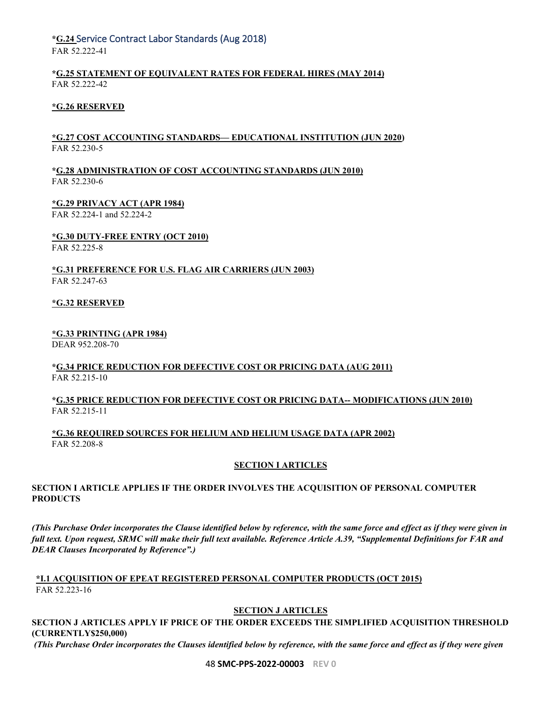# <span id="page-47-0"></span>**\*G.24** Service Contract Labor Standards (Aug 2018)

FAR 52.222-41

### <span id="page-47-1"></span>**\*G.25 STATEMENT OF EQUIVALENT RATES FOR FEDERAL HIRES (MAY 2014)** FAR 52.222-42

# <span id="page-47-2"></span>**\*G.26 RESERVED**

# <span id="page-47-3"></span>**\*G.27 COST ACCOUNTING STANDARDS— EDUCATIONAL INSTITUTION (JUN 2020)** FAR 52.230-5

### <span id="page-47-4"></span>**\*G.28 ADMINISTRATION OF COST ACCOUNTING STANDARDS (JUN 2010)** FAR 52.230-6

<span id="page-47-5"></span>**\*G.29 PRIVACY ACT (APR 1984)**

FAR 52.224-1 and 52.224-2

### <span id="page-47-6"></span>**\*G.30 DUTY-FREE ENTRY (OCT 2010)**

FAR 52.225-8

### <span id="page-47-7"></span>**\*G.31 PREFERENCE FOR U.S. FLAG AIR CARRIERS (JUN 2003)** FAR 52.247-63

### <span id="page-47-8"></span>**\*G.32 RESERVED**

### <span id="page-47-9"></span>**\*G.33 PRINTING (APR 1984)**

DEAR 952.208-70

### <span id="page-47-10"></span>**\*G.34 PRICE REDUCTION FOR DEFECTIVE COST OR PRICING DATA (AUG 2011)** FAR 52.215-10

# <span id="page-47-11"></span>**\*G.35 PRICE REDUCTION FOR DEFECTIVE COST OR PRICING DATA-- MODIFICATIONS (JUN 2010)** FAR 52.215-11

<span id="page-47-13"></span><span id="page-47-12"></span>**\*G.36 REQUIRED SOURCES FOR HELIUM AND HELIUM USAGE DATA (APR 2002)** FAR 52.208-8

### **SECTION I ARTICLES**

### **SECTION I ARTICLE APPLIES IF THE ORDER INVOLVES THE ACQUISITION OF PERSONAL COMPUTER PRODUCTS**

*(This Purchase Order incorporates the Clause identified below by reference, with the same force and effect as if they were given in full text. Upon request, SRMC will make their full text available. Reference Article A.39, "Supplemental Definitions for FAR and DEAR Clauses Incorporated by Reference".)*

### <span id="page-47-15"></span><span id="page-47-14"></span>**\*I.1 ACQUISITION OF EPEAT REGISTERED PERSONAL COMPUTER PRODUCTS (OCT 2015)** FAR 52.223-16

# **SECTION J ARTICLES**

**SECTION J ARTICLES APPLY IF PRICE OF THE ORDER EXCEEDS THE SIMPLIFIED ACQUISITION THRESHOLD (CURRENTLY\$250,000)**

*(This Purchase Order incorporates the Clauses identified below by reference, with the same force and effect as if they were given* 

48 **SMC-PPS-2022-00003 REV 0**